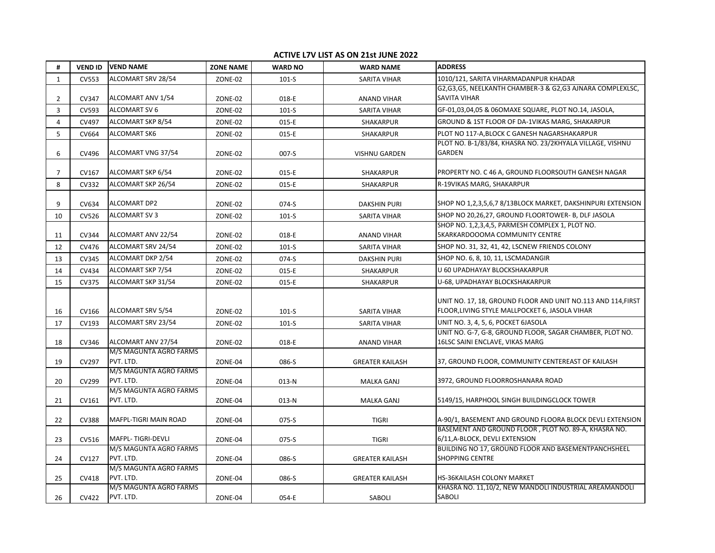## **ACTIVE L7V LIST AS ON 21st JUNE 2022**

| #            | <b>VEND ID</b> | <b>VEND NAME</b>                    | <b>ZONE NAME</b> | <b>WARD NO</b> | <b>WARD NAME</b>       | <b>ADDRESS</b>                                                                                                 |
|--------------|----------------|-------------------------------------|------------------|----------------|------------------------|----------------------------------------------------------------------------------------------------------------|
| $\mathbf{1}$ | <b>CV553</b>   | ALCOMART SRV 28/54                  | ZONE-02          | $101-S$        | SARITA VIHAR           | 1010/121, SARITA VIHARMADANPUR KHADAR                                                                          |
|              |                |                                     |                  |                |                        | G2, G3, G5, NEELKANTH CHAMBER-3 & G2, G3 AJNARA COMPLEXLSC,                                                    |
| 2            | CV347          | ALCOMART ANV 1/54                   | ZONE-02          | 018-E          | <b>ANAND VIHAR</b>     | <b>SAVITA VIHAR</b>                                                                                            |
| 3            | <b>CV593</b>   | <b>ALCOMART SV 6</b>                | ZONE-02          | $101-S$        | <b>SARITA VIHAR</b>    | GF-01,03,04,05 & 06OMAXE SQUARE, PLOT NO.14, JASOLA,                                                           |
| 4            | CV497          | ALCOMART SKP 8/54                   | ZONE-02          | 015-E          | SHAKARPUR              | GROUND & 1ST FLOOR OF DA-1VIKAS MARG, SHAKARPUR                                                                |
| 5            | <b>CV664</b>   | <b>ALCOMART SK6</b>                 | ZONE-02          | 015-E          | SHAKARPUR              | PLOT NO 117-A, BLOCK C GANESH NAGARSHAKARPUR                                                                   |
| 6            | CV496          | ALCOMART VNG 37/54                  | ZONE-02          | $007-S$        | <b>VISHNU GARDEN</b>   | PLOT NO. B-1/83/84, KHASRA NO. 23/2KHYALA VILLAGE, VISHNU<br>GARDEN                                            |
| 7            | CV167          | ALCOMART SKP 6/54                   | ZONE-02          | 015-E          | <b>SHAKARPUR</b>       | PROPERTY NO. C 46 A, GROUND FLOORSOUTH GANESH NAGAR                                                            |
| 8            | CV332          | ALCOMART SKP 26/54                  | ZONE-02          | 015-E          | <b>SHAKARPUR</b>       | R-19VIKAS MARG, SHAKARPUR                                                                                      |
| 9            | CV634          | <b>ALCOMART DP2</b>                 | ZONE-02          | 074-S          | <b>DAKSHIN PURI</b>    | SHOP NO 1,2,3,5,6,7 8/13BLOCK MARKET, DAKSHINPURI EXTENSION                                                    |
| 10           | CV526          | <b>ALCOMART SV 3</b>                | ZONE-02          | $101-S$        | SARITA VIHAR           | SHOP NO 20,26,27, GROUND FLOORTOWER- B, DLF JASOLA                                                             |
| 11           | CV344          | ALCOMART ANV 22/54                  | ZONE-02          | 018-E          | <b>ANAND VIHAR</b>     | SHOP NO. 1,2,3,4,5, PARMESH COMPLEX 1, PLOT NO.<br>5KARKARDOOOMA COMMUNITY CENTRE                              |
| 12           | CV476          | ALCOMART SRV 24/54                  | ZONE-02          | $101-S$        | <b>SARITA VIHAR</b>    | SHOP NO. 31, 32, 41, 42, LSCNEW FRIENDS COLONY                                                                 |
| 13           | <b>CV345</b>   | ALCOMART DKP 2/54                   | ZONE-02          | 074-S          | <b>DAKSHIN PURI</b>    | SHOP NO. 6, 8, 10, 11, LSCMADANGIR                                                                             |
| 14           | CV434          | ALCOMART SKP 7/54                   | ZONE-02          | 015-E          | SHAKARPUR              | U 60 UPADHAYAY BLOCKSHAKARPUR                                                                                  |
| 15           | <b>CV375</b>   | ALCOMART SKP 31/54                  | ZONE-02          | 015-E          | <b>SHAKARPUR</b>       | U-68, UPADHAYAY BLOCKSHAKARPUR                                                                                 |
| 16           | CV166          | ALCOMART SRV 5/54                   | ZONE-02          | $101-S$        | <b>SARITA VIHAR</b>    | UNIT NO. 17, 18, GROUND FLOOR AND UNIT NO.113 AND 114, FIRST<br>FLOOR, LIVING STYLE MALLPOCKET 6, JASOLA VIHAR |
| 17           | CV193          | ALCOMART SRV 23/54                  | ZONE-02          | $101-S$        | <b>SARITA VIHAR</b>    | UNIT NO. 3, 4, 5, 6, POCKET 6JASOLA                                                                            |
| 18           | CV346          | ALCOMART ANV 27/54                  | ZONE-02          | 018-E          | <b>ANAND VIHAR</b>     | UNIT NO. G-7, G-8, GROUND FLOOR, SAGAR CHAMBER, PLOT NO.<br>16LSC SAINI ENCLAVE, VIKAS MARG                    |
| 19           | CV297          | M/S MAGUNTA AGRO FARMS<br>PVT. LTD. | ZONE-04          | 086-S          | <b>GREATER KAILASH</b> | 37, GROUND FLOOR, COMMUNITY CENTEREAST OF KAILASH                                                              |
| 20           | CV299          | M/S MAGUNTA AGRO FARMS<br>PVT. LTD. | ZONE-04          | 013-N          | <b>MALKA GANJ</b>      | 3972, GROUND FLOORROSHANARA ROAD                                                                               |
| 21           | CV161          | M/S MAGUNTA AGRO FARMS<br>PVT. LTD. | ZONE-04          | 013-N          | <b>MALKA GANJ</b>      | 5149/15, HARPHOOL SINGH BUILDINGCLOCK TOWER                                                                    |
| 22           | <b>CV388</b>   | <b>MAFPL-TIGRI MAIN ROAD</b>        | ZONE-04          | 075-S          | <b>TIGRI</b>           | A-90/1, BASEMENT AND GROUND FLOORA BLOCK DEVLI EXTENSION                                                       |
| 23           | CV516          | MAFPL-TIGRI-DEVLI                   | ZONE-04          | 075-S          | <b>TIGRI</b>           | BASEMENT AND GROUND FLOOR, PLOT NO. 89-A, KHASRA NO.<br>6/11, A-BLOCK, DEVLI EXTENSION                         |
| 24           | CV127          | M/S MAGUNTA AGRO FARMS<br>PVT. LTD. | ZONE-04          | 086-S          | <b>GREATER KAILASH</b> | BUILDING NO 17, GROUND FLOOR AND BASEMENTPANCHSHEEL<br><b>SHOPPING CENTRE</b>                                  |
| 25           | CV418          | M/S MAGUNTA AGRO FARMS<br>PVT. LTD. | ZONE-04          | 086-S          | <b>GREATER KAILASH</b> | <b>HS-36KAILASH COLONY MARKET</b>                                                                              |
| 26           | CV422          | M/S MAGUNTA AGRO FARMS<br>PVT. LTD. | ZONE-04          | 054-E          | SABOLI                 | KHASRA NO. 11,10/2, NEW MANDOLI INDUSTRIAL AREAMANDOLI<br>SABOLI                                               |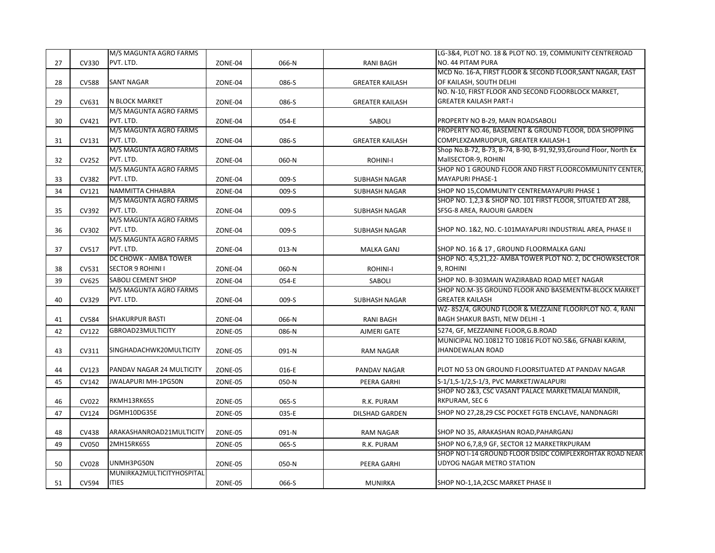| PVT. LTD.<br>NO. 44 PITAM PURA<br>27<br>CV330<br>066-N<br>ZONE-04<br><b>RANI BAGH</b><br>MCD No. 16-A, FIRST FLOOR & SECOND FLOOR, SANT NAGAR, EAST<br><b>SANT NAGAR</b><br>OF KAILASH, SOUTH DELHI<br>28<br><b>CV588</b><br>ZONE-04<br>086-S<br><b>GREATER KAILASH</b><br>NO. N-10, FIRST FLOOR AND SECOND FLOORBLOCK MARKET,<br>N BLOCK MARKET<br><b>GREATER KAILASH PART-I</b><br>29<br>CV631<br>ZONE-04<br>086-S<br><b>GREATER KAILASH</b><br>M/S MAGUNTA AGRO FARMS<br>PVT. LTD.<br>CV421<br>PROPERTY NO B-29, MAIN ROADSABOLI<br>30<br>ZONE-04<br>054-E<br>SABOLI<br>M/S MAGUNTA AGRO FARMS<br>PROPERTY NO.46, BASEMENT & GROUND FLOOR, DDA SHOPPING<br>PVT. LTD.<br>COMPLEXZAMRUDPUR, GREATER KAILASH-1<br>CV131<br>ZONE-04<br>086-S<br><b>GREATER KAILASH</b><br>31<br>M/S MAGUNTA AGRO FARMS<br>Shop No.B-72, B-73, B-74, B-90, B-91,92,93, Ground Floor, North Ex<br>PVT. LTD.<br>CV252<br>MallSECTOR-9, ROHINI<br>32<br>ZONE-04<br>060-N<br><b>ROHINI-I</b><br>M/S MAGUNTA AGRO FARMS<br>PVT. LTD.<br>MAYAPURI PHASE-1<br>CV382<br>009-S<br>33<br>ZONE-04<br><b>SUBHASH NAGAR</b><br>NAMMITTA CHHABRA<br>SHOP NO 15, COMMUNITY CENTREMAYAPURI PHASE 1<br>CV121<br>009-S<br>34<br>ZONE-04<br><b>SUBHASH NAGAR</b><br>M/S MAGUNTA AGRO FARMS<br>SHOP NO. 1,2,3 & SHOP NO. 101 FIRST FLOOR, SITUATED AT 288,<br>PVT. LTD.<br>SFSG-8 AREA, RAJOURI GARDEN<br>35<br>CV392<br>ZONE-04<br>009-S<br><b>SUBHASH NAGAR</b><br>M/S MAGUNTA AGRO FARMS<br>PVT. LTD.<br>SHOP NO. 1&2, NO. C-101MAYAPURI INDUSTRIAL AREA, PHASE II<br>CV302<br>36<br>ZONE-04<br>009-S<br>SUBHASH NAGAR<br>M/S MAGUNTA AGRO FARMS<br>PVT. LTD.<br>SHOP NO. 16 & 17, GROUND FLOORMALKA GANJ<br>37<br>CV517<br>ZONE-04<br>013-N<br><b>MALKA GANJ</b><br>DC CHOWK - AMBA TOWER<br>SHOP NO. 4,5,21,22- AMBA TOWER PLOT NO. 2, DC CHOWKSECTOR<br><b>SECTOR 9 ROHINI I</b><br>9. ROHINI<br>CV531<br>060-N<br><b>ROHINI-I</b><br>38<br>ZONE-04<br><b>SABOLI CEMENT SHOP</b><br>SHOP NO. B-303MAIN WAZIRABAD ROAD MEET NAGAR<br>CV625<br>39<br>ZONE-04<br>054-E<br>SABOLI<br>M/S MAGUNTA AGRO FARMS<br>SHOP NO.M-35 GROUND FLOOR AND BASEMENTM-BLOCK MARKET<br><b>GREATER KAILASH</b><br>PVT. LTD.<br>40<br>CV329<br>ZONE-04<br>009-S<br><b>SUBHASH NAGAR</b><br>WZ-852/4, GROUND FLOOR & MEZZAINE FLOORPLOT NO. 4, RANI<br><b>SHAKURPUR BASTI</b><br>BAGH SHAKUR BASTI, NEW DELHI -1<br>41<br><b>CV584</b><br>066-N<br>ZONE-04<br><b>RANI BAGH</b><br>GBROAD23MULTICITY<br>5274, GF, MEZZANINE FLOOR, G.B.ROAD<br>42<br>CV122<br>ZONE-05<br>086-N<br>AJMERI GATE<br>MUNICIPAL NO.10812 TO 10816 PLOT NO.5&6, GFNABI KARIM,<br><b>JHANDEWALAN ROAD</b><br>43<br>CV311<br>SINGHADACHWK20MULTICITY<br>ZONE-05<br>091-N<br><b>RAM NAGAR</b><br>PANDAV NAGAR 24 MULTICITY<br>PLOT NO 53 ON GROUND FLOORSITUATED AT PANDAV NAGAR<br>CV123<br>44<br>ZONE-05<br>016-E<br>PANDAV NAGAR<br>JWALAPURI MH-1PG50N<br>S-1/1,S-1/2,S-1/3, PVC MARKETJWALAPURI<br>45<br>CV142<br>ZONE-05<br>050-N<br>PEERA GARHI<br>SHOP NO 2&3, CSC VASANT PALACE MARKETMALAI MANDIR,<br>RKMH13RK65S<br>RKPURAM, SEC 6<br>CV022<br>46<br>ZONE-05<br>065-S<br>R.K. PURAM<br>DGMH10DG35E<br>SHOP NO 27,28,29 CSC POCKET FGTB ENCLAVE, NANDNAGRI<br>CV124<br>035-E<br>47<br>ZONE-05<br><b>DILSHAD GARDEN</b><br>ARAKASHANROAD21MULTICITY<br>SHOP NO 35, ARAKASHAN ROAD, PAHARGANJ<br>48<br>CV438<br>ZONE-05<br>091-N<br><b>RAM NAGAR</b><br>2MH15RK65S<br>SHOP NO 6,7,8,9 GF, SECTOR 12 MARKETRKPURAM<br>49<br>CV050<br>ZONE-05<br>065-S<br>R.K. PURAM |  | M/S MAGUNTA AGRO FARMS |  | LG-3&4, PLOT NO. 18 & PLOT NO. 19, COMMUNITY CENTREROAD |
|-------------------------------------------------------------------------------------------------------------------------------------------------------------------------------------------------------------------------------------------------------------------------------------------------------------------------------------------------------------------------------------------------------------------------------------------------------------------------------------------------------------------------------------------------------------------------------------------------------------------------------------------------------------------------------------------------------------------------------------------------------------------------------------------------------------------------------------------------------------------------------------------------------------------------------------------------------------------------------------------------------------------------------------------------------------------------------------------------------------------------------------------------------------------------------------------------------------------------------------------------------------------------------------------------------------------------------------------------------------------------------------------------------------------------------------------------------------------------------------------------------------------------------------------------------------------------------------------------------------------------------------------------------------------------------------------------------------------------------------------------------------------------------------------------------------------------------------------------------------------------------------------------------------------------------------------------------------------------------------------------------------------------------------------------------------------------------------------------------------------------------------------------------------------------------------------------------------------------------------------------------------------------------------------------------------------------------------------------------------------------------------------------------------------------------------------------------------------------------------------------------------------------------------------------------------------------------------------------------------------------------------------------------------------------------------------------------------------------------------------------------------------------------------------------------------------------------------------------------------------------------------------------------------------------------------------------------------------------------------------------------------------------------------------------------------------------------------------------------------------------------------------------------------------------------------------------------------------------------------------------------------------------------------------------------------------------------------------------------------------------------------------------------------------------------------------------------------------------------------------|--|------------------------|--|---------------------------------------------------------|
|                                                                                                                                                                                                                                                                                                                                                                                                                                                                                                                                                                                                                                                                                                                                                                                                                                                                                                                                                                                                                                                                                                                                                                                                                                                                                                                                                                                                                                                                                                                                                                                                                                                                                                                                                                                                                                                                                                                                                                                                                                                                                                                                                                                                                                                                                                                                                                                                                                                                                                                                                                                                                                                                                                                                                                                                                                                                                                                                                                                                                                                                                                                                                                                                                                                                                                                                                                                                                                                                                           |  |                        |  |                                                         |
|                                                                                                                                                                                                                                                                                                                                                                                                                                                                                                                                                                                                                                                                                                                                                                                                                                                                                                                                                                                                                                                                                                                                                                                                                                                                                                                                                                                                                                                                                                                                                                                                                                                                                                                                                                                                                                                                                                                                                                                                                                                                                                                                                                                                                                                                                                                                                                                                                                                                                                                                                                                                                                                                                                                                                                                                                                                                                                                                                                                                                                                                                                                                                                                                                                                                                                                                                                                                                                                                                           |  |                        |  |                                                         |
| SHOP NO 1 GROUND FLOOR AND FIRST FLOORCOMMUNITY CENTER,                                                                                                                                                                                                                                                                                                                                                                                                                                                                                                                                                                                                                                                                                                                                                                                                                                                                                                                                                                                                                                                                                                                                                                                                                                                                                                                                                                                                                                                                                                                                                                                                                                                                                                                                                                                                                                                                                                                                                                                                                                                                                                                                                                                                                                                                                                                                                                                                                                                                                                                                                                                                                                                                                                                                                                                                                                                                                                                                                                                                                                                                                                                                                                                                                                                                                                                                                                                                                                   |  |                        |  |                                                         |
|                                                                                                                                                                                                                                                                                                                                                                                                                                                                                                                                                                                                                                                                                                                                                                                                                                                                                                                                                                                                                                                                                                                                                                                                                                                                                                                                                                                                                                                                                                                                                                                                                                                                                                                                                                                                                                                                                                                                                                                                                                                                                                                                                                                                                                                                                                                                                                                                                                                                                                                                                                                                                                                                                                                                                                                                                                                                                                                                                                                                                                                                                                                                                                                                                                                                                                                                                                                                                                                                                           |  |                        |  |                                                         |
|                                                                                                                                                                                                                                                                                                                                                                                                                                                                                                                                                                                                                                                                                                                                                                                                                                                                                                                                                                                                                                                                                                                                                                                                                                                                                                                                                                                                                                                                                                                                                                                                                                                                                                                                                                                                                                                                                                                                                                                                                                                                                                                                                                                                                                                                                                                                                                                                                                                                                                                                                                                                                                                                                                                                                                                                                                                                                                                                                                                                                                                                                                                                                                                                                                                                                                                                                                                                                                                                                           |  |                        |  |                                                         |
|                                                                                                                                                                                                                                                                                                                                                                                                                                                                                                                                                                                                                                                                                                                                                                                                                                                                                                                                                                                                                                                                                                                                                                                                                                                                                                                                                                                                                                                                                                                                                                                                                                                                                                                                                                                                                                                                                                                                                                                                                                                                                                                                                                                                                                                                                                                                                                                                                                                                                                                                                                                                                                                                                                                                                                                                                                                                                                                                                                                                                                                                                                                                                                                                                                                                                                                                                                                                                                                                                           |  |                        |  |                                                         |
|                                                                                                                                                                                                                                                                                                                                                                                                                                                                                                                                                                                                                                                                                                                                                                                                                                                                                                                                                                                                                                                                                                                                                                                                                                                                                                                                                                                                                                                                                                                                                                                                                                                                                                                                                                                                                                                                                                                                                                                                                                                                                                                                                                                                                                                                                                                                                                                                                                                                                                                                                                                                                                                                                                                                                                                                                                                                                                                                                                                                                                                                                                                                                                                                                                                                                                                                                                                                                                                                                           |  |                        |  |                                                         |
|                                                                                                                                                                                                                                                                                                                                                                                                                                                                                                                                                                                                                                                                                                                                                                                                                                                                                                                                                                                                                                                                                                                                                                                                                                                                                                                                                                                                                                                                                                                                                                                                                                                                                                                                                                                                                                                                                                                                                                                                                                                                                                                                                                                                                                                                                                                                                                                                                                                                                                                                                                                                                                                                                                                                                                                                                                                                                                                                                                                                                                                                                                                                                                                                                                                                                                                                                                                                                                                                                           |  |                        |  |                                                         |
|                                                                                                                                                                                                                                                                                                                                                                                                                                                                                                                                                                                                                                                                                                                                                                                                                                                                                                                                                                                                                                                                                                                                                                                                                                                                                                                                                                                                                                                                                                                                                                                                                                                                                                                                                                                                                                                                                                                                                                                                                                                                                                                                                                                                                                                                                                                                                                                                                                                                                                                                                                                                                                                                                                                                                                                                                                                                                                                                                                                                                                                                                                                                                                                                                                                                                                                                                                                                                                                                                           |  |                        |  |                                                         |
|                                                                                                                                                                                                                                                                                                                                                                                                                                                                                                                                                                                                                                                                                                                                                                                                                                                                                                                                                                                                                                                                                                                                                                                                                                                                                                                                                                                                                                                                                                                                                                                                                                                                                                                                                                                                                                                                                                                                                                                                                                                                                                                                                                                                                                                                                                                                                                                                                                                                                                                                                                                                                                                                                                                                                                                                                                                                                                                                                                                                                                                                                                                                                                                                                                                                                                                                                                                                                                                                                           |  |                        |  |                                                         |
|                                                                                                                                                                                                                                                                                                                                                                                                                                                                                                                                                                                                                                                                                                                                                                                                                                                                                                                                                                                                                                                                                                                                                                                                                                                                                                                                                                                                                                                                                                                                                                                                                                                                                                                                                                                                                                                                                                                                                                                                                                                                                                                                                                                                                                                                                                                                                                                                                                                                                                                                                                                                                                                                                                                                                                                                                                                                                                                                                                                                                                                                                                                                                                                                                                                                                                                                                                                                                                                                                           |  |                        |  |                                                         |
|                                                                                                                                                                                                                                                                                                                                                                                                                                                                                                                                                                                                                                                                                                                                                                                                                                                                                                                                                                                                                                                                                                                                                                                                                                                                                                                                                                                                                                                                                                                                                                                                                                                                                                                                                                                                                                                                                                                                                                                                                                                                                                                                                                                                                                                                                                                                                                                                                                                                                                                                                                                                                                                                                                                                                                                                                                                                                                                                                                                                                                                                                                                                                                                                                                                                                                                                                                                                                                                                                           |  |                        |  |                                                         |
|                                                                                                                                                                                                                                                                                                                                                                                                                                                                                                                                                                                                                                                                                                                                                                                                                                                                                                                                                                                                                                                                                                                                                                                                                                                                                                                                                                                                                                                                                                                                                                                                                                                                                                                                                                                                                                                                                                                                                                                                                                                                                                                                                                                                                                                                                                                                                                                                                                                                                                                                                                                                                                                                                                                                                                                                                                                                                                                                                                                                                                                                                                                                                                                                                                                                                                                                                                                                                                                                                           |  |                        |  |                                                         |
|                                                                                                                                                                                                                                                                                                                                                                                                                                                                                                                                                                                                                                                                                                                                                                                                                                                                                                                                                                                                                                                                                                                                                                                                                                                                                                                                                                                                                                                                                                                                                                                                                                                                                                                                                                                                                                                                                                                                                                                                                                                                                                                                                                                                                                                                                                                                                                                                                                                                                                                                                                                                                                                                                                                                                                                                                                                                                                                                                                                                                                                                                                                                                                                                                                                                                                                                                                                                                                                                                           |  |                        |  |                                                         |
|                                                                                                                                                                                                                                                                                                                                                                                                                                                                                                                                                                                                                                                                                                                                                                                                                                                                                                                                                                                                                                                                                                                                                                                                                                                                                                                                                                                                                                                                                                                                                                                                                                                                                                                                                                                                                                                                                                                                                                                                                                                                                                                                                                                                                                                                                                                                                                                                                                                                                                                                                                                                                                                                                                                                                                                                                                                                                                                                                                                                                                                                                                                                                                                                                                                                                                                                                                                                                                                                                           |  |                        |  |                                                         |
|                                                                                                                                                                                                                                                                                                                                                                                                                                                                                                                                                                                                                                                                                                                                                                                                                                                                                                                                                                                                                                                                                                                                                                                                                                                                                                                                                                                                                                                                                                                                                                                                                                                                                                                                                                                                                                                                                                                                                                                                                                                                                                                                                                                                                                                                                                                                                                                                                                                                                                                                                                                                                                                                                                                                                                                                                                                                                                                                                                                                                                                                                                                                                                                                                                                                                                                                                                                                                                                                                           |  |                        |  |                                                         |
|                                                                                                                                                                                                                                                                                                                                                                                                                                                                                                                                                                                                                                                                                                                                                                                                                                                                                                                                                                                                                                                                                                                                                                                                                                                                                                                                                                                                                                                                                                                                                                                                                                                                                                                                                                                                                                                                                                                                                                                                                                                                                                                                                                                                                                                                                                                                                                                                                                                                                                                                                                                                                                                                                                                                                                                                                                                                                                                                                                                                                                                                                                                                                                                                                                                                                                                                                                                                                                                                                           |  |                        |  |                                                         |
|                                                                                                                                                                                                                                                                                                                                                                                                                                                                                                                                                                                                                                                                                                                                                                                                                                                                                                                                                                                                                                                                                                                                                                                                                                                                                                                                                                                                                                                                                                                                                                                                                                                                                                                                                                                                                                                                                                                                                                                                                                                                                                                                                                                                                                                                                                                                                                                                                                                                                                                                                                                                                                                                                                                                                                                                                                                                                                                                                                                                                                                                                                                                                                                                                                                                                                                                                                                                                                                                                           |  |                        |  |                                                         |
|                                                                                                                                                                                                                                                                                                                                                                                                                                                                                                                                                                                                                                                                                                                                                                                                                                                                                                                                                                                                                                                                                                                                                                                                                                                                                                                                                                                                                                                                                                                                                                                                                                                                                                                                                                                                                                                                                                                                                                                                                                                                                                                                                                                                                                                                                                                                                                                                                                                                                                                                                                                                                                                                                                                                                                                                                                                                                                                                                                                                                                                                                                                                                                                                                                                                                                                                                                                                                                                                                           |  |                        |  |                                                         |
|                                                                                                                                                                                                                                                                                                                                                                                                                                                                                                                                                                                                                                                                                                                                                                                                                                                                                                                                                                                                                                                                                                                                                                                                                                                                                                                                                                                                                                                                                                                                                                                                                                                                                                                                                                                                                                                                                                                                                                                                                                                                                                                                                                                                                                                                                                                                                                                                                                                                                                                                                                                                                                                                                                                                                                                                                                                                                                                                                                                                                                                                                                                                                                                                                                                                                                                                                                                                                                                                                           |  |                        |  |                                                         |
|                                                                                                                                                                                                                                                                                                                                                                                                                                                                                                                                                                                                                                                                                                                                                                                                                                                                                                                                                                                                                                                                                                                                                                                                                                                                                                                                                                                                                                                                                                                                                                                                                                                                                                                                                                                                                                                                                                                                                                                                                                                                                                                                                                                                                                                                                                                                                                                                                                                                                                                                                                                                                                                                                                                                                                                                                                                                                                                                                                                                                                                                                                                                                                                                                                                                                                                                                                                                                                                                                           |  |                        |  |                                                         |
|                                                                                                                                                                                                                                                                                                                                                                                                                                                                                                                                                                                                                                                                                                                                                                                                                                                                                                                                                                                                                                                                                                                                                                                                                                                                                                                                                                                                                                                                                                                                                                                                                                                                                                                                                                                                                                                                                                                                                                                                                                                                                                                                                                                                                                                                                                                                                                                                                                                                                                                                                                                                                                                                                                                                                                                                                                                                                                                                                                                                                                                                                                                                                                                                                                                                                                                                                                                                                                                                                           |  |                        |  |                                                         |
|                                                                                                                                                                                                                                                                                                                                                                                                                                                                                                                                                                                                                                                                                                                                                                                                                                                                                                                                                                                                                                                                                                                                                                                                                                                                                                                                                                                                                                                                                                                                                                                                                                                                                                                                                                                                                                                                                                                                                                                                                                                                                                                                                                                                                                                                                                                                                                                                                                                                                                                                                                                                                                                                                                                                                                                                                                                                                                                                                                                                                                                                                                                                                                                                                                                                                                                                                                                                                                                                                           |  |                        |  |                                                         |
|                                                                                                                                                                                                                                                                                                                                                                                                                                                                                                                                                                                                                                                                                                                                                                                                                                                                                                                                                                                                                                                                                                                                                                                                                                                                                                                                                                                                                                                                                                                                                                                                                                                                                                                                                                                                                                                                                                                                                                                                                                                                                                                                                                                                                                                                                                                                                                                                                                                                                                                                                                                                                                                                                                                                                                                                                                                                                                                                                                                                                                                                                                                                                                                                                                                                                                                                                                                                                                                                                           |  |                        |  |                                                         |
|                                                                                                                                                                                                                                                                                                                                                                                                                                                                                                                                                                                                                                                                                                                                                                                                                                                                                                                                                                                                                                                                                                                                                                                                                                                                                                                                                                                                                                                                                                                                                                                                                                                                                                                                                                                                                                                                                                                                                                                                                                                                                                                                                                                                                                                                                                                                                                                                                                                                                                                                                                                                                                                                                                                                                                                                                                                                                                                                                                                                                                                                                                                                                                                                                                                                                                                                                                                                                                                                                           |  |                        |  |                                                         |
|                                                                                                                                                                                                                                                                                                                                                                                                                                                                                                                                                                                                                                                                                                                                                                                                                                                                                                                                                                                                                                                                                                                                                                                                                                                                                                                                                                                                                                                                                                                                                                                                                                                                                                                                                                                                                                                                                                                                                                                                                                                                                                                                                                                                                                                                                                                                                                                                                                                                                                                                                                                                                                                                                                                                                                                                                                                                                                                                                                                                                                                                                                                                                                                                                                                                                                                                                                                                                                                                                           |  |                        |  |                                                         |
|                                                                                                                                                                                                                                                                                                                                                                                                                                                                                                                                                                                                                                                                                                                                                                                                                                                                                                                                                                                                                                                                                                                                                                                                                                                                                                                                                                                                                                                                                                                                                                                                                                                                                                                                                                                                                                                                                                                                                                                                                                                                                                                                                                                                                                                                                                                                                                                                                                                                                                                                                                                                                                                                                                                                                                                                                                                                                                                                                                                                                                                                                                                                                                                                                                                                                                                                                                                                                                                                                           |  |                        |  |                                                         |
|                                                                                                                                                                                                                                                                                                                                                                                                                                                                                                                                                                                                                                                                                                                                                                                                                                                                                                                                                                                                                                                                                                                                                                                                                                                                                                                                                                                                                                                                                                                                                                                                                                                                                                                                                                                                                                                                                                                                                                                                                                                                                                                                                                                                                                                                                                                                                                                                                                                                                                                                                                                                                                                                                                                                                                                                                                                                                                                                                                                                                                                                                                                                                                                                                                                                                                                                                                                                                                                                                           |  |                        |  |                                                         |
|                                                                                                                                                                                                                                                                                                                                                                                                                                                                                                                                                                                                                                                                                                                                                                                                                                                                                                                                                                                                                                                                                                                                                                                                                                                                                                                                                                                                                                                                                                                                                                                                                                                                                                                                                                                                                                                                                                                                                                                                                                                                                                                                                                                                                                                                                                                                                                                                                                                                                                                                                                                                                                                                                                                                                                                                                                                                                                                                                                                                                                                                                                                                                                                                                                                                                                                                                                                                                                                                                           |  |                        |  |                                                         |
|                                                                                                                                                                                                                                                                                                                                                                                                                                                                                                                                                                                                                                                                                                                                                                                                                                                                                                                                                                                                                                                                                                                                                                                                                                                                                                                                                                                                                                                                                                                                                                                                                                                                                                                                                                                                                                                                                                                                                                                                                                                                                                                                                                                                                                                                                                                                                                                                                                                                                                                                                                                                                                                                                                                                                                                                                                                                                                                                                                                                                                                                                                                                                                                                                                                                                                                                                                                                                                                                                           |  |                        |  |                                                         |
|                                                                                                                                                                                                                                                                                                                                                                                                                                                                                                                                                                                                                                                                                                                                                                                                                                                                                                                                                                                                                                                                                                                                                                                                                                                                                                                                                                                                                                                                                                                                                                                                                                                                                                                                                                                                                                                                                                                                                                                                                                                                                                                                                                                                                                                                                                                                                                                                                                                                                                                                                                                                                                                                                                                                                                                                                                                                                                                                                                                                                                                                                                                                                                                                                                                                                                                                                                                                                                                                                           |  |                        |  |                                                         |
|                                                                                                                                                                                                                                                                                                                                                                                                                                                                                                                                                                                                                                                                                                                                                                                                                                                                                                                                                                                                                                                                                                                                                                                                                                                                                                                                                                                                                                                                                                                                                                                                                                                                                                                                                                                                                                                                                                                                                                                                                                                                                                                                                                                                                                                                                                                                                                                                                                                                                                                                                                                                                                                                                                                                                                                                                                                                                                                                                                                                                                                                                                                                                                                                                                                                                                                                                                                                                                                                                           |  |                        |  |                                                         |
|                                                                                                                                                                                                                                                                                                                                                                                                                                                                                                                                                                                                                                                                                                                                                                                                                                                                                                                                                                                                                                                                                                                                                                                                                                                                                                                                                                                                                                                                                                                                                                                                                                                                                                                                                                                                                                                                                                                                                                                                                                                                                                                                                                                                                                                                                                                                                                                                                                                                                                                                                                                                                                                                                                                                                                                                                                                                                                                                                                                                                                                                                                                                                                                                                                                                                                                                                                                                                                                                                           |  |                        |  |                                                         |
|                                                                                                                                                                                                                                                                                                                                                                                                                                                                                                                                                                                                                                                                                                                                                                                                                                                                                                                                                                                                                                                                                                                                                                                                                                                                                                                                                                                                                                                                                                                                                                                                                                                                                                                                                                                                                                                                                                                                                                                                                                                                                                                                                                                                                                                                                                                                                                                                                                                                                                                                                                                                                                                                                                                                                                                                                                                                                                                                                                                                                                                                                                                                                                                                                                                                                                                                                                                                                                                                                           |  |                        |  |                                                         |
|                                                                                                                                                                                                                                                                                                                                                                                                                                                                                                                                                                                                                                                                                                                                                                                                                                                                                                                                                                                                                                                                                                                                                                                                                                                                                                                                                                                                                                                                                                                                                                                                                                                                                                                                                                                                                                                                                                                                                                                                                                                                                                                                                                                                                                                                                                                                                                                                                                                                                                                                                                                                                                                                                                                                                                                                                                                                                                                                                                                                                                                                                                                                                                                                                                                                                                                                                                                                                                                                                           |  |                        |  |                                                         |
|                                                                                                                                                                                                                                                                                                                                                                                                                                                                                                                                                                                                                                                                                                                                                                                                                                                                                                                                                                                                                                                                                                                                                                                                                                                                                                                                                                                                                                                                                                                                                                                                                                                                                                                                                                                                                                                                                                                                                                                                                                                                                                                                                                                                                                                                                                                                                                                                                                                                                                                                                                                                                                                                                                                                                                                                                                                                                                                                                                                                                                                                                                                                                                                                                                                                                                                                                                                                                                                                                           |  |                        |  |                                                         |
|                                                                                                                                                                                                                                                                                                                                                                                                                                                                                                                                                                                                                                                                                                                                                                                                                                                                                                                                                                                                                                                                                                                                                                                                                                                                                                                                                                                                                                                                                                                                                                                                                                                                                                                                                                                                                                                                                                                                                                                                                                                                                                                                                                                                                                                                                                                                                                                                                                                                                                                                                                                                                                                                                                                                                                                                                                                                                                                                                                                                                                                                                                                                                                                                                                                                                                                                                                                                                                                                                           |  |                        |  |                                                         |
|                                                                                                                                                                                                                                                                                                                                                                                                                                                                                                                                                                                                                                                                                                                                                                                                                                                                                                                                                                                                                                                                                                                                                                                                                                                                                                                                                                                                                                                                                                                                                                                                                                                                                                                                                                                                                                                                                                                                                                                                                                                                                                                                                                                                                                                                                                                                                                                                                                                                                                                                                                                                                                                                                                                                                                                                                                                                                                                                                                                                                                                                                                                                                                                                                                                                                                                                                                                                                                                                                           |  |                        |  |                                                         |
|                                                                                                                                                                                                                                                                                                                                                                                                                                                                                                                                                                                                                                                                                                                                                                                                                                                                                                                                                                                                                                                                                                                                                                                                                                                                                                                                                                                                                                                                                                                                                                                                                                                                                                                                                                                                                                                                                                                                                                                                                                                                                                                                                                                                                                                                                                                                                                                                                                                                                                                                                                                                                                                                                                                                                                                                                                                                                                                                                                                                                                                                                                                                                                                                                                                                                                                                                                                                                                                                                           |  |                        |  |                                                         |
|                                                                                                                                                                                                                                                                                                                                                                                                                                                                                                                                                                                                                                                                                                                                                                                                                                                                                                                                                                                                                                                                                                                                                                                                                                                                                                                                                                                                                                                                                                                                                                                                                                                                                                                                                                                                                                                                                                                                                                                                                                                                                                                                                                                                                                                                                                                                                                                                                                                                                                                                                                                                                                                                                                                                                                                                                                                                                                                                                                                                                                                                                                                                                                                                                                                                                                                                                                                                                                                                                           |  |                        |  | SHOP NO I-14 GROUND FLOOR DSIDC COMPLEXROHTAK ROAD NEAR |
| UNMH3PG50N<br>UDYOG NAGAR METRO STATION<br><b>CV028</b><br>50<br>ZONE-05<br>050-N<br>PEERA GARHI                                                                                                                                                                                                                                                                                                                                                                                                                                                                                                                                                                                                                                                                                                                                                                                                                                                                                                                                                                                                                                                                                                                                                                                                                                                                                                                                                                                                                                                                                                                                                                                                                                                                                                                                                                                                                                                                                                                                                                                                                                                                                                                                                                                                                                                                                                                                                                                                                                                                                                                                                                                                                                                                                                                                                                                                                                                                                                                                                                                                                                                                                                                                                                                                                                                                                                                                                                                          |  |                        |  |                                                         |
| MUNIRKA2MULTICITYHOSPITAL                                                                                                                                                                                                                                                                                                                                                                                                                                                                                                                                                                                                                                                                                                                                                                                                                                                                                                                                                                                                                                                                                                                                                                                                                                                                                                                                                                                                                                                                                                                                                                                                                                                                                                                                                                                                                                                                                                                                                                                                                                                                                                                                                                                                                                                                                                                                                                                                                                                                                                                                                                                                                                                                                                                                                                                                                                                                                                                                                                                                                                                                                                                                                                                                                                                                                                                                                                                                                                                                 |  |                        |  |                                                         |
| <b>ITIES</b><br>CV594<br>066-S<br>SHOP NO-1,1A,2CSC MARKET PHASE II<br>51<br>ZONE-05<br><b>MUNIRKA</b>                                                                                                                                                                                                                                                                                                                                                                                                                                                                                                                                                                                                                                                                                                                                                                                                                                                                                                                                                                                                                                                                                                                                                                                                                                                                                                                                                                                                                                                                                                                                                                                                                                                                                                                                                                                                                                                                                                                                                                                                                                                                                                                                                                                                                                                                                                                                                                                                                                                                                                                                                                                                                                                                                                                                                                                                                                                                                                                                                                                                                                                                                                                                                                                                                                                                                                                                                                                    |  |                        |  |                                                         |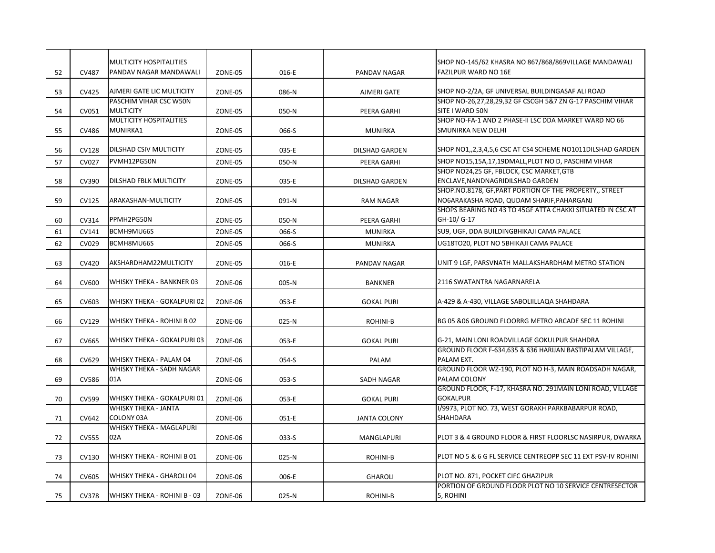|    |              | <b>MULTICITY HOSPITALITIES</b><br>PANDAV NAGAR MANDAWALI |         |       |                       | SHOP NO-145/62 KHASRA NO 867/868/869VILLAGE MANDAWALI<br><b>FAZILPUR WARD NO 16E</b>                 |
|----|--------------|----------------------------------------------------------|---------|-------|-----------------------|------------------------------------------------------------------------------------------------------|
| 52 | CV487        |                                                          | ZONE-05 | 016-E | PANDAV NAGAR          |                                                                                                      |
| 53 | CV425        | AJMERI GATE LIC MULTICITY                                | ZONE-05 | 086-N | AJMERI GATE           | SHOP NO-2/2A, GF UNIVERSAL BUILDINGASAF ALI ROAD                                                     |
|    |              | PASCHIM VIHAR CSC W50N                                   |         |       |                       | SHOP NO-26,27,28,29,32 GF CSCGH 5&7 ZN G-17 PASCHIM VIHAR                                            |
| 54 | CV051        | <b>MULTICITY</b><br><b>MULTICITY HOSPITALITIES</b>       | ZONE-05 | 050-N | PEERA GARHI           | SITE I WARD 50N                                                                                      |
| 55 | CV486        | <b>MUNIRKA1</b>                                          | ZONE-05 | 066-S | <b>MUNIRKA</b>        | SHOP NO-FA-1 AND 2 PHASE-II LSC DDA MARKET WARD NO 66<br>SMUNIRKA NEW DELHI                          |
| 56 | CV128        | DILSHAD CSIV MULTICITY                                   | ZONE-05 | 035-E | <b>DILSHAD GARDEN</b> | SHOP NO1,,2,3,4,5,6 CSC AT CS4 SCHEME NO1011DILSHAD GARDEN                                           |
| 57 | <b>CV027</b> | PVMH12PG50N                                              | ZONE-05 | 050-N | PEERA GARHI           | SHOP NO15,15A,17,19DMALL,PLOT NO D, PASCHIM VIHAR                                                    |
| 58 | CV390        | <b>DILSHAD FBLK MULTICITY</b>                            | ZONE-05 | 035-E | <b>DILSHAD GARDEN</b> | SHOP NO24,25 GF, FBLOCK, CSC MARKET, GTB<br>ENCLAVE, NANDNAGRIDILSHAD GARDEN                         |
| 59 | CV125        | ARAKASHAN-MULTICITY                                      | ZONE-05 | 091-N | <b>RAM NAGAR</b>      | SHOP.NO.8178, GF, PART PORTION OF THE PROPERTY,, STREET<br>NO6ARAKASHA ROAD, QUDAM SHARIF, PAHARGANJ |
| 60 | CV314        | PPMH2PG50N                                               | ZONE-05 | 050-N | PEERA GARHI           | SHOPS BEARING NO 43 TO 45GF ATTA CHAKKI SITUATED IN CSC AT<br>GH-10/ G-17                            |
| 61 | CV141        | BCMH9MU66S                                               | ZONE-05 | 066-S | <b>MUNIRKA</b>        | SU9, UGF, DDA BUILDINGBHIKAJI CAMA PALACE                                                            |
| 62 | CV029        | BCMH8MU66S                                               | ZONE-05 | 066-S | <b>MUNIRKA</b>        | UG18TO20, PLOT NO 5BHIKAJI CAMA PALACE                                                               |
| 63 | CV420        | AKSHARDHAM22MULTICITY                                    | ZONE-05 | 016-E | PANDAV NAGAR          | UNIT 9 LGF, PARSVNATH MALLAKSHARDHAM METRO STATION                                                   |
| 64 | CV600        | WHISKY THEKA - BANKNER 03                                | ZONE-06 | 005-N | <b>BANKNER</b>        | 2116 SWATANTRA NAGARNARELA                                                                           |
| 65 | CV603        | WHISKY THEKA - GOKALPURI 02                              | ZONE-06 | 053-E | <b>GOKAL PURI</b>     | A-429 & A-430, VILLAGE SABOLIILLAQA SHAHDARA                                                         |
| 66 | CV129        | WHISKY THEKA - ROHINI B 02                               | ZONE-06 | 025-N | ROHINI-B              | BG 05 & 06 GROUND FLOORRG METRO ARCADE SEC 11 ROHINI                                                 |
| 67 | CV665        | WHISKY THEKA - GOKALPURI 03                              | ZONE-06 | 053-E | <b>GOKAL PURI</b>     | G-21, MAIN LONI ROADVILLAGE GOKULPUR SHAHDRA                                                         |
| 68 | CV629        | WHISKY THEKA - PALAM 04                                  | ZONE-06 | 054-S | PALAM                 | GROUND FLOOR F-634,635 & 636 HARIJAN BASTIPALAM VILLAGE,<br>PALAM EXT.                               |
| 69 | CV586        | WHISKY THEKA - SADH NAGAR<br>01A                         | ZONE-06 | 053-S | SADH NAGAR            | GROUND FLOOR WZ-190, PLOT NO H-3, MAIN ROADSADH NAGAR,<br>PALAM COLONY                               |
| 70 | CV599        | WHISKY THEKA - GOKALPURI 01                              | ZONE-06 | 053-E | <b>GOKAL PURI</b>     | GROUND FLOOR, F-17, KHASRA NO. 291MAIN LONI ROAD, VILLAGE<br><b>GOKALPUR</b>                         |
| 71 | CV642        | <b>WHISKY THEKA - JANTA</b><br><b>COLONY 03A</b>         | ZONE-06 | 051-E | <b>JANTA COLONY</b>   | I/9973, PLOT NO. 73, WEST GORAKH PARKBABARPUR ROAD,<br><b>SHAHDARA</b>                               |
| 72 | <b>CV555</b> | WHISKY THEKA - MAGLAPURI<br>02A                          | ZONE-06 | 033-S | MANGLAPURI            | PLOT 3 & 4 GROUND FLOOR & FIRST FLOORLSC NASIRPUR, DWARKA                                            |
| 73 | CV130        | WHISKY THEKA - ROHINI B 01                               | ZONE-06 | 025-N | ROHINI-B              | PLOT NO 5 & 6 G FL SERVICE CENTREOPP SEC 11 EXT PSV-IV ROHINI                                        |
| 74 | CV605        | WHISKY THEKA - GHAROLI 04                                | ZONE-06 | 006-E | <b>GHAROLI</b>        | PLOT NO. 871, POCKET CIFC GHAZIPUR                                                                   |
| 75 | CV378        | WHISKY THEKA - ROHINI B - 03                             | ZONE-06 | 025-N | ROHINI-B              | PORTION OF GROUND FLOOR PLOT NO 10 SERVICE CENTRESECTOR<br>5, ROHINI                                 |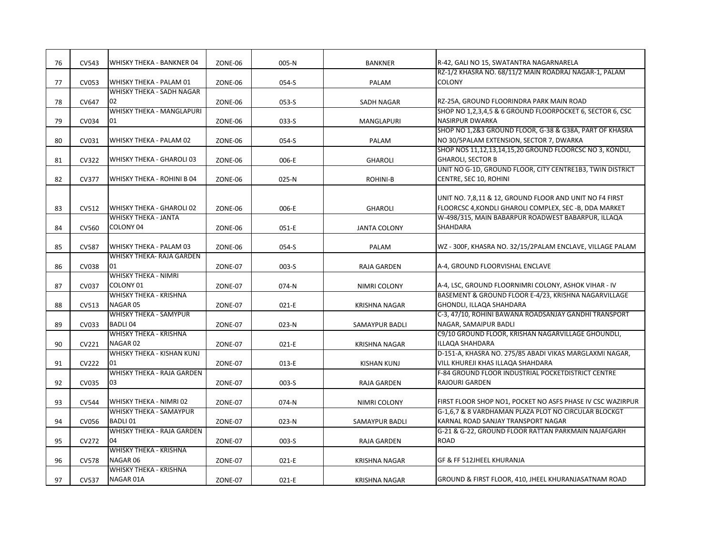| 76 | CV543        | WHISKY THEKA - BANKNER 04                            | ZONE-06 | 005-N   | <b>BANKNER</b>        | R-42, GALI NO 15, SWATANTRA NAGARNARELA                                                                           |
|----|--------------|------------------------------------------------------|---------|---------|-----------------------|-------------------------------------------------------------------------------------------------------------------|
| 77 | CV053        | WHISKY THEKA - PALAM 01                              | ZONE-06 | 054-S   | PALAM                 | RZ-1/2 KHASRA NO. 68/11/2 MAIN ROADRAJ NAGAR-1, PALAM<br><b>COLONY</b>                                            |
| 78 | CV647        | <b>WHISKY THEKA - SADH NAGAR</b><br>02               | ZONE-06 | $053-S$ | SADH NAGAR            | RZ-25A, GROUND FLOORINDRA PARK MAIN ROAD                                                                          |
| 79 | CV034        | WHISKY THEKA - MANGLAPURI<br>01                      | ZONE-06 | $033-S$ | <b>MANGLAPURI</b>     | SHOP NO 1,2,3,4,5 & 6 GROUND FLOORPOCKET 6, SECTOR 6, CSC<br><b>NASIRPUR DWARKA</b>                               |
| 80 | CV031        | WHISKY THEKA - PALAM 02                              | ZONE-06 | 054-S   | PALAM                 | SHOP NO 1,2&3 GROUND FLOOR, G-38 & G38A, PART OF KHASRA<br>NO 30/5PALAM EXTENSION, SECTOR 7, DWARKA               |
| 81 | CV322        | WHISKY THEKA - GHAROLI 03                            | ZONE-06 | 006-E   | <b>GHAROLI</b>        | SHOP NOS 11,12,13,14,15,20 GROUND FLOORCSC NO 3, KONDLI,<br><b>GHAROLI, SECTOR B</b>                              |
| 82 | CV377        | WHISKY THEKA - ROHINI B 04                           | ZONE-06 | 025-N   | ROHINI-B              | UNIT NO G-1D, GROUND FLOOR, CITY CENTRE1B3, TWIN DISTRICT<br>CENTRE, SEC 10, ROHINI                               |
| 83 | CV512        | WHISKY THEKA - GHAROLI 02                            | ZONE-06 | 006-E   | <b>GHAROLI</b>        | UNIT NO. 7,8,11 & 12, GROUND FLOOR AND UNIT NO F4 FIRST<br>FLOORCSC 4, KONDLI GHAROLI COMPLEX, SEC -B, DDA MARKET |
| 84 | <b>CV560</b> | <b>WHISKY THEKA - JANTA</b><br>COLONY <sub>04</sub>  | ZONE-06 | 051-E   | <b>JANTA COLONY</b>   | W-498/315, MAIN BABARPUR ROADWEST BABARPUR, ILLAQA<br><b>SHAHDARA</b>                                             |
| 85 | <b>CV587</b> | WHISKY THEKA - PALAM 03                              | ZONE-06 | 054-S   | PALAM                 | WZ - 300F, KHASRA NO. 32/15/2PALAM ENCLAVE, VILLAGE PALAM                                                         |
| 86 | <b>CV038</b> | <b>WHISKY THEKA- RAJA GARDEN</b><br>01               | ZONE-07 | $003-S$ | RAJA GARDEN           | A-4, GROUND FLOORVISHAL ENCLAVE                                                                                   |
| 87 | CV037        | <b>WHISKY THEKA - NIMRI</b><br><b>COLONY 01</b>      | ZONE-07 | 074-N   | NIMRI COLONY          | A-4, LSC, GROUND FLOORNIMRI COLONY, ASHOK VIHAR - IV                                                              |
| 88 | CV513        | WHISKY THEKA - KRISHNA<br>NAGAR 05                   | ZONE-07 | 021-E   | <b>KRISHNA NAGAR</b>  | BASEMENT & GROUND FLOOR E-4/23, KRISHNA NAGARVILLAGE<br>GHONDLI, ILLAQA SHAHDARA                                  |
| 89 | CV033        | <b>WHISKY THEKA - SAMYPUR</b><br><b>BADLI 04</b>     | ZONE-07 | 023-N   | SAMAYPUR BADLI        | C-3, 47/10, ROHINI BAWANA ROADSANJAY GANDHI TRANSPORT<br>NAGAR, SAMAIPUR BADLI                                    |
| 90 | CV221        | <b>WHISKY THEKA - KRISHNA</b><br>NAGAR <sub>02</sub> | ZONE-07 | $021-E$ | <b>KRISHNA NAGAR</b>  | C9/10 GROUND FLOOR, KRISHAN NAGARVILLAGE GHOUNDLI,<br><b>ILLAQA SHAHDARA</b>                                      |
| 91 | <b>CV222</b> | WHISKY THEKA - KISHAN KUNJ<br>01                     | ZONE-07 | 013-E   | <b>KISHAN KUNJ</b>    | D-151-A, KHASRA NO. 275/85 ABADI VIKAS MARGLAXMI NAGAR,<br>VILL KHUREJI KHAS ILLAQA SHAHDARA                      |
| 92 | CV035        | <b>WHISKY THEKA - RAJA GARDEN</b><br>03              | ZONE-07 | $003-S$ | <b>RAJA GARDEN</b>    | F-84 GROUND FLOOR INDUSTRIAL POCKETDISTRICT CENTRE<br><b>RAJOURI GARDEN</b>                                       |
| 93 | <b>CV544</b> | WHISKY THEKA - NIMRI 02                              | ZONE-07 | 074-N   | NIMRI COLONY          | FIRST FLOOR SHOP NO1, POCKET NO ASFS PHASE IV CSC WAZIRPUR                                                        |
| 94 | <b>CV056</b> | WHISKY THEKA - SAMAYPUR<br><b>BADLI01</b>            | ZONE-07 | 023-N   | <b>SAMAYPUR BADLI</b> | G-1,6,7 & 8 VARDHAMAN PLAZA PLOT NO CIRCULAR BLOCKGT<br>KARNAL ROAD SANJAY TRANSPORT NAGAR                        |
| 95 | CV272        | WHISKY THEKA - RAJA GARDEN<br>04                     | ZONE-07 | $003-S$ | RAJA GARDEN           | G-21 & G-22, GROUND FLOOR RATTAN PARKMAIN NAJAFGARH<br><b>ROAD</b>                                                |
| 96 | <b>CV578</b> | <b>WHISKY THEKA - KRISHNA</b><br>NAGAR 06            | ZONE-07 | 021-E   | <b>KRISHNA NAGAR</b>  | GF & FF 512JHEEL KHURANJA                                                                                         |
| 97 | <b>CV537</b> | <b>WHISKY THEKA - KRISHNA</b><br>NAGAR 01A           | ZONE-07 | 021-E   | <b>KRISHNA NAGAR</b>  | GROUND & FIRST FLOOR, 410, JHEEL KHURANJASATNAM ROAD                                                              |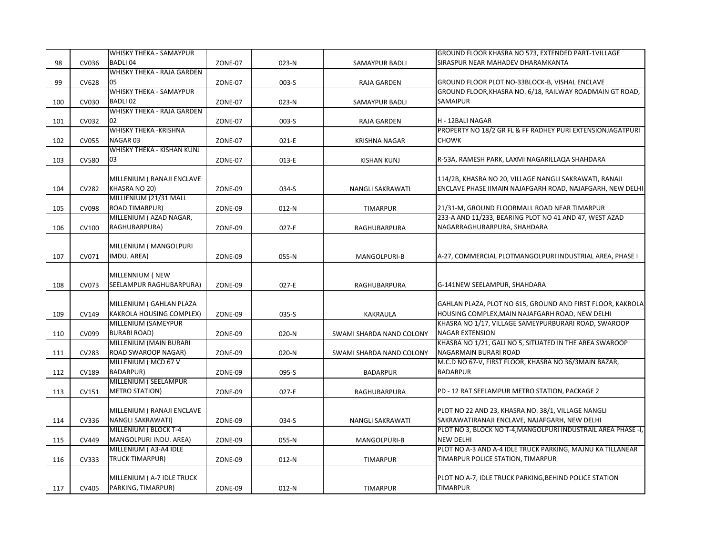| <b>BADLI 04</b><br>SIRASPUR NEAR MAHADEV DHARAMKANTA<br>98<br>CV036<br>023-N<br>ZONE-07<br>SAMAYPUR BADLI<br>WHISKY THEKA - RAJA GARDEN<br>05<br>GROUND FLOOR PLOT NO-33BLOCK-B, VISHAL ENCLAVE<br>99<br>CV628<br>ZONE-07<br>003-S<br>RAJA GARDEN<br><b>WHISKY THEKA - SAMAYPUR</b><br>GROUND FLOOR, KHASRA NO. 6/18, RAILWAY ROADMAIN GT ROAD,<br><b>BADLI 02</b><br>SAMAIPUR<br>100<br>CV030<br>023-N<br>ZONE-07<br>SAMAYPUR BADLI<br><b>WHISKY THEKA - RAJA GARDEN</b><br>CV032<br>02<br>H - 12BALI NAGAR<br>101<br>ZONE-07<br>003-S<br><b>RAJA GARDEN</b><br><b>WHISKY THEKA -KRISHNA</b><br>PROPERTY NO 18/2 GR FL & FF RADHEY PURI EXTENSIONJAGATPURI<br>NAGAR <sub>03</sub><br><b>CHOWK</b><br><b>CV055</b><br>102<br>ZONE-07<br>021-E<br><b>KRISHNA NAGAR</b><br>WHISKY THEKA - KISHAN KUNJ<br><b>CV580</b><br>03<br>R-53A, RAMESH PARK, LAXMI NAGARILLAQA SHAHDARA<br>103<br>ZONE-07<br>013-E<br><b>KISHAN KUNJ</b><br>MILLENIUM (RANAJI ENCLAVE<br>114/2B, KHASRA NO 20, VILLAGE NANGLI SAKRAWATI, RANAJI<br>KHASRA NO 20)<br>ENCLAVE PHASE IIMAIN NAJAFGARH ROAD, NAJAFGARH, NEW DELHI<br><b>CV282</b><br>ZONE-09<br>104<br>034-S<br>NANGLI SAKRAWATI<br>MILLIENIUM (21/31 MALL<br><b>ROAD TIMARPUR)</b><br>21/31-M, GROUND FLOORMALL ROAD NEAR TIMARPUR<br>105<br>CV098<br>ZONE-09<br>$012-N$<br>TIMARPUR<br>233-A AND 11/233, BEARING PLOT NO 41 AND 47, WEST AZAD<br>MILLENIUM (AZAD NAGAR,<br>RAGHUBARPURA)<br>NAGARRAGHUBARPURA, SHAHDARA<br>CV100<br>106<br>ZONE-09<br>$027-E$<br>RAGHUBARPURA<br>MILLENIUM (MANGOLPURI<br>IMDU. AREA)<br>CV071<br>A-27, COMMERCIAL PLOTMANGOLPURI INDUSTRIAL AREA, PHASE I<br>107<br>ZONE-09<br>055-N<br>MANGOLPURI-B<br>MILLENNIUM (NEW<br>SEELAMPUR RAGHUBARPURA)<br>108<br>CV073<br>ZONE-09<br>027-E<br>G-141NEW SEELAMPUR, SHAHDARA<br>RAGHUBARPURA<br>MILLENIUM (GAHLAN PLAZA<br>GAHLAN PLAZA, PLOT NO 615, GROUND AND FIRST FLOOR, KAKROLA<br><b>KAKROLA HOUSING COMPLEX)</b><br>HOUSING COMPLEX, MAIN NAJAFGARH ROAD, NEW DELHI<br>CV149<br>035-S<br>109<br>ZONE-09<br>KAKRAULA<br>MILLENIUM (SAMEYPUR<br>KHASRA NO 1/17, VILLAGE SAMEYPURBURARI ROAD, SWAROOP<br><b>BURARI ROAD)</b><br><b>NAGAR EXTENSION</b><br>CV099<br>110<br>ZONE-09<br>020-N<br>SWAMI SHARDA NAND COLONY<br>MILLENIUM (MAIN BURARI<br>KHASRA NO 1/21, GALI NO 5, SITUATED IN THE AREA SWAROOP<br>ROAD SWAROOP NAGAR)<br>NAGARMAIN BURARI ROAD<br>CV283<br>111<br>ZONE-09<br>020-N<br>SWAMI SHARDA NAND COLONY<br>MILLENIUM (MCD 67 V<br>M.C.D NO 67-V, FIRST FLOOR, KHASRA NO 36/3MAIN BAZAR,<br><b>BADARPUR)</b><br><b>BADARPUR</b><br>112<br>CV189<br>ZONE-09<br>095-S<br><b>BADARPUR</b><br>MILLENIUM (SEELAMPUR<br><b>METRO STATION)</b><br>PD - 12 RAT SEELAMPUR METRO STATION, PACKAGE 2<br>113<br>CV151<br>ZONE-09<br>027-E<br>RAGHUBARPURA<br>MILLENIUM (RANAJI ENCLAVE<br>PLOT NO 22 AND 23, KHASRA NO. 38/1, VILLAGE NANGLI<br><b>NANGLI SAKRAWATI)</b><br>SAKRAWATIRANAJI ENCLAVE, NAJAFGARH, NEW DELHI<br>114<br>CV336<br>ZONE-09<br>034-S<br><b>NANGLI SAKRAWATI</b><br>MILLENIUM (BLOCK T-4<br>PLOT NO 3, BLOCK NO T-4, MANGOLPURI INDUSTRAIL AREA PHASE -I,<br>MANGOLPURI INDU. AREA)<br><b>NEW DELHI</b><br>CV449<br>115<br>ZONE-09<br>055-N<br>MANGOLPURI-B<br>MILLENIUM (A3-A4 IDLE<br>PLOT NO A-3 AND A-4 IDLE TRUCK PARKING, MAJNU KA TILLANEAR<br><b>TRUCK TIMARPUR)</b><br>TIMARPUR POLICE STATION, TIMARPUR<br>116<br>CV333<br>ZONE-09<br>$012-N$<br><b>TIMARPUR</b><br>MILLENIUM (A-7 IDLE TRUCK<br>PLOT NO A-7, IDLE TRUCK PARKING, BEHIND POLICE STATION |  | <b>WHISKY THEKA - SAMAYPUR</b> |  | GROUND FLOOR KHASRA NO 573, EXTENDED PART-1VILLAGE |
|--------------------------------------------------------------------------------------------------------------------------------------------------------------------------------------------------------------------------------------------------------------------------------------------------------------------------------------------------------------------------------------------------------------------------------------------------------------------------------------------------------------------------------------------------------------------------------------------------------------------------------------------------------------------------------------------------------------------------------------------------------------------------------------------------------------------------------------------------------------------------------------------------------------------------------------------------------------------------------------------------------------------------------------------------------------------------------------------------------------------------------------------------------------------------------------------------------------------------------------------------------------------------------------------------------------------------------------------------------------------------------------------------------------------------------------------------------------------------------------------------------------------------------------------------------------------------------------------------------------------------------------------------------------------------------------------------------------------------------------------------------------------------------------------------------------------------------------------------------------------------------------------------------------------------------------------------------------------------------------------------------------------------------------------------------------------------------------------------------------------------------------------------------------------------------------------------------------------------------------------------------------------------------------------------------------------------------------------------------------------------------------------------------------------------------------------------------------------------------------------------------------------------------------------------------------------------------------------------------------------------------------------------------------------------------------------------------------------------------------------------------------------------------------------------------------------------------------------------------------------------------------------------------------------------------------------------------------------------------------------------------------------------------------------------------------------------------------------------------------------------------------------------------------------------------------------------------------------------------------------------------------------------------------------------------------------------------------------------------------------------------------------------------------------------------------------------------------------------------------------------------------------|--|--------------------------------|--|----------------------------------------------------|
|                                                                                                                                                                                                                                                                                                                                                                                                                                                                                                                                                                                                                                                                                                                                                                                                                                                                                                                                                                                                                                                                                                                                                                                                                                                                                                                                                                                                                                                                                                                                                                                                                                                                                                                                                                                                                                                                                                                                                                                                                                                                                                                                                                                                                                                                                                                                                                                                                                                                                                                                                                                                                                                                                                                                                                                                                                                                                                                                                                                                                                                                                                                                                                                                                                                                                                                                                                                                                                                                                                                    |  |                                |  |                                                    |
|                                                                                                                                                                                                                                                                                                                                                                                                                                                                                                                                                                                                                                                                                                                                                                                                                                                                                                                                                                                                                                                                                                                                                                                                                                                                                                                                                                                                                                                                                                                                                                                                                                                                                                                                                                                                                                                                                                                                                                                                                                                                                                                                                                                                                                                                                                                                                                                                                                                                                                                                                                                                                                                                                                                                                                                                                                                                                                                                                                                                                                                                                                                                                                                                                                                                                                                                                                                                                                                                                                                    |  |                                |  |                                                    |
|                                                                                                                                                                                                                                                                                                                                                                                                                                                                                                                                                                                                                                                                                                                                                                                                                                                                                                                                                                                                                                                                                                                                                                                                                                                                                                                                                                                                                                                                                                                                                                                                                                                                                                                                                                                                                                                                                                                                                                                                                                                                                                                                                                                                                                                                                                                                                                                                                                                                                                                                                                                                                                                                                                                                                                                                                                                                                                                                                                                                                                                                                                                                                                                                                                                                                                                                                                                                                                                                                                                    |  |                                |  |                                                    |
|                                                                                                                                                                                                                                                                                                                                                                                                                                                                                                                                                                                                                                                                                                                                                                                                                                                                                                                                                                                                                                                                                                                                                                                                                                                                                                                                                                                                                                                                                                                                                                                                                                                                                                                                                                                                                                                                                                                                                                                                                                                                                                                                                                                                                                                                                                                                                                                                                                                                                                                                                                                                                                                                                                                                                                                                                                                                                                                                                                                                                                                                                                                                                                                                                                                                                                                                                                                                                                                                                                                    |  |                                |  |                                                    |
|                                                                                                                                                                                                                                                                                                                                                                                                                                                                                                                                                                                                                                                                                                                                                                                                                                                                                                                                                                                                                                                                                                                                                                                                                                                                                                                                                                                                                                                                                                                                                                                                                                                                                                                                                                                                                                                                                                                                                                                                                                                                                                                                                                                                                                                                                                                                                                                                                                                                                                                                                                                                                                                                                                                                                                                                                                                                                                                                                                                                                                                                                                                                                                                                                                                                                                                                                                                                                                                                                                                    |  |                                |  |                                                    |
|                                                                                                                                                                                                                                                                                                                                                                                                                                                                                                                                                                                                                                                                                                                                                                                                                                                                                                                                                                                                                                                                                                                                                                                                                                                                                                                                                                                                                                                                                                                                                                                                                                                                                                                                                                                                                                                                                                                                                                                                                                                                                                                                                                                                                                                                                                                                                                                                                                                                                                                                                                                                                                                                                                                                                                                                                                                                                                                                                                                                                                                                                                                                                                                                                                                                                                                                                                                                                                                                                                                    |  |                                |  |                                                    |
|                                                                                                                                                                                                                                                                                                                                                                                                                                                                                                                                                                                                                                                                                                                                                                                                                                                                                                                                                                                                                                                                                                                                                                                                                                                                                                                                                                                                                                                                                                                                                                                                                                                                                                                                                                                                                                                                                                                                                                                                                                                                                                                                                                                                                                                                                                                                                                                                                                                                                                                                                                                                                                                                                                                                                                                                                                                                                                                                                                                                                                                                                                                                                                                                                                                                                                                                                                                                                                                                                                                    |  |                                |  |                                                    |
|                                                                                                                                                                                                                                                                                                                                                                                                                                                                                                                                                                                                                                                                                                                                                                                                                                                                                                                                                                                                                                                                                                                                                                                                                                                                                                                                                                                                                                                                                                                                                                                                                                                                                                                                                                                                                                                                                                                                                                                                                                                                                                                                                                                                                                                                                                                                                                                                                                                                                                                                                                                                                                                                                                                                                                                                                                                                                                                                                                                                                                                                                                                                                                                                                                                                                                                                                                                                                                                                                                                    |  |                                |  |                                                    |
|                                                                                                                                                                                                                                                                                                                                                                                                                                                                                                                                                                                                                                                                                                                                                                                                                                                                                                                                                                                                                                                                                                                                                                                                                                                                                                                                                                                                                                                                                                                                                                                                                                                                                                                                                                                                                                                                                                                                                                                                                                                                                                                                                                                                                                                                                                                                                                                                                                                                                                                                                                                                                                                                                                                                                                                                                                                                                                                                                                                                                                                                                                                                                                                                                                                                                                                                                                                                                                                                                                                    |  |                                |  |                                                    |
|                                                                                                                                                                                                                                                                                                                                                                                                                                                                                                                                                                                                                                                                                                                                                                                                                                                                                                                                                                                                                                                                                                                                                                                                                                                                                                                                                                                                                                                                                                                                                                                                                                                                                                                                                                                                                                                                                                                                                                                                                                                                                                                                                                                                                                                                                                                                                                                                                                                                                                                                                                                                                                                                                                                                                                                                                                                                                                                                                                                                                                                                                                                                                                                                                                                                                                                                                                                                                                                                                                                    |  |                                |  |                                                    |
|                                                                                                                                                                                                                                                                                                                                                                                                                                                                                                                                                                                                                                                                                                                                                                                                                                                                                                                                                                                                                                                                                                                                                                                                                                                                                                                                                                                                                                                                                                                                                                                                                                                                                                                                                                                                                                                                                                                                                                                                                                                                                                                                                                                                                                                                                                                                                                                                                                                                                                                                                                                                                                                                                                                                                                                                                                                                                                                                                                                                                                                                                                                                                                                                                                                                                                                                                                                                                                                                                                                    |  |                                |  |                                                    |
|                                                                                                                                                                                                                                                                                                                                                                                                                                                                                                                                                                                                                                                                                                                                                                                                                                                                                                                                                                                                                                                                                                                                                                                                                                                                                                                                                                                                                                                                                                                                                                                                                                                                                                                                                                                                                                                                                                                                                                                                                                                                                                                                                                                                                                                                                                                                                                                                                                                                                                                                                                                                                                                                                                                                                                                                                                                                                                                                                                                                                                                                                                                                                                                                                                                                                                                                                                                                                                                                                                                    |  |                                |  |                                                    |
|                                                                                                                                                                                                                                                                                                                                                                                                                                                                                                                                                                                                                                                                                                                                                                                                                                                                                                                                                                                                                                                                                                                                                                                                                                                                                                                                                                                                                                                                                                                                                                                                                                                                                                                                                                                                                                                                                                                                                                                                                                                                                                                                                                                                                                                                                                                                                                                                                                                                                                                                                                                                                                                                                                                                                                                                                                                                                                                                                                                                                                                                                                                                                                                                                                                                                                                                                                                                                                                                                                                    |  |                                |  |                                                    |
|                                                                                                                                                                                                                                                                                                                                                                                                                                                                                                                                                                                                                                                                                                                                                                                                                                                                                                                                                                                                                                                                                                                                                                                                                                                                                                                                                                                                                                                                                                                                                                                                                                                                                                                                                                                                                                                                                                                                                                                                                                                                                                                                                                                                                                                                                                                                                                                                                                                                                                                                                                                                                                                                                                                                                                                                                                                                                                                                                                                                                                                                                                                                                                                                                                                                                                                                                                                                                                                                                                                    |  |                                |  |                                                    |
|                                                                                                                                                                                                                                                                                                                                                                                                                                                                                                                                                                                                                                                                                                                                                                                                                                                                                                                                                                                                                                                                                                                                                                                                                                                                                                                                                                                                                                                                                                                                                                                                                                                                                                                                                                                                                                                                                                                                                                                                                                                                                                                                                                                                                                                                                                                                                                                                                                                                                                                                                                                                                                                                                                                                                                                                                                                                                                                                                                                                                                                                                                                                                                                                                                                                                                                                                                                                                                                                                                                    |  |                                |  |                                                    |
|                                                                                                                                                                                                                                                                                                                                                                                                                                                                                                                                                                                                                                                                                                                                                                                                                                                                                                                                                                                                                                                                                                                                                                                                                                                                                                                                                                                                                                                                                                                                                                                                                                                                                                                                                                                                                                                                                                                                                                                                                                                                                                                                                                                                                                                                                                                                                                                                                                                                                                                                                                                                                                                                                                                                                                                                                                                                                                                                                                                                                                                                                                                                                                                                                                                                                                                                                                                                                                                                                                                    |  |                                |  |                                                    |
|                                                                                                                                                                                                                                                                                                                                                                                                                                                                                                                                                                                                                                                                                                                                                                                                                                                                                                                                                                                                                                                                                                                                                                                                                                                                                                                                                                                                                                                                                                                                                                                                                                                                                                                                                                                                                                                                                                                                                                                                                                                                                                                                                                                                                                                                                                                                                                                                                                                                                                                                                                                                                                                                                                                                                                                                                                                                                                                                                                                                                                                                                                                                                                                                                                                                                                                                                                                                                                                                                                                    |  |                                |  |                                                    |
|                                                                                                                                                                                                                                                                                                                                                                                                                                                                                                                                                                                                                                                                                                                                                                                                                                                                                                                                                                                                                                                                                                                                                                                                                                                                                                                                                                                                                                                                                                                                                                                                                                                                                                                                                                                                                                                                                                                                                                                                                                                                                                                                                                                                                                                                                                                                                                                                                                                                                                                                                                                                                                                                                                                                                                                                                                                                                                                                                                                                                                                                                                                                                                                                                                                                                                                                                                                                                                                                                                                    |  |                                |  |                                                    |
|                                                                                                                                                                                                                                                                                                                                                                                                                                                                                                                                                                                                                                                                                                                                                                                                                                                                                                                                                                                                                                                                                                                                                                                                                                                                                                                                                                                                                                                                                                                                                                                                                                                                                                                                                                                                                                                                                                                                                                                                                                                                                                                                                                                                                                                                                                                                                                                                                                                                                                                                                                                                                                                                                                                                                                                                                                                                                                                                                                                                                                                                                                                                                                                                                                                                                                                                                                                                                                                                                                                    |  |                                |  |                                                    |
|                                                                                                                                                                                                                                                                                                                                                                                                                                                                                                                                                                                                                                                                                                                                                                                                                                                                                                                                                                                                                                                                                                                                                                                                                                                                                                                                                                                                                                                                                                                                                                                                                                                                                                                                                                                                                                                                                                                                                                                                                                                                                                                                                                                                                                                                                                                                                                                                                                                                                                                                                                                                                                                                                                                                                                                                                                                                                                                                                                                                                                                                                                                                                                                                                                                                                                                                                                                                                                                                                                                    |  |                                |  |                                                    |
|                                                                                                                                                                                                                                                                                                                                                                                                                                                                                                                                                                                                                                                                                                                                                                                                                                                                                                                                                                                                                                                                                                                                                                                                                                                                                                                                                                                                                                                                                                                                                                                                                                                                                                                                                                                                                                                                                                                                                                                                                                                                                                                                                                                                                                                                                                                                                                                                                                                                                                                                                                                                                                                                                                                                                                                                                                                                                                                                                                                                                                                                                                                                                                                                                                                                                                                                                                                                                                                                                                                    |  |                                |  |                                                    |
|                                                                                                                                                                                                                                                                                                                                                                                                                                                                                                                                                                                                                                                                                                                                                                                                                                                                                                                                                                                                                                                                                                                                                                                                                                                                                                                                                                                                                                                                                                                                                                                                                                                                                                                                                                                                                                                                                                                                                                                                                                                                                                                                                                                                                                                                                                                                                                                                                                                                                                                                                                                                                                                                                                                                                                                                                                                                                                                                                                                                                                                                                                                                                                                                                                                                                                                                                                                                                                                                                                                    |  |                                |  |                                                    |
|                                                                                                                                                                                                                                                                                                                                                                                                                                                                                                                                                                                                                                                                                                                                                                                                                                                                                                                                                                                                                                                                                                                                                                                                                                                                                                                                                                                                                                                                                                                                                                                                                                                                                                                                                                                                                                                                                                                                                                                                                                                                                                                                                                                                                                                                                                                                                                                                                                                                                                                                                                                                                                                                                                                                                                                                                                                                                                                                                                                                                                                                                                                                                                                                                                                                                                                                                                                                                                                                                                                    |  |                                |  |                                                    |
|                                                                                                                                                                                                                                                                                                                                                                                                                                                                                                                                                                                                                                                                                                                                                                                                                                                                                                                                                                                                                                                                                                                                                                                                                                                                                                                                                                                                                                                                                                                                                                                                                                                                                                                                                                                                                                                                                                                                                                                                                                                                                                                                                                                                                                                                                                                                                                                                                                                                                                                                                                                                                                                                                                                                                                                                                                                                                                                                                                                                                                                                                                                                                                                                                                                                                                                                                                                                                                                                                                                    |  |                                |  |                                                    |
|                                                                                                                                                                                                                                                                                                                                                                                                                                                                                                                                                                                                                                                                                                                                                                                                                                                                                                                                                                                                                                                                                                                                                                                                                                                                                                                                                                                                                                                                                                                                                                                                                                                                                                                                                                                                                                                                                                                                                                                                                                                                                                                                                                                                                                                                                                                                                                                                                                                                                                                                                                                                                                                                                                                                                                                                                                                                                                                                                                                                                                                                                                                                                                                                                                                                                                                                                                                                                                                                                                                    |  |                                |  |                                                    |
|                                                                                                                                                                                                                                                                                                                                                                                                                                                                                                                                                                                                                                                                                                                                                                                                                                                                                                                                                                                                                                                                                                                                                                                                                                                                                                                                                                                                                                                                                                                                                                                                                                                                                                                                                                                                                                                                                                                                                                                                                                                                                                                                                                                                                                                                                                                                                                                                                                                                                                                                                                                                                                                                                                                                                                                                                                                                                                                                                                                                                                                                                                                                                                                                                                                                                                                                                                                                                                                                                                                    |  |                                |  |                                                    |
|                                                                                                                                                                                                                                                                                                                                                                                                                                                                                                                                                                                                                                                                                                                                                                                                                                                                                                                                                                                                                                                                                                                                                                                                                                                                                                                                                                                                                                                                                                                                                                                                                                                                                                                                                                                                                                                                                                                                                                                                                                                                                                                                                                                                                                                                                                                                                                                                                                                                                                                                                                                                                                                                                                                                                                                                                                                                                                                                                                                                                                                                                                                                                                                                                                                                                                                                                                                                                                                                                                                    |  |                                |  |                                                    |
|                                                                                                                                                                                                                                                                                                                                                                                                                                                                                                                                                                                                                                                                                                                                                                                                                                                                                                                                                                                                                                                                                                                                                                                                                                                                                                                                                                                                                                                                                                                                                                                                                                                                                                                                                                                                                                                                                                                                                                                                                                                                                                                                                                                                                                                                                                                                                                                                                                                                                                                                                                                                                                                                                                                                                                                                                                                                                                                                                                                                                                                                                                                                                                                                                                                                                                                                                                                                                                                                                                                    |  |                                |  |                                                    |
|                                                                                                                                                                                                                                                                                                                                                                                                                                                                                                                                                                                                                                                                                                                                                                                                                                                                                                                                                                                                                                                                                                                                                                                                                                                                                                                                                                                                                                                                                                                                                                                                                                                                                                                                                                                                                                                                                                                                                                                                                                                                                                                                                                                                                                                                                                                                                                                                                                                                                                                                                                                                                                                                                                                                                                                                                                                                                                                                                                                                                                                                                                                                                                                                                                                                                                                                                                                                                                                                                                                    |  |                                |  |                                                    |
|                                                                                                                                                                                                                                                                                                                                                                                                                                                                                                                                                                                                                                                                                                                                                                                                                                                                                                                                                                                                                                                                                                                                                                                                                                                                                                                                                                                                                                                                                                                                                                                                                                                                                                                                                                                                                                                                                                                                                                                                                                                                                                                                                                                                                                                                                                                                                                                                                                                                                                                                                                                                                                                                                                                                                                                                                                                                                                                                                                                                                                                                                                                                                                                                                                                                                                                                                                                                                                                                                                                    |  |                                |  |                                                    |
|                                                                                                                                                                                                                                                                                                                                                                                                                                                                                                                                                                                                                                                                                                                                                                                                                                                                                                                                                                                                                                                                                                                                                                                                                                                                                                                                                                                                                                                                                                                                                                                                                                                                                                                                                                                                                                                                                                                                                                                                                                                                                                                                                                                                                                                                                                                                                                                                                                                                                                                                                                                                                                                                                                                                                                                                                                                                                                                                                                                                                                                                                                                                                                                                                                                                                                                                                                                                                                                                                                                    |  |                                |  |                                                    |
|                                                                                                                                                                                                                                                                                                                                                                                                                                                                                                                                                                                                                                                                                                                                                                                                                                                                                                                                                                                                                                                                                                                                                                                                                                                                                                                                                                                                                                                                                                                                                                                                                                                                                                                                                                                                                                                                                                                                                                                                                                                                                                                                                                                                                                                                                                                                                                                                                                                                                                                                                                                                                                                                                                                                                                                                                                                                                                                                                                                                                                                                                                                                                                                                                                                                                                                                                                                                                                                                                                                    |  |                                |  |                                                    |
|                                                                                                                                                                                                                                                                                                                                                                                                                                                                                                                                                                                                                                                                                                                                                                                                                                                                                                                                                                                                                                                                                                                                                                                                                                                                                                                                                                                                                                                                                                                                                                                                                                                                                                                                                                                                                                                                                                                                                                                                                                                                                                                                                                                                                                                                                                                                                                                                                                                                                                                                                                                                                                                                                                                                                                                                                                                                                                                                                                                                                                                                                                                                                                                                                                                                                                                                                                                                                                                                                                                    |  |                                |  |                                                    |
|                                                                                                                                                                                                                                                                                                                                                                                                                                                                                                                                                                                                                                                                                                                                                                                                                                                                                                                                                                                                                                                                                                                                                                                                                                                                                                                                                                                                                                                                                                                                                                                                                                                                                                                                                                                                                                                                                                                                                                                                                                                                                                                                                                                                                                                                                                                                                                                                                                                                                                                                                                                                                                                                                                                                                                                                                                                                                                                                                                                                                                                                                                                                                                                                                                                                                                                                                                                                                                                                                                                    |  |                                |  |                                                    |
|                                                                                                                                                                                                                                                                                                                                                                                                                                                                                                                                                                                                                                                                                                                                                                                                                                                                                                                                                                                                                                                                                                                                                                                                                                                                                                                                                                                                                                                                                                                                                                                                                                                                                                                                                                                                                                                                                                                                                                                                                                                                                                                                                                                                                                                                                                                                                                                                                                                                                                                                                                                                                                                                                                                                                                                                                                                                                                                                                                                                                                                                                                                                                                                                                                                                                                                                                                                                                                                                                                                    |  |                                |  |                                                    |
|                                                                                                                                                                                                                                                                                                                                                                                                                                                                                                                                                                                                                                                                                                                                                                                                                                                                                                                                                                                                                                                                                                                                                                                                                                                                                                                                                                                                                                                                                                                                                                                                                                                                                                                                                                                                                                                                                                                                                                                                                                                                                                                                                                                                                                                                                                                                                                                                                                                                                                                                                                                                                                                                                                                                                                                                                                                                                                                                                                                                                                                                                                                                                                                                                                                                                                                                                                                                                                                                                                                    |  |                                |  |                                                    |
|                                                                                                                                                                                                                                                                                                                                                                                                                                                                                                                                                                                                                                                                                                                                                                                                                                                                                                                                                                                                                                                                                                                                                                                                                                                                                                                                                                                                                                                                                                                                                                                                                                                                                                                                                                                                                                                                                                                                                                                                                                                                                                                                                                                                                                                                                                                                                                                                                                                                                                                                                                                                                                                                                                                                                                                                                                                                                                                                                                                                                                                                                                                                                                                                                                                                                                                                                                                                                                                                                                                    |  |                                |  |                                                    |
|                                                                                                                                                                                                                                                                                                                                                                                                                                                                                                                                                                                                                                                                                                                                                                                                                                                                                                                                                                                                                                                                                                                                                                                                                                                                                                                                                                                                                                                                                                                                                                                                                                                                                                                                                                                                                                                                                                                                                                                                                                                                                                                                                                                                                                                                                                                                                                                                                                                                                                                                                                                                                                                                                                                                                                                                                                                                                                                                                                                                                                                                                                                                                                                                                                                                                                                                                                                                                                                                                                                    |  |                                |  |                                                    |
|                                                                                                                                                                                                                                                                                                                                                                                                                                                                                                                                                                                                                                                                                                                                                                                                                                                                                                                                                                                                                                                                                                                                                                                                                                                                                                                                                                                                                                                                                                                                                                                                                                                                                                                                                                                                                                                                                                                                                                                                                                                                                                                                                                                                                                                                                                                                                                                                                                                                                                                                                                                                                                                                                                                                                                                                                                                                                                                                                                                                                                                                                                                                                                                                                                                                                                                                                                                                                                                                                                                    |  |                                |  |                                                    |
|                                                                                                                                                                                                                                                                                                                                                                                                                                                                                                                                                                                                                                                                                                                                                                                                                                                                                                                                                                                                                                                                                                                                                                                                                                                                                                                                                                                                                                                                                                                                                                                                                                                                                                                                                                                                                                                                                                                                                                                                                                                                                                                                                                                                                                                                                                                                                                                                                                                                                                                                                                                                                                                                                                                                                                                                                                                                                                                                                                                                                                                                                                                                                                                                                                                                                                                                                                                                                                                                                                                    |  |                                |  |                                                    |
|                                                                                                                                                                                                                                                                                                                                                                                                                                                                                                                                                                                                                                                                                                                                                                                                                                                                                                                                                                                                                                                                                                                                                                                                                                                                                                                                                                                                                                                                                                                                                                                                                                                                                                                                                                                                                                                                                                                                                                                                                                                                                                                                                                                                                                                                                                                                                                                                                                                                                                                                                                                                                                                                                                                                                                                                                                                                                                                                                                                                                                                                                                                                                                                                                                                                                                                                                                                                                                                                                                                    |  |                                |  |                                                    |
|                                                                                                                                                                                                                                                                                                                                                                                                                                                                                                                                                                                                                                                                                                                                                                                                                                                                                                                                                                                                                                                                                                                                                                                                                                                                                                                                                                                                                                                                                                                                                                                                                                                                                                                                                                                                                                                                                                                                                                                                                                                                                                                                                                                                                                                                                                                                                                                                                                                                                                                                                                                                                                                                                                                                                                                                                                                                                                                                                                                                                                                                                                                                                                                                                                                                                                                                                                                                                                                                                                                    |  |                                |  |                                                    |
|                                                                                                                                                                                                                                                                                                                                                                                                                                                                                                                                                                                                                                                                                                                                                                                                                                                                                                                                                                                                                                                                                                                                                                                                                                                                                                                                                                                                                                                                                                                                                                                                                                                                                                                                                                                                                                                                                                                                                                                                                                                                                                                                                                                                                                                                                                                                                                                                                                                                                                                                                                                                                                                                                                                                                                                                                                                                                                                                                                                                                                                                                                                                                                                                                                                                                                                                                                                                                                                                                                                    |  |                                |  |                                                    |
| PARKING, TIMARPUR)<br><b>TIMARPUR</b><br>CV405<br>ZONE-09<br>$012-N$<br>117<br><b>TIMARPUR</b>                                                                                                                                                                                                                                                                                                                                                                                                                                                                                                                                                                                                                                                                                                                                                                                                                                                                                                                                                                                                                                                                                                                                                                                                                                                                                                                                                                                                                                                                                                                                                                                                                                                                                                                                                                                                                                                                                                                                                                                                                                                                                                                                                                                                                                                                                                                                                                                                                                                                                                                                                                                                                                                                                                                                                                                                                                                                                                                                                                                                                                                                                                                                                                                                                                                                                                                                                                                                                     |  |                                |  |                                                    |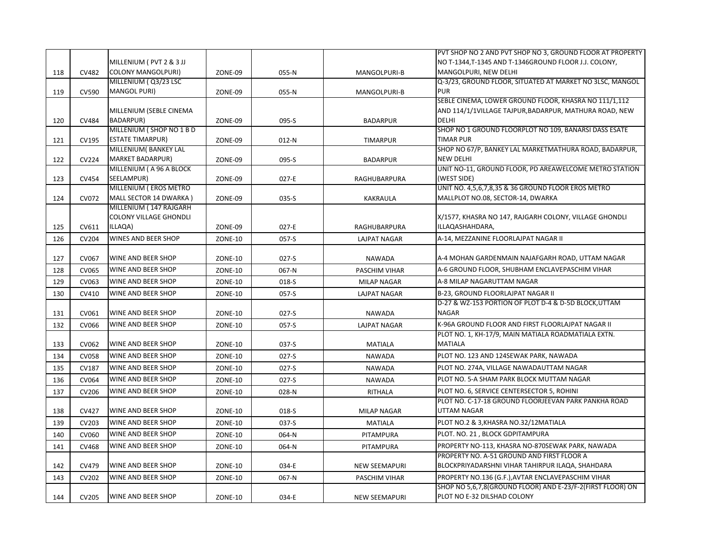|     |              |                               |                |         |                      | PVT SHOP NO 2 AND PVT SHOP NO 3, GROUND FLOOR AT PROPERTY  |
|-----|--------------|-------------------------------|----------------|---------|----------------------|------------------------------------------------------------|
|     |              | MILLENIUM (PVT 2 & 3 JJ       |                |         |                      | NO T-1344, T-1345 AND T-1346GROUND FLOOR J.J. COLONY,      |
| 118 | <b>CV482</b> | <b>COLONY MANGOLPURI)</b>     | ZONE-09        | 055-N   | MANGOLPURI-B         | MANGOLPURI, NEW DELHI                                      |
|     |              | MILLENIUM (Q3/23 LSC          |                |         |                      | Q-3/23, GROUND FLOOR, SITUATED AT MARKET NO 3LSC, MANGOL   |
| 119 | CV590        | <b>MANGOL PURI)</b>           | ZONE-09        | 055-N   | <b>MANGOLPURI-B</b>  | <b>PUR</b>                                                 |
|     |              |                               |                |         |                      | SEBLE CINEMA, LOWER GROUND FLOOR, KHASRA NO 111/1,112      |
|     |              | MILLENIUM (SEBLE CINEMA       |                |         |                      | AND 114/1/1VILLAGE TAJPUR, BADARPUR, MATHURA ROAD, NEW     |
| 120 | CV484        | <b>BADARPUR)</b>              | ZONE-09        | 095-S   | <b>BADARPUR</b>      | <b>DELHI</b>                                               |
|     |              | MILLENIUM (SHOP NO 1 B D      |                |         |                      | SHOP NO 1 GROUND FLOORPLOT NO 109, BANARSI DASS ESATE      |
| 121 | CV195        | <b>ESTATE TIMARPUR)</b>       | ZONE-09        | $012-N$ | <b>TIMARPUR</b>      | <b>TIMAR PUR</b>                                           |
|     |              | MILLENIUM (BANKEY LAL         |                |         |                      | SHOP NO 67/P, BANKEY LAL MARKETMATHURA ROAD, BADARPUR,     |
| 122 | <b>CV224</b> | <b>MARKET BADARPUR)</b>       | ZONE-09        | 095-S   | <b>BADARPUR</b>      | <b>NEW DELHI</b>                                           |
|     |              | MILLENIUM (A 96 A BLOCK       |                |         |                      | UNIT NO-11, GROUND FLOOR, PD AREAWELCOME METRO STATION     |
| 123 | CV454        | SEELAMPUR)                    | ZONE-09        | 027-E   | RAGHUBARPURA         | (WEST SIDE)                                                |
|     |              | MILLENIUM (EROS METRO         |                |         |                      | UNIT NO. 4,5,6,7,8,35 & 36 GROUND FLOOR EROS METRO         |
| 124 | CV072        | MALL SECTOR 14 DWARKA)        | ZONE-09        | 035-S   | KAKRAULA             | MALLPLOT NO.08, SECTOR-14, DWARKA                          |
|     |              | MILLENIUM (147 RAJGARH        |                |         |                      |                                                            |
|     |              | <b>COLONY VILLAGE GHONDLI</b> |                |         |                      | X/1577, KHASRA NO 147, RAJGARH COLONY, VILLAGE GHONDLI     |
| 125 | CV611        | ILLAQA)                       | ZONE-09        | 027-E   | RAGHUBARPURA         | ILLAQASHAHDARA,                                            |
| 126 | CV204        | WINES AND BEER SHOP           | <b>ZONE-10</b> | 057-S   | <b>LAJPAT NAGAR</b>  | A-14, MEZZANINE FLOORLAJPAT NAGAR II                       |
|     |              |                               |                |         |                      |                                                            |
| 127 | CV067        | <b>WINE AND BEER SHOP</b>     | <b>ZONE-10</b> | $027-S$ | <b>NAWADA</b>        | A-4 MOHAN GARDENMAIN NAJAFGARH ROAD, UTTAM NAGAR           |
| 128 | CV065        | <b>WINE AND BEER SHOP</b>     | ZONE-10        | 067-N   | PASCHIM VIHAR        | A-6 GROUND FLOOR, SHUBHAM ENCLAVEPASCHIM VIHAR             |
| 129 | CV063        | WINE AND BEER SHOP            | <b>ZONE-10</b> | 018-S   | <b>MILAP NAGAR</b>   | A-8 MILAP NAGARUTTAM NAGAR                                 |
| 130 | CV410        | WINE AND BEER SHOP            | <b>ZONE-10</b> | 057-S   | <b>LAJPAT NAGAR</b>  | B-23, GROUND FLOORLAJPAT NAGAR II                          |
|     |              |                               |                |         |                      | D-27 & WZ-153 PORTION OF PLOT D-4 & D-5D BLOCK, UTTAM      |
| 131 | CV061        | <b>WINE AND BEER SHOP</b>     | <b>ZONE-10</b> | $027-S$ | <b>NAWADA</b>        | <b>NAGAR</b>                                               |
| 132 | CV066        | WINE AND BEER SHOP            | <b>ZONE-10</b> | 057-S   | <b>LAJPAT NAGAR</b>  | K-96A GROUND FLOOR AND FIRST FLOORLAJPAT NAGAR II          |
|     |              |                               |                |         |                      | PLOT NO. 1, KH-17/9, MAIN MATIALA ROADMATIALA EXTN.        |
| 133 | CV062        | <b>WINE AND BEER SHOP</b>     | <b>ZONE-10</b> | 037-S   | <b>MATIALA</b>       | <b>MATIALA</b>                                             |
| 134 | <b>CV058</b> | <b>WINE AND BEER SHOP</b>     | <b>ZONE-10</b> | $027-S$ | <b>NAWADA</b>        | PLOT NO. 123 AND 124SEWAK PARK, NAWADA                     |
| 135 | CV187        | <b>WINE AND BEER SHOP</b>     | ZONE-10        | $027-S$ | <b>NAWADA</b>        | PLOT NO. 274A, VILLAGE NAWADAUTTAM NAGAR                   |
| 136 | <b>CV064</b> | WINE AND BEER SHOP            | <b>ZONE-10</b> | $027-S$ | <b>NAWADA</b>        | PLOT NO. 5-A SHAM PARK BLOCK MUTTAM NAGAR                  |
| 137 | CV206        | WINE AND BEER SHOP            | <b>ZONE-10</b> | 028-N   | RITHALA              | PLOT NO. 6, SERVICE CENTERSECTOR 5, ROHINI                 |
|     |              |                               |                |         |                      | PLOT NO. C-17-18 GROUND FLOORJEEVAN PARK PANKHA ROAD       |
| 138 | CV427        | <b>WINE AND BEER SHOP</b>     | <b>ZONE-10</b> | 018-S   | <b>MILAP NAGAR</b>   | <b>UTTAM NAGAR</b>                                         |
| 139 | CV203        | <b>WINE AND BEER SHOP</b>     | ZONE-10        | 037-S   | <b>MATIALA</b>       | PLOT NO.2 & 3, KHASRA NO.32/12MATIALA                      |
| 140 | CV060        | <b>WINE AND BEER SHOP</b>     | <b>ZONE-10</b> | 064-N   | PITAMPURA            | PLOT. NO. 21, BLOCK GDPITAMPURA                            |
| 141 | <b>CV468</b> | WINE AND BEER SHOP            | ZONE-10        | 064-N   | PITAMPURA            | PROPERTY NO-113, KHASRA NO-870SEWAK PARK, NAWADA           |
|     |              |                               |                |         |                      | PROPERTY NO. A-51 GROUND AND FIRST FLOOR A                 |
| 142 | CV479        | <b>WINE AND BEER SHOP</b>     | <b>ZONE-10</b> | 034-E   | <b>NEW SEEMAPURI</b> | BLOCKPRIYADARSHNI VIHAR TAHIRPUR ILAQA, SHAHDARA           |
| 143 | CV202        | <b>WINE AND BEER SHOP</b>     | ZONE-10        | 067-N   | PASCHIM VIHAR        | PROPERTY NO.136 (G.F.), AVTAR ENCLAVEPASCHIM VIHAR         |
|     |              |                               |                |         |                      | SHOP NO 5,6,7,8(GROUND FLOOR) AND E-23/F-2(FIRST FLOOR) ON |
| 144 | CV205        | <b>WINE AND BEER SHOP</b>     | <b>ZONE-10</b> | 034-E   | <b>NEW SEEMAPURI</b> | PLOT NO E-32 DILSHAD COLONY                                |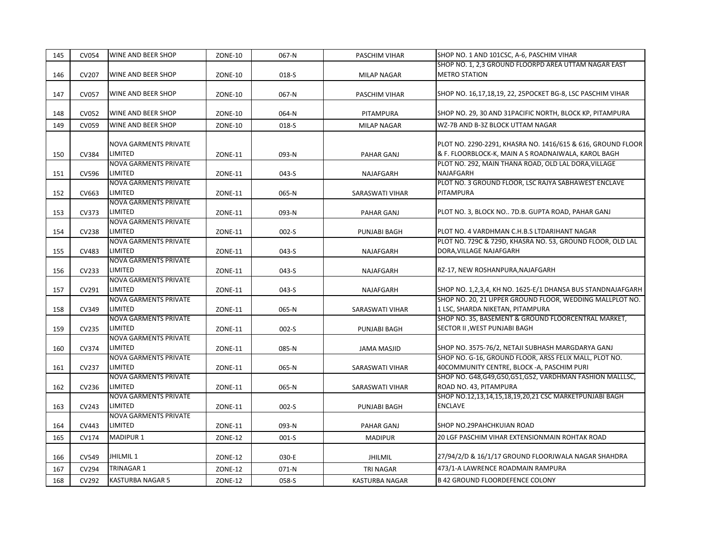| 145 | <b>CV054</b> | <b>WINE AND BEER SHOP</b>               | <b>ZONE-10</b> | 067-N   | PASCHIM VIHAR      | SHOP NO. 1 AND 101CSC, A-6, PASCHIM VIHAR                   |
|-----|--------------|-----------------------------------------|----------------|---------|--------------------|-------------------------------------------------------------|
|     |              |                                         |                |         |                    | SHOP NO. 1, 2,3 GROUND FLOORPD AREA UTTAM NAGAR EAST        |
| 146 | CV207        | WINE AND BEER SHOP                      | <b>ZONE-10</b> | 018-S   | <b>MILAP NAGAR</b> | <b>METRO STATION</b>                                        |
|     |              |                                         |                |         |                    |                                                             |
| 147 | <b>CV057</b> | <b>WINE AND BEER SHOP</b>               | ZONE-10        | 067-N   | PASCHIM VIHAR      | SHOP NO. 16,17,18,19, 22, 25POCKET BG-8, LSC PASCHIM VIHAR  |
|     |              | WINE AND BEER SHOP                      |                |         |                    |                                                             |
| 148 | CV052        |                                         | ZONE-10        | 064-N   | PITAMPURA          | SHOP NO. 29, 30 AND 31PACIFIC NORTH, BLOCK KP, PITAMPURA    |
| 149 | CV059        | <b>WINE AND BEER SHOP</b>               | <b>ZONE-10</b> | 018-S   | <b>MILAP NAGAR</b> | WZ-7B AND B-3Z BLOCK UTTAM NAGAR                            |
|     |              | <b>NOVA GARMENTS PRIVATE</b>            |                |         |                    | PLOT NO. 2290-2291, KHASRA NO. 1416/615 & 616, GROUND FLOOR |
| 150 | CV384        | LIMITED                                 | ZONE-11        | 093-N   | PAHAR GANJ         | & F. FLOORBLOCK-K, MAIN A S ROADNAIWALA, KAROL BAGH         |
|     |              | <b>NOVA GARMENTS PRIVATE</b>            |                |         |                    | PLOT NO. 292, MAIN THANA ROAD, OLD LAL DORA, VILLAGE        |
| 151 | CV596        | LIMITED                                 | ZONE-11        | 043-S   | NAJAFGARH          | NAJAFGARH                                                   |
|     |              | <b>NOVA GARMENTS PRIVATE</b>            |                |         |                    | PLOT NO. 3 GROUND FLOOR, LSC RAJYA SABHAWEST ENCLAVE        |
| 152 | CV663        | LIMITED                                 | <b>ZONE-11</b> | 065-N   | SARASWATI VIHAR    | PITAMPURA                                                   |
|     |              | <b>NOVA GARMENTS PRIVATE</b>            |                |         |                    |                                                             |
| 153 | CV373        | LIMITED                                 | ZONE-11        | 093-N   | PAHAR GANJ         | PLOT NO. 3, BLOCK NO 7D.B. GUPTA ROAD, PAHAR GANJ           |
|     |              | <b>NOVA GARMENTS PRIVATE</b>            |                |         |                    |                                                             |
| 154 | <b>CV238</b> | LIMITED                                 | ZONE-11        | $002-S$ | PUNJABI BAGH       | PLOT NO. 4 VARDHMAN C.H.B.S LTDARIHANT NAGAR                |
|     |              | <b>NOVA GARMENTS PRIVATE</b>            |                |         |                    | PLOT NO. 729C & 729D, KHASRA NO. 53, GROUND FLOOR, OLD LAL  |
| 155 | CV483        | LIMITED                                 | <b>ZONE-11</b> | 043-S   | <b>NAJAFGARH</b>   | DORA, VILLAGE NAJAFGARH                                     |
|     |              | <b>NOVA GARMENTS PRIVATE</b>            |                |         |                    |                                                             |
| 156 | CV233        | LIMITED                                 | ZONE-11        | 043-S   | NAJAFGARH          | RZ-17, NEW ROSHANPURA, NAJAFGARH                            |
|     |              | <b>NOVA GARMENTS PRIVATE</b>            |                |         |                    |                                                             |
| 157 | CV291        | LIMITED                                 | <b>ZONE-11</b> | 043-S   | NAJAFGARH          | SHOP NO. 1,2,3,4, KH NO. 1625-E/1 DHANSA BUS STANDNAJAFGARH |
|     |              | <b>NOVA GARMENTS PRIVATE</b>            |                |         |                    | SHOP NO. 20, 21 UPPER GROUND FLOOR, WEDDING MALLPLOT NO.    |
| 158 | CV349        | LIMITED                                 | <b>ZONE-11</b> | 065-N   | SARASWATI VIHAR    | 1 LSC, SHARDA NIKETAN, PITAMPURA                            |
|     |              | <b>NOVA GARMENTS PRIVATE</b>            |                |         |                    | SHOP NO. 35, BASEMENT & GROUND FLOORCENTRAL MARKET,         |
| 159 | CV235        | LIMITED                                 | ZONE-11        | $002-S$ | PUNJABI BAGH       | SECTOR II, WEST PUNJABI BAGH                                |
|     | CV374        | <b>NOVA GARMENTS PRIVATE</b><br>LIMITED |                |         |                    | SHOP NO. 3575-76/2, NETAJI SUBHASH MARGDARYA GANJ           |
| 160 |              | <b>NOVA GARMENTS PRIVATE</b>            | <b>ZONE-11</b> | 085-N   | <b>JAMA MASJID</b> | SHOP NO. G-16, GROUND FLOOR, ARSS FELIX MALL, PLOT NO.      |
| 161 | CV237        | LIMITED                                 | <b>ZONE-11</b> | 065-N   | SARASWATI VIHAR    | 40COMMUNITY CENTRE, BLOCK -A, PASCHIM PURI                  |
|     |              | <b>NOVA GARMENTS PRIVATE</b>            |                |         |                    | SHOP NO. G48, G49, G50, G51, G52, VARDHMAN FASHION MALLLSC, |
| 162 | CV236        | LIMITED                                 | ZONE-11        | 065-N   | SARASWATI VIHAR    | ROAD NO. 43, PITAMPURA                                      |
|     |              | <b>NOVA GARMENTS PRIVATE</b>            |                |         |                    | SHOP NO.12,13,14,15,18,19,20,21 CSC MARKETPUNJABI BAGH      |
| 163 | CV243        | LIMITED                                 | ZONE-11        | $002-S$ | PUNJABI BAGH       | <b>ENCLAVE</b>                                              |
|     |              | <b>NOVA GARMENTS PRIVATE</b>            |                |         |                    |                                                             |
| 164 | CV443        | LIMITED                                 | <b>ZONE-11</b> | 093-N   | <b>PAHAR GANJ</b>  | SHOP NO.29PAHCHKUIAN ROAD                                   |
| 165 | CV174        | <b>MADIPUR 1</b>                        | <b>ZONE-12</b> | $001-S$ | <b>MADIPUR</b>     | 20 LGF PASCHIM VIHAR EXTENSIONMAIN ROHTAK ROAD              |
|     |              |                                         |                |         |                    |                                                             |
| 166 | CV549        | JHILMIL 1                               | <b>ZONE-12</b> | 030-E   | <b>JHILMIL</b>     | 27/94/2/D & 16/1/17 GROUND FLOORJWALA NAGAR SHAHDRA         |
| 167 | CV294        | <b>TRINAGAR 1</b>                       | <b>ZONE-12</b> | 071-N   | <b>TRI NAGAR</b>   | 473/1-A LAWRENCE ROADMAIN RAMPURA                           |
| 168 | CV292        | <b>KASTURBA NAGAR 5</b>                 | <b>ZONE-12</b> | 058-S   | KASTURBA NAGAR     | <b>B 42 GROUND FLOORDEFENCE COLONY</b>                      |
|     |              |                                         |                |         |                    |                                                             |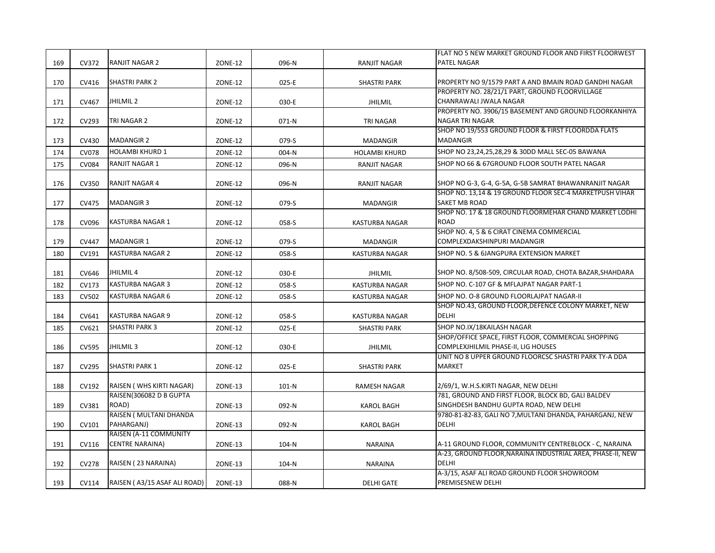|     |              |                              |                |         |                       | FLAT NO 5 NEW MARKET GROUND FLOOR AND FIRST FLOORWEST      |
|-----|--------------|------------------------------|----------------|---------|-----------------------|------------------------------------------------------------|
| 169 | CV372        | <b>RANJIT NAGAR 2</b>        | <b>ZONE-12</b> | 096-N   | <b>RANJIT NAGAR</b>   | PATEL NAGAR                                                |
|     |              |                              |                |         |                       |                                                            |
| 170 | CV416        | <b>SHASTRI PARK 2</b>        | ZONE-12        | 025-E   | SHASTRI PARK          | PROPERTY NO 9/1579 PART A AND BMAIN ROAD GANDHI NAGAR      |
|     |              |                              |                |         |                       | PROPERTY NO. 28/21/1 PART, GROUND FLOORVILLAGE             |
| 171 | CV467        | JHILMIL <sub>2</sub>         | <b>ZONE-12</b> | 030-E   | <b>JHILMIL</b>        | CHANRAWALI JWALA NAGAR                                     |
|     |              |                              |                |         |                       | PROPERTY NO. 3906/15 BASEMENT AND GROUND FLOORKANHIYA      |
| 172 | CV293        | TRI NAGAR 2                  | <b>ZONE-12</b> | 071-N   | <b>TRI NAGAR</b>      | NAGAR TRI NAGAR                                            |
|     |              |                              |                |         |                       | SHOP NO 19/553 GROUND FLOOR & FIRST FLOORDDA FLATS         |
| 173 | CV430        | <b>MADANGIR 2</b>            | <b>ZONE-12</b> | 079-S   | <b>MADANGIR</b>       | <b>MADANGIR</b>                                            |
| 174 | <b>CV078</b> | <b>HOLAMBI KHURD 1</b>       | <b>ZONE-12</b> | 004-N   | <b>HOLAMBI KHURD</b>  | SHOP NO 23,24,25,28,29 & 30DD MALL SEC-05 BAWANA           |
| 175 | <b>CV084</b> | <b>RANJIT NAGAR 1</b>        | <b>ZONE-12</b> | 096-N   | <b>RANJIT NAGAR</b>   | SHOP NO 66 & 67GROUND FLOOR SOUTH PATEL NAGAR              |
|     |              |                              |                |         |                       |                                                            |
| 176 | CV350        | <b>RANJIT NAGAR 4</b>        | <b>ZONE-12</b> | 096-N   | RANJIT NAGAR          | SHOP NO G-3, G-4, G-5A, G-5B SAMRAT BHAWANRANJIT NAGAR     |
|     |              |                              |                |         |                       | SHOP NO. 13,14 & 19 GROUND FLOOR SEC-4 MARKETPUSH VIHAR    |
| 177 | <b>CV475</b> | <b>MADANGIR 3</b>            | <b>ZONE-12</b> | 079-S   | <b>MADANGIR</b>       | <b>SAKET MB ROAD</b>                                       |
|     |              |                              |                |         |                       | SHOP NO. 17 & 18 GROUND FLOORMEHAR CHAND MARKET LODHI      |
| 178 | CV096        | <b>KASTURBA NAGAR 1</b>      | <b>ZONE-12</b> | 058-S   | <b>KASTURBA NAGAR</b> | <b>ROAD</b>                                                |
|     |              |                              |                |         |                       | SHOP NO. 4, 5 & 6 CIRAT CINEMA COMMERCIAL                  |
| 179 | CV447        | <b>MADANGIR 1</b>            | <b>ZONE-12</b> | 079-S   | <b>MADANGIR</b>       | COMPLEXDAKSHINPURI MADANGIR                                |
| 180 | CV191        | <b>KASTURBA NAGAR 2</b>      | <b>ZONE-12</b> | 058-S   | <b>KASTURBA NAGAR</b> | SHOP NO. 5 & 6JANGPURA EXTENSION MARKET                    |
|     |              |                              |                |         |                       |                                                            |
| 181 | CV646        | JHILMIL 4                    | <b>ZONE-12</b> | 030-E   | <b>JHILMIL</b>        | SHOP NO. 8/508-509, CIRCULAR ROAD, CHOTA BAZAR, SHAHDARA   |
| 182 | CV173        | <b>KASTURBA NAGAR 3</b>      | <b>ZONE-12</b> | 058-S   | <b>KASTURBA NAGAR</b> | SHOP NO. C-107 GF & MFLAJPAT NAGAR PART-1                  |
| 183 | <b>CV502</b> | <b>KASTURBA NAGAR 6</b>      | <b>ZONE-12</b> | 058-S   | <b>KASTURBA NAGAR</b> | SHOP NO. O-8 GROUND FLOORLAJPAT NAGAR-II                   |
|     |              |                              |                |         |                       | SHOP NO.43, GROUND FLOOR, DEFENCE COLONY MARKET, NEW       |
| 184 | CV641        | <b>KASTURBA NAGAR 9</b>      | <b>ZONE-12</b> | 058-S   | KASTURBA NAGAR        | <b>DELHI</b>                                               |
| 185 | CV621        | <b>SHASTRI PARK 3</b>        | <b>ZONE-12</b> | 025-E   | <b>SHASTRI PARK</b>   | SHOP NO.IX/18KAILASH NAGAR                                 |
|     |              |                              |                |         |                       | SHOP/OFFICE SPACE, FIRST FLOOR, COMMERCIAL SHOPPING        |
| 186 | <b>CV595</b> | JHILMIL <sub>3</sub>         | <b>ZONE-12</b> | 030-E   | <b>JHILMIL</b>        | COMPLEXJHILMIL PHASE-II, LIG HOUSES                        |
|     |              |                              |                |         |                       | UNIT NO 8 UPPER GROUND FLOORCSC SHASTRI PARK TY-A DDA      |
| 187 | CV295        | <b>SHASTRI PARK 1</b>        | <b>ZONE-12</b> | 025-E   | SHASTRI PARK          | <b>MARKET</b>                                              |
|     |              |                              |                |         |                       |                                                            |
| 188 | CV192        | RAISEN (WHS KIRTI NAGAR)     | ZONE-13        | $101-N$ | <b>RAMESH NAGAR</b>   | 2/69/1, W.H.S.KIRTI NAGAR, NEW DELHI                       |
|     |              | RAISEN(306082 D B GUPTA      |                |         |                       | 781, GROUND AND FIRST FLOOR, BLOCK BD, GALI BALDEV         |
| 189 | CV381        | ROAD)                        | <b>ZONE-13</b> | 092-N   | <b>KAROL BAGH</b>     | SINGHDESH BANDHU GUPTA ROAD, NEW DELHI                     |
|     |              | RAISEN ( MULTANI DHANDA      |                |         |                       | 9780-81-82-83, GALI NO 7, MULTANI DHANDA, PAHARGANJ, NEW   |
| 190 | CV101        | PAHARGANJ)                   | <b>ZONE-13</b> | 092-N   | <b>KAROL BAGH</b>     | <b>DELHI</b>                                               |
|     |              | RAISEN (A-11 COMMUNITY       |                |         |                       |                                                            |
| 191 | CV116        | <b>CENTRE NARAINA)</b>       | ZONE-13        | 104-N   | <b>NARAINA</b>        | A-11 GROUND FLOOR, COMMUNITY CENTREBLOCK - C, NARAINA      |
|     |              |                              |                |         |                       | A-23, GROUND FLOOR, NARAINA INDUSTRIAL AREA, PHASE-II, NEW |
| 192 | <b>CV278</b> | RAISEN (23 NARAINA)          | ZONE-13        | 104-N   | <b>NARAINA</b>        | <b>DELHI</b>                                               |
|     |              |                              |                |         |                       | A-3/15, ASAF ALI ROAD GROUND FLOOR SHOWROOM                |
| 193 | CV114        | RAISEN (A3/15 ASAF ALI ROAD) | ZONE-13        | 088-N   | <b>DELHI GATE</b>     | PREMISESNEW DELHI                                          |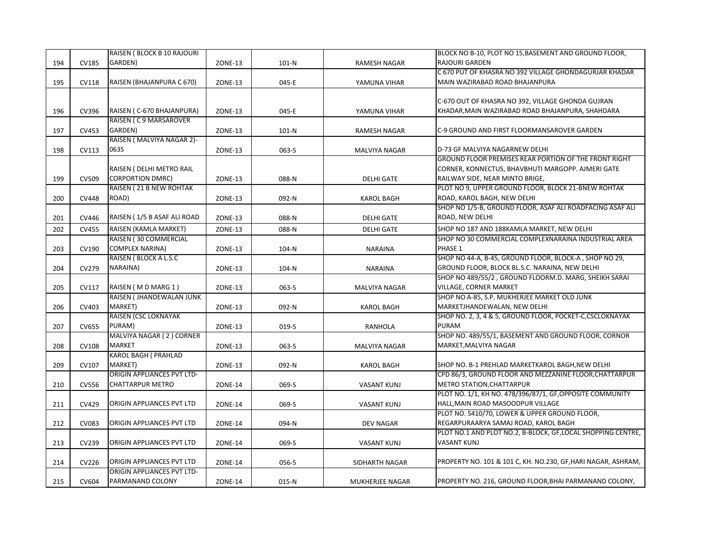|     |              | RAISEN (BLOCK B 10 RAJOURI        |                |         |                      | BLOCK NO B-10, PLOT NO 15, BASEMENT AND GROUND FLOOR,         |
|-----|--------------|-----------------------------------|----------------|---------|----------------------|---------------------------------------------------------------|
| 194 | <b>CV185</b> | GARDEN)                           | ZONE-13        | $101-N$ | RAMESH NAGAR         | RAJOURI GARDEN                                                |
|     |              |                                   |                |         |                      | C 670 PUT OF KHASRA NO 392 VILLAGE GHONDAGURJAR KHADAR        |
| 195 | <b>CV118</b> | RAISEN (BHAJANPURA C 670)         | ZONE-13        | 045-E   | YAMUNA VIHAR         | MAIN WAZIRABAD ROAD BHAJANPURA                                |
|     |              |                                   |                |         |                      |                                                               |
|     |              |                                   |                |         |                      | C-670 OUT OF KHASRA NO 392, VILLAGE GHONDA GUJRAN             |
| 196 | CV396        | RAISEN (C-670 BHAJANPURA)         | ZONE-13        | 045-E   | YAMUNA VIHAR         | KHADAR, MAIN WAZIRABAD ROAD BHAJANPURA, SHAHDARA              |
|     |              | RAISEN (C9 MARSAROVER             |                |         |                      |                                                               |
| 197 | CV453        | GARDEN)                           | ZONE-13        | $101-N$ | <b>RAMESH NAGAR</b>  | C-9 GROUND AND FIRST FLOORMANSAROVER GARDEN                   |
|     |              | RAISEN ( MALVIYA NAGAR 2)-        |                |         |                      |                                                               |
| 198 | CV113        | 063S                              | ZONE-13        | 063-S   | MALVIYA NAGAR        | D-73 GF MALVIYA NAGARNEW DELHI                                |
|     |              |                                   |                |         |                      | GROUND FLOOR PREMISES REAR PORTION OF THE FRONT RIGHT         |
|     |              | RAISEN ( DELHI METRO RAIL         |                |         |                      | CORNER, KONNECTUS, BHAVBHUTI MARGOPP. AJMERI GATE             |
| 199 | CV509        | <b>CORPORTION DMRC)</b>           | <b>ZONE-13</b> | 088-N   | <b>DELHI GATE</b>    | RAILWAY SIDE, NEAR MINTO BRIGE,                               |
|     |              | RAISEN (21 B NEW ROHTAK           |                |         |                      | PLOT NO 9, UPPER GROUND FLOOR, BLOCK 21-BNEW ROHTAK           |
| 200 | <b>CV448</b> | ROAD)                             | ZONE-13        | 092-N   | <b>KAROL BAGH</b>    | ROAD, KAROL BAGH, NEW DELHI                                   |
|     |              |                                   |                |         |                      | SHOP NO 1/5-B, GROUND FLOOR, ASAF ALI ROADFACING ASAF ALI     |
| 201 | CV446        | RAISEN (1/5 B ASAF ALI ROAD       | ZONE-13        | 088-N   | <b>DELHI GATE</b>    | ROAD, NEW DELHI                                               |
| 202 | <b>CV455</b> | RAISEN (KAMLA MARKET)             | ZONE-13        | 088-N   | <b>DELHI GATE</b>    | SHOP NO 187 AND 188KAMLA MARKET, NEW DELHI                    |
|     |              | RAISEN (30 COMMERCIAL             |                |         |                      | SHOP NO 30 COMMERCIAL COMPLEXNARAINA INDUSTRIAL AREA          |
| 203 | CV190        | COMPLEX NARINA)                   | <b>ZONE-13</b> | 104-N   | <b>NARAINA</b>       | PHASE 1                                                       |
|     |              | RAISEN (BLOCK A L.S.C             |                |         |                      | SHOP NO 44-A, B-45, GROUND FLOOR, BLOCK-A, SHOP NO 29,        |
| 204 | CV279        | NARAINA)                          | ZONE-13        | 104-N   | <b>NARAINA</b>       | GROUND FLOOR, BLOCK BL.S.C. NARAINA, NEW DELHI                |
|     |              |                                   |                |         |                      | SHOP NO 489/55/2, GROUND FLOORM.D. MARG, SHEIKH SARAI         |
| 205 | CV117        | RAISEN (MD MARG 1)                | ZONE-13        | 063-S   | <b>MALVIYA NAGAR</b> | VILLAGE, CORNER MARKET                                        |
|     |              | RAISEN ( JHANDEWALAN JUNK         |                |         |                      | SHOP NO A-85, S.P. MUKHERJEE MARKET OLD JUNK                  |
| 206 | CV403        | MARKET)                           | ZONE-13        | 092-N   | KAROL BAGH           | MARKETJHANDEWALAN, NEW DELHI                                  |
|     |              | RAISEN (CSC LOKNAYAK              |                |         |                      | SHOP NO. 2, 3, 4 & 5, GROUND FLOOR, POCKET-C, CSCLOKNAYAK     |
| 207 | <b>CV655</b> | PURAM)                            | ZONE-13        | 019-S   | <b>RANHOLA</b>       | PURAM                                                         |
|     |              | MALVIYA NAGAR (2) CORNER          |                |         |                      | SHOP NO. 489/55/1, BASEMENT AND GROUND FLOOR, CORNOR          |
| 208 | <b>CV108</b> | <b>MARKET</b>                     | ZONE-13        | 063-S   | MALVIYA NAGAR        | MARKET, MALVIYA NAGAR                                         |
|     |              | <b>KAROL BAGH ( PRAHLAD</b>       |                |         |                      |                                                               |
| 209 | CV107        | MARKET)                           | ZONE-13        | 092-N   | KAROL BAGH           | SHOP NO. B-1 PREHLAD MARKETKAROL BAGH, NEW DELHI              |
|     |              | <b>ORIGIN APPLIANCES PVT LTD-</b> |                |         |                      | CPD 86/3, GROUND FLOOR AND MEZZANINE FLOOR, CHATTARPUR        |
| 210 | CV556        | <b>CHATTARPUR METRO</b>           | ZONE-14        | 069-S   | <b>VASANT KUNJ</b>   | <b>METRO STATION, CHATTARPUR</b>                              |
|     |              |                                   |                |         |                      | PLOT NO. 1/1, KH NO. 478/396/87/1, GF, OPPOSITE COMMUNITY     |
| 211 | CV429        | ORIGIN APPLIANCES PVT LTD         | ZONE-14        | 069-S   | <b>VASANT KUNJ</b>   | HALL, MAIN ROAD MASOODPUR VILLAGE                             |
|     |              |                                   |                |         |                      | PLOT NO. 5410/70, LOWER & UPPER GROUND FLOOR,                 |
| 212 | CV083        | ORIGIN APPLIANCES PVT LTD         | ZONE-14        | 094-N   | <b>DEV NAGAR</b>     | REGARPURAARYA SAMAJ ROAD, KAROL BAGH                          |
|     |              |                                   |                |         |                      | PLOT NO.1 AND PLOT NO.2, B-BLOCK, GF, LOCAL SHOPPING CENTRE,  |
| 213 | CV239        | ORIGIN APPLIANCES PVT LTD         | ZONE-14        | 069-S   | <b>VASANT KUNJ</b>   | <b>VASANT KUNJ</b>                                            |
|     |              |                                   |                |         |                      |                                                               |
| 214 | CV226        | ORIGIN APPLIANCES PVT LTD         | ZONE-14        | 056-S   | SIDHARTH NAGAR       | PROPERTY NO. 101 & 101 C, KH. NO.230, GF, HARI NAGAR, ASHRAM, |
|     |              | ORIGIN APPLIANCES PVT LTD-        |                |         |                      |                                                               |
| 215 | CV604        | PARMANAND COLONY                  | ZONE-14        | 015-N   | MUKHERJEE NAGAR      | PROPERTY NO. 216, GROUND FLOOR, BHAI PARMANAND COLONY,        |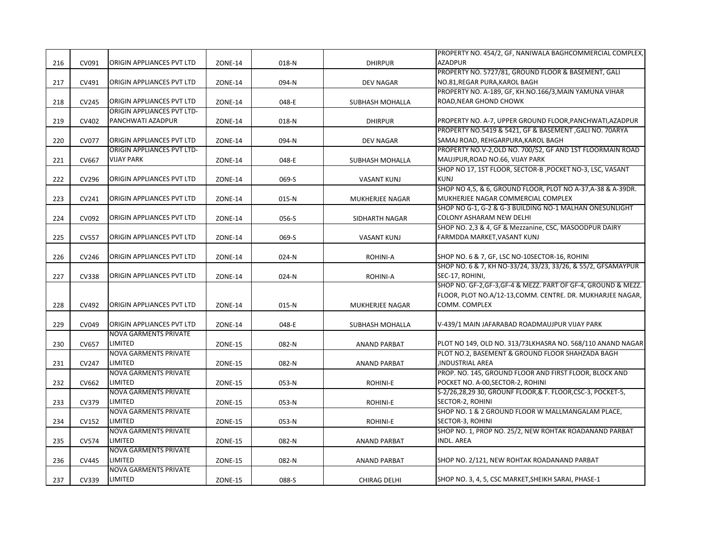| <b>AZADPUR</b><br>ORIGIN APPLIANCES PVT LTD<br>216<br>CV091<br>018-N<br><b>DHIRPUR</b><br><b>ZONE-14</b><br>PROPERTY NO. 5727/81, GROUND FLOOR & BASEMENT, GALI<br>ORIGIN APPLIANCES PVT LTD<br>NO.81, REGAR PURA, KAROL BAGH<br>217<br>CV491<br><b>ZONE-14</b><br>094-N<br>DEV NAGAR<br>PROPERTY NO. A-189, GF, KH.NO.166/3, MAIN YAMUNA VIHAR<br>ORIGIN APPLIANCES PVT LTD<br>ROAD, NEAR GHOND CHOWK<br>218<br>CV245<br><b>ZONE-14</b><br>048-E<br>SUBHASH MOHALLA<br><b>ORIGIN APPLIANCES PVT LTD-</b><br>PANCHWATI AZADPUR<br>PROPERTY NO. A-7, UPPER GROUND FLOOR, PANCHWATI, AZADPUR<br>219<br>CV402<br><b>ZONE-14</b><br>018-N<br><b>DHIRPUR</b><br>PROPERTY NO.5419 & 5421, GF & BASEMENT, GALI NO. 70ARYA<br>ORIGIN APPLIANCES PVT LTD<br>SAMAJ ROAD, REHGARPURA, KAROL BAGH<br>220<br><b>CV077</b><br><b>ZONE-14</b><br>094-N<br><b>DEV NAGAR</b><br>PROPERTY NO.V-2, OLD NO. 700/52, GF AND 1ST FLOORMAIN ROAD<br>ORIGIN APPLIANCES PVT LTD-<br>MAUJPUR, ROAD NO.66, VIJAY PARK<br>221<br>CV667<br><b>VIJAY PARK</b><br>048-E<br><b>ZONE-14</b><br>SUBHASH MOHALLA<br>SHOP NO 17, 1ST FLOOR, SECTOR-B , POCKET NO-3, LSC, VASANT<br>ORIGIN APPLIANCES PVT LTD<br><b>KUNJ</b><br>222<br>CV296<br><b>ZONE-14</b><br>069-S<br><b>VASANT KUNJ</b><br>SHOP NO 4,5, & 6, GROUND FLOOR, PLOT NO A-37, A-38 & A-39DR.<br>ORIGIN APPLIANCES PVT LTD<br>MUKHERJEE NAGAR COMMERCIAL COMPLEX<br>CV241<br>223<br><b>ZONE-14</b><br>015-N<br>MUKHERJEE NAGAR<br>SHOP NO G-1, G-2 & G-3 BUILDING NO-1 MALHAN ONESUNLIGHT<br>ORIGIN APPLIANCES PVT LTD<br>COLONY ASHARAM NEW DELHI<br>CV092<br>224<br><b>ZONE-14</b><br>056-S<br>SIDHARTH NAGAR<br>SHOP NO. 2,3 & 4, GF & Mezzanine, CSC, MASOODPUR DAIRY<br><b>CV557</b><br>ORIGIN APPLIANCES PVT LTD<br>FARMDDA MARKET, VASANT KUNJ<br>225<br><b>ZONE-14</b><br>069-S<br><b>VASANT KUNJ</b><br>ORIGIN APPLIANCES PVT LTD<br>SHOP NO. 6 & 7, GF, LSC NO-10SECTOR-16, ROHINI<br>CV246<br>226<br><b>ZONE-14</b><br>024-N<br>ROHINI-A<br>SHOP NO. 6 & 7, KH NO-33/24, 33/23, 33/26, & 55/2, GFSAMAYPUR<br>ORIGIN APPLIANCES PVT LTD<br>SEC-17, ROHINI,<br>227<br><b>CV338</b><br><b>ZONE-14</b><br>024-N<br>ROHINI-A<br>SHOP NO. GF-2, GF-3, GF-4 & MEZZ. PART OF GF-4, GROUND & MEZZ.<br>FLOOR, PLOT NO.A/12-13, COMM. CENTRE. DR. MUKHARJEE NAGAR,<br>ORIGIN APPLIANCES PVT LTD<br>COMM. COMPLEX<br>228<br>CV492<br>015-N<br><b>ZONE-14</b><br>MUKHERJEE NAGAR<br>ORIGIN APPLIANCES PVT LTD<br>V-439/1 MAIN JAFARABAD ROADMAUJPUR VIJAY PARK<br>229<br>CV049<br>048-E<br><b>ZONE-14</b><br>SUBHASH MOHALLA<br><b>NOVA GARMENTS PRIVATE</b><br>LIMITED<br>PLOT NO 149, OLD NO. 313/73LKHASRA NO. 568/110 ANAND NAGAR<br>230<br>CV657<br><b>ZONE-15</b><br>082-N<br><b>ANAND PARBAT</b><br><b>NOVA GARMENTS PRIVATE</b><br>PLOT NO.2, BASEMENT & GROUND FLOOR SHAHZADA BAGH<br>LIMITED<br><b>INDUSTRIAL AREA</b><br>231<br>CV247<br><b>ZONE-15</b><br>082-N<br><b>ANAND PARBAT</b><br><b>NOVA GARMENTS PRIVATE</b><br>PROP. NO. 145, GROUND FLOOR AND FIRST FLOOR, BLOCK AND<br>LIMITED<br>POCKET NO. A-00, SECTOR-2, ROHINI<br>CV662<br>232<br>ZONE-15<br>053-N<br>ROHINI-E<br><b>NOVA GARMENTS PRIVATE</b><br>S-2/26,28,29 30, GROUNF FLOOR,& F. FLOOR,CSC-3, POCKET-5,<br>LIMITED<br>SECTOR-2, ROHINI<br>CV379<br>233<br><b>ZONE-15</b><br>053-N<br>ROHINI-E<br><b>NOVA GARMENTS PRIVATE</b><br>SHOP NO. 1 & 2 GROUND FLOOR W MALLMANGALAM PLACE,<br>LIMITED<br>SECTOR-3, ROHINI<br>CV152<br>234<br><b>ZONE-15</b><br>053-N<br>ROHINI-E<br><b>NOVA GARMENTS PRIVATE</b><br>SHOP NO. 1, PROP NO. 25/2, NEW ROHTAK ROADANAND PARBAT<br>LIMITED<br><b>INDL. AREA</b><br>235<br><b>CV574</b><br><b>ZONE-15</b><br>082-N<br><b>ANAND PARBAT</b><br><b>NOVA GARMENTS PRIVATE</b><br>LIMITED<br>SHOP NO. 2/121, NEW ROHTAK ROADANAND PARBAT<br>236<br><b>CV445</b><br><b>ZONE-15</b><br>082-N<br><b>ANAND PARBAT</b><br><b>NOVA GARMENTS PRIVATE</b><br>LIMITED<br>SHOP NO. 3, 4, 5, CSC MARKET, SHEIKH SARAI, PHASE-1<br>237<br>CV339<br><b>ZONE-15</b><br>088-S<br>CHIRAG DELHI |  |  |  | PROPERTY NO. 454/2, GF, NANIWALA BAGHCOMMERCIAL COMPLEX, |
|------------------------------------------------------------------------------------------------------------------------------------------------------------------------------------------------------------------------------------------------------------------------------------------------------------------------------------------------------------------------------------------------------------------------------------------------------------------------------------------------------------------------------------------------------------------------------------------------------------------------------------------------------------------------------------------------------------------------------------------------------------------------------------------------------------------------------------------------------------------------------------------------------------------------------------------------------------------------------------------------------------------------------------------------------------------------------------------------------------------------------------------------------------------------------------------------------------------------------------------------------------------------------------------------------------------------------------------------------------------------------------------------------------------------------------------------------------------------------------------------------------------------------------------------------------------------------------------------------------------------------------------------------------------------------------------------------------------------------------------------------------------------------------------------------------------------------------------------------------------------------------------------------------------------------------------------------------------------------------------------------------------------------------------------------------------------------------------------------------------------------------------------------------------------------------------------------------------------------------------------------------------------------------------------------------------------------------------------------------------------------------------------------------------------------------------------------------------------------------------------------------------------------------------------------------------------------------------------------------------------------------------------------------------------------------------------------------------------------------------------------------------------------------------------------------------------------------------------------------------------------------------------------------------------------------------------------------------------------------------------------------------------------------------------------------------------------------------------------------------------------------------------------------------------------------------------------------------------------------------------------------------------------------------------------------------------------------------------------------------------------------------------------------------------------------------------------------------------------------------------------------------------------------------------------------------------------------------------------------------------------------------------------------------------------------------------------------------------------------------------------------------------------------------------------------------------------------------------------------------------------------------------------------------------------------------------------------------------------------------------------------------------|--|--|--|----------------------------------------------------------|
|                                                                                                                                                                                                                                                                                                                                                                                                                                                                                                                                                                                                                                                                                                                                                                                                                                                                                                                                                                                                                                                                                                                                                                                                                                                                                                                                                                                                                                                                                                                                                                                                                                                                                                                                                                                                                                                                                                                                                                                                                                                                                                                                                                                                                                                                                                                                                                                                                                                                                                                                                                                                                                                                                                                                                                                                                                                                                                                                                                                                                                                                                                                                                                                                                                                                                                                                                                                                                                                                                                                                                                                                                                                                                                                                                                                                                                                                                                                                                                                                                        |  |  |  |                                                          |
|                                                                                                                                                                                                                                                                                                                                                                                                                                                                                                                                                                                                                                                                                                                                                                                                                                                                                                                                                                                                                                                                                                                                                                                                                                                                                                                                                                                                                                                                                                                                                                                                                                                                                                                                                                                                                                                                                                                                                                                                                                                                                                                                                                                                                                                                                                                                                                                                                                                                                                                                                                                                                                                                                                                                                                                                                                                                                                                                                                                                                                                                                                                                                                                                                                                                                                                                                                                                                                                                                                                                                                                                                                                                                                                                                                                                                                                                                                                                                                                                                        |  |  |  |                                                          |
|                                                                                                                                                                                                                                                                                                                                                                                                                                                                                                                                                                                                                                                                                                                                                                                                                                                                                                                                                                                                                                                                                                                                                                                                                                                                                                                                                                                                                                                                                                                                                                                                                                                                                                                                                                                                                                                                                                                                                                                                                                                                                                                                                                                                                                                                                                                                                                                                                                                                                                                                                                                                                                                                                                                                                                                                                                                                                                                                                                                                                                                                                                                                                                                                                                                                                                                                                                                                                                                                                                                                                                                                                                                                                                                                                                                                                                                                                                                                                                                                                        |  |  |  |                                                          |
|                                                                                                                                                                                                                                                                                                                                                                                                                                                                                                                                                                                                                                                                                                                                                                                                                                                                                                                                                                                                                                                                                                                                                                                                                                                                                                                                                                                                                                                                                                                                                                                                                                                                                                                                                                                                                                                                                                                                                                                                                                                                                                                                                                                                                                                                                                                                                                                                                                                                                                                                                                                                                                                                                                                                                                                                                                                                                                                                                                                                                                                                                                                                                                                                                                                                                                                                                                                                                                                                                                                                                                                                                                                                                                                                                                                                                                                                                                                                                                                                                        |  |  |  |                                                          |
|                                                                                                                                                                                                                                                                                                                                                                                                                                                                                                                                                                                                                                                                                                                                                                                                                                                                                                                                                                                                                                                                                                                                                                                                                                                                                                                                                                                                                                                                                                                                                                                                                                                                                                                                                                                                                                                                                                                                                                                                                                                                                                                                                                                                                                                                                                                                                                                                                                                                                                                                                                                                                                                                                                                                                                                                                                                                                                                                                                                                                                                                                                                                                                                                                                                                                                                                                                                                                                                                                                                                                                                                                                                                                                                                                                                                                                                                                                                                                                                                                        |  |  |  |                                                          |
|                                                                                                                                                                                                                                                                                                                                                                                                                                                                                                                                                                                                                                                                                                                                                                                                                                                                                                                                                                                                                                                                                                                                                                                                                                                                                                                                                                                                                                                                                                                                                                                                                                                                                                                                                                                                                                                                                                                                                                                                                                                                                                                                                                                                                                                                                                                                                                                                                                                                                                                                                                                                                                                                                                                                                                                                                                                                                                                                                                                                                                                                                                                                                                                                                                                                                                                                                                                                                                                                                                                                                                                                                                                                                                                                                                                                                                                                                                                                                                                                                        |  |  |  |                                                          |
|                                                                                                                                                                                                                                                                                                                                                                                                                                                                                                                                                                                                                                                                                                                                                                                                                                                                                                                                                                                                                                                                                                                                                                                                                                                                                                                                                                                                                                                                                                                                                                                                                                                                                                                                                                                                                                                                                                                                                                                                                                                                                                                                                                                                                                                                                                                                                                                                                                                                                                                                                                                                                                                                                                                                                                                                                                                                                                                                                                                                                                                                                                                                                                                                                                                                                                                                                                                                                                                                                                                                                                                                                                                                                                                                                                                                                                                                                                                                                                                                                        |  |  |  |                                                          |
|                                                                                                                                                                                                                                                                                                                                                                                                                                                                                                                                                                                                                                                                                                                                                                                                                                                                                                                                                                                                                                                                                                                                                                                                                                                                                                                                                                                                                                                                                                                                                                                                                                                                                                                                                                                                                                                                                                                                                                                                                                                                                                                                                                                                                                                                                                                                                                                                                                                                                                                                                                                                                                                                                                                                                                                                                                                                                                                                                                                                                                                                                                                                                                                                                                                                                                                                                                                                                                                                                                                                                                                                                                                                                                                                                                                                                                                                                                                                                                                                                        |  |  |  |                                                          |
|                                                                                                                                                                                                                                                                                                                                                                                                                                                                                                                                                                                                                                                                                                                                                                                                                                                                                                                                                                                                                                                                                                                                                                                                                                                                                                                                                                                                                                                                                                                                                                                                                                                                                                                                                                                                                                                                                                                                                                                                                                                                                                                                                                                                                                                                                                                                                                                                                                                                                                                                                                                                                                                                                                                                                                                                                                                                                                                                                                                                                                                                                                                                                                                                                                                                                                                                                                                                                                                                                                                                                                                                                                                                                                                                                                                                                                                                                                                                                                                                                        |  |  |  |                                                          |
|                                                                                                                                                                                                                                                                                                                                                                                                                                                                                                                                                                                                                                                                                                                                                                                                                                                                                                                                                                                                                                                                                                                                                                                                                                                                                                                                                                                                                                                                                                                                                                                                                                                                                                                                                                                                                                                                                                                                                                                                                                                                                                                                                                                                                                                                                                                                                                                                                                                                                                                                                                                                                                                                                                                                                                                                                                                                                                                                                                                                                                                                                                                                                                                                                                                                                                                                                                                                                                                                                                                                                                                                                                                                                                                                                                                                                                                                                                                                                                                                                        |  |  |  |                                                          |
|                                                                                                                                                                                                                                                                                                                                                                                                                                                                                                                                                                                                                                                                                                                                                                                                                                                                                                                                                                                                                                                                                                                                                                                                                                                                                                                                                                                                                                                                                                                                                                                                                                                                                                                                                                                                                                                                                                                                                                                                                                                                                                                                                                                                                                                                                                                                                                                                                                                                                                                                                                                                                                                                                                                                                                                                                                                                                                                                                                                                                                                                                                                                                                                                                                                                                                                                                                                                                                                                                                                                                                                                                                                                                                                                                                                                                                                                                                                                                                                                                        |  |  |  |                                                          |
|                                                                                                                                                                                                                                                                                                                                                                                                                                                                                                                                                                                                                                                                                                                                                                                                                                                                                                                                                                                                                                                                                                                                                                                                                                                                                                                                                                                                                                                                                                                                                                                                                                                                                                                                                                                                                                                                                                                                                                                                                                                                                                                                                                                                                                                                                                                                                                                                                                                                                                                                                                                                                                                                                                                                                                                                                                                                                                                                                                                                                                                                                                                                                                                                                                                                                                                                                                                                                                                                                                                                                                                                                                                                                                                                                                                                                                                                                                                                                                                                                        |  |  |  |                                                          |
|                                                                                                                                                                                                                                                                                                                                                                                                                                                                                                                                                                                                                                                                                                                                                                                                                                                                                                                                                                                                                                                                                                                                                                                                                                                                                                                                                                                                                                                                                                                                                                                                                                                                                                                                                                                                                                                                                                                                                                                                                                                                                                                                                                                                                                                                                                                                                                                                                                                                                                                                                                                                                                                                                                                                                                                                                                                                                                                                                                                                                                                                                                                                                                                                                                                                                                                                                                                                                                                                                                                                                                                                                                                                                                                                                                                                                                                                                                                                                                                                                        |  |  |  |                                                          |
|                                                                                                                                                                                                                                                                                                                                                                                                                                                                                                                                                                                                                                                                                                                                                                                                                                                                                                                                                                                                                                                                                                                                                                                                                                                                                                                                                                                                                                                                                                                                                                                                                                                                                                                                                                                                                                                                                                                                                                                                                                                                                                                                                                                                                                                                                                                                                                                                                                                                                                                                                                                                                                                                                                                                                                                                                                                                                                                                                                                                                                                                                                                                                                                                                                                                                                                                                                                                                                                                                                                                                                                                                                                                                                                                                                                                                                                                                                                                                                                                                        |  |  |  |                                                          |
|                                                                                                                                                                                                                                                                                                                                                                                                                                                                                                                                                                                                                                                                                                                                                                                                                                                                                                                                                                                                                                                                                                                                                                                                                                                                                                                                                                                                                                                                                                                                                                                                                                                                                                                                                                                                                                                                                                                                                                                                                                                                                                                                                                                                                                                                                                                                                                                                                                                                                                                                                                                                                                                                                                                                                                                                                                                                                                                                                                                                                                                                                                                                                                                                                                                                                                                                                                                                                                                                                                                                                                                                                                                                                                                                                                                                                                                                                                                                                                                                                        |  |  |  |                                                          |
|                                                                                                                                                                                                                                                                                                                                                                                                                                                                                                                                                                                                                                                                                                                                                                                                                                                                                                                                                                                                                                                                                                                                                                                                                                                                                                                                                                                                                                                                                                                                                                                                                                                                                                                                                                                                                                                                                                                                                                                                                                                                                                                                                                                                                                                                                                                                                                                                                                                                                                                                                                                                                                                                                                                                                                                                                                                                                                                                                                                                                                                                                                                                                                                                                                                                                                                                                                                                                                                                                                                                                                                                                                                                                                                                                                                                                                                                                                                                                                                                                        |  |  |  |                                                          |
|                                                                                                                                                                                                                                                                                                                                                                                                                                                                                                                                                                                                                                                                                                                                                                                                                                                                                                                                                                                                                                                                                                                                                                                                                                                                                                                                                                                                                                                                                                                                                                                                                                                                                                                                                                                                                                                                                                                                                                                                                                                                                                                                                                                                                                                                                                                                                                                                                                                                                                                                                                                                                                                                                                                                                                                                                                                                                                                                                                                                                                                                                                                                                                                                                                                                                                                                                                                                                                                                                                                                                                                                                                                                                                                                                                                                                                                                                                                                                                                                                        |  |  |  |                                                          |
|                                                                                                                                                                                                                                                                                                                                                                                                                                                                                                                                                                                                                                                                                                                                                                                                                                                                                                                                                                                                                                                                                                                                                                                                                                                                                                                                                                                                                                                                                                                                                                                                                                                                                                                                                                                                                                                                                                                                                                                                                                                                                                                                                                                                                                                                                                                                                                                                                                                                                                                                                                                                                                                                                                                                                                                                                                                                                                                                                                                                                                                                                                                                                                                                                                                                                                                                                                                                                                                                                                                                                                                                                                                                                                                                                                                                                                                                                                                                                                                                                        |  |  |  |                                                          |
|                                                                                                                                                                                                                                                                                                                                                                                                                                                                                                                                                                                                                                                                                                                                                                                                                                                                                                                                                                                                                                                                                                                                                                                                                                                                                                                                                                                                                                                                                                                                                                                                                                                                                                                                                                                                                                                                                                                                                                                                                                                                                                                                                                                                                                                                                                                                                                                                                                                                                                                                                                                                                                                                                                                                                                                                                                                                                                                                                                                                                                                                                                                                                                                                                                                                                                                                                                                                                                                                                                                                                                                                                                                                                                                                                                                                                                                                                                                                                                                                                        |  |  |  |                                                          |
|                                                                                                                                                                                                                                                                                                                                                                                                                                                                                                                                                                                                                                                                                                                                                                                                                                                                                                                                                                                                                                                                                                                                                                                                                                                                                                                                                                                                                                                                                                                                                                                                                                                                                                                                                                                                                                                                                                                                                                                                                                                                                                                                                                                                                                                                                                                                                                                                                                                                                                                                                                                                                                                                                                                                                                                                                                                                                                                                                                                                                                                                                                                                                                                                                                                                                                                                                                                                                                                                                                                                                                                                                                                                                                                                                                                                                                                                                                                                                                                                                        |  |  |  |                                                          |
|                                                                                                                                                                                                                                                                                                                                                                                                                                                                                                                                                                                                                                                                                                                                                                                                                                                                                                                                                                                                                                                                                                                                                                                                                                                                                                                                                                                                                                                                                                                                                                                                                                                                                                                                                                                                                                                                                                                                                                                                                                                                                                                                                                                                                                                                                                                                                                                                                                                                                                                                                                                                                                                                                                                                                                                                                                                                                                                                                                                                                                                                                                                                                                                                                                                                                                                                                                                                                                                                                                                                                                                                                                                                                                                                                                                                                                                                                                                                                                                                                        |  |  |  |                                                          |
|                                                                                                                                                                                                                                                                                                                                                                                                                                                                                                                                                                                                                                                                                                                                                                                                                                                                                                                                                                                                                                                                                                                                                                                                                                                                                                                                                                                                                                                                                                                                                                                                                                                                                                                                                                                                                                                                                                                                                                                                                                                                                                                                                                                                                                                                                                                                                                                                                                                                                                                                                                                                                                                                                                                                                                                                                                                                                                                                                                                                                                                                                                                                                                                                                                                                                                                                                                                                                                                                                                                                                                                                                                                                                                                                                                                                                                                                                                                                                                                                                        |  |  |  |                                                          |
|                                                                                                                                                                                                                                                                                                                                                                                                                                                                                                                                                                                                                                                                                                                                                                                                                                                                                                                                                                                                                                                                                                                                                                                                                                                                                                                                                                                                                                                                                                                                                                                                                                                                                                                                                                                                                                                                                                                                                                                                                                                                                                                                                                                                                                                                                                                                                                                                                                                                                                                                                                                                                                                                                                                                                                                                                                                                                                                                                                                                                                                                                                                                                                                                                                                                                                                                                                                                                                                                                                                                                                                                                                                                                                                                                                                                                                                                                                                                                                                                                        |  |  |  |                                                          |
|                                                                                                                                                                                                                                                                                                                                                                                                                                                                                                                                                                                                                                                                                                                                                                                                                                                                                                                                                                                                                                                                                                                                                                                                                                                                                                                                                                                                                                                                                                                                                                                                                                                                                                                                                                                                                                                                                                                                                                                                                                                                                                                                                                                                                                                                                                                                                                                                                                                                                                                                                                                                                                                                                                                                                                                                                                                                                                                                                                                                                                                                                                                                                                                                                                                                                                                                                                                                                                                                                                                                                                                                                                                                                                                                                                                                                                                                                                                                                                                                                        |  |  |  |                                                          |
|                                                                                                                                                                                                                                                                                                                                                                                                                                                                                                                                                                                                                                                                                                                                                                                                                                                                                                                                                                                                                                                                                                                                                                                                                                                                                                                                                                                                                                                                                                                                                                                                                                                                                                                                                                                                                                                                                                                                                                                                                                                                                                                                                                                                                                                                                                                                                                                                                                                                                                                                                                                                                                                                                                                                                                                                                                                                                                                                                                                                                                                                                                                                                                                                                                                                                                                                                                                                                                                                                                                                                                                                                                                                                                                                                                                                                                                                                                                                                                                                                        |  |  |  |                                                          |
|                                                                                                                                                                                                                                                                                                                                                                                                                                                                                                                                                                                                                                                                                                                                                                                                                                                                                                                                                                                                                                                                                                                                                                                                                                                                                                                                                                                                                                                                                                                                                                                                                                                                                                                                                                                                                                                                                                                                                                                                                                                                                                                                                                                                                                                                                                                                                                                                                                                                                                                                                                                                                                                                                                                                                                                                                                                                                                                                                                                                                                                                                                                                                                                                                                                                                                                                                                                                                                                                                                                                                                                                                                                                                                                                                                                                                                                                                                                                                                                                                        |  |  |  |                                                          |
|                                                                                                                                                                                                                                                                                                                                                                                                                                                                                                                                                                                                                                                                                                                                                                                                                                                                                                                                                                                                                                                                                                                                                                                                                                                                                                                                                                                                                                                                                                                                                                                                                                                                                                                                                                                                                                                                                                                                                                                                                                                                                                                                                                                                                                                                                                                                                                                                                                                                                                                                                                                                                                                                                                                                                                                                                                                                                                                                                                                                                                                                                                                                                                                                                                                                                                                                                                                                                                                                                                                                                                                                                                                                                                                                                                                                                                                                                                                                                                                                                        |  |  |  |                                                          |
|                                                                                                                                                                                                                                                                                                                                                                                                                                                                                                                                                                                                                                                                                                                                                                                                                                                                                                                                                                                                                                                                                                                                                                                                                                                                                                                                                                                                                                                                                                                                                                                                                                                                                                                                                                                                                                                                                                                                                                                                                                                                                                                                                                                                                                                                                                                                                                                                                                                                                                                                                                                                                                                                                                                                                                                                                                                                                                                                                                                                                                                                                                                                                                                                                                                                                                                                                                                                                                                                                                                                                                                                                                                                                                                                                                                                                                                                                                                                                                                                                        |  |  |  |                                                          |
|                                                                                                                                                                                                                                                                                                                                                                                                                                                                                                                                                                                                                                                                                                                                                                                                                                                                                                                                                                                                                                                                                                                                                                                                                                                                                                                                                                                                                                                                                                                                                                                                                                                                                                                                                                                                                                                                                                                                                                                                                                                                                                                                                                                                                                                                                                                                                                                                                                                                                                                                                                                                                                                                                                                                                                                                                                                                                                                                                                                                                                                                                                                                                                                                                                                                                                                                                                                                                                                                                                                                                                                                                                                                                                                                                                                                                                                                                                                                                                                                                        |  |  |  |                                                          |
|                                                                                                                                                                                                                                                                                                                                                                                                                                                                                                                                                                                                                                                                                                                                                                                                                                                                                                                                                                                                                                                                                                                                                                                                                                                                                                                                                                                                                                                                                                                                                                                                                                                                                                                                                                                                                                                                                                                                                                                                                                                                                                                                                                                                                                                                                                                                                                                                                                                                                                                                                                                                                                                                                                                                                                                                                                                                                                                                                                                                                                                                                                                                                                                                                                                                                                                                                                                                                                                                                                                                                                                                                                                                                                                                                                                                                                                                                                                                                                                                                        |  |  |  |                                                          |
|                                                                                                                                                                                                                                                                                                                                                                                                                                                                                                                                                                                                                                                                                                                                                                                                                                                                                                                                                                                                                                                                                                                                                                                                                                                                                                                                                                                                                                                                                                                                                                                                                                                                                                                                                                                                                                                                                                                                                                                                                                                                                                                                                                                                                                                                                                                                                                                                                                                                                                                                                                                                                                                                                                                                                                                                                                                                                                                                                                                                                                                                                                                                                                                                                                                                                                                                                                                                                                                                                                                                                                                                                                                                                                                                                                                                                                                                                                                                                                                                                        |  |  |  |                                                          |
|                                                                                                                                                                                                                                                                                                                                                                                                                                                                                                                                                                                                                                                                                                                                                                                                                                                                                                                                                                                                                                                                                                                                                                                                                                                                                                                                                                                                                                                                                                                                                                                                                                                                                                                                                                                                                                                                                                                                                                                                                                                                                                                                                                                                                                                                                                                                                                                                                                                                                                                                                                                                                                                                                                                                                                                                                                                                                                                                                                                                                                                                                                                                                                                                                                                                                                                                                                                                                                                                                                                                                                                                                                                                                                                                                                                                                                                                                                                                                                                                                        |  |  |  |                                                          |
|                                                                                                                                                                                                                                                                                                                                                                                                                                                                                                                                                                                                                                                                                                                                                                                                                                                                                                                                                                                                                                                                                                                                                                                                                                                                                                                                                                                                                                                                                                                                                                                                                                                                                                                                                                                                                                                                                                                                                                                                                                                                                                                                                                                                                                                                                                                                                                                                                                                                                                                                                                                                                                                                                                                                                                                                                                                                                                                                                                                                                                                                                                                                                                                                                                                                                                                                                                                                                                                                                                                                                                                                                                                                                                                                                                                                                                                                                                                                                                                                                        |  |  |  |                                                          |
|                                                                                                                                                                                                                                                                                                                                                                                                                                                                                                                                                                                                                                                                                                                                                                                                                                                                                                                                                                                                                                                                                                                                                                                                                                                                                                                                                                                                                                                                                                                                                                                                                                                                                                                                                                                                                                                                                                                                                                                                                                                                                                                                                                                                                                                                                                                                                                                                                                                                                                                                                                                                                                                                                                                                                                                                                                                                                                                                                                                                                                                                                                                                                                                                                                                                                                                                                                                                                                                                                                                                                                                                                                                                                                                                                                                                                                                                                                                                                                                                                        |  |  |  |                                                          |
|                                                                                                                                                                                                                                                                                                                                                                                                                                                                                                                                                                                                                                                                                                                                                                                                                                                                                                                                                                                                                                                                                                                                                                                                                                                                                                                                                                                                                                                                                                                                                                                                                                                                                                                                                                                                                                                                                                                                                                                                                                                                                                                                                                                                                                                                                                                                                                                                                                                                                                                                                                                                                                                                                                                                                                                                                                                                                                                                                                                                                                                                                                                                                                                                                                                                                                                                                                                                                                                                                                                                                                                                                                                                                                                                                                                                                                                                                                                                                                                                                        |  |  |  |                                                          |
|                                                                                                                                                                                                                                                                                                                                                                                                                                                                                                                                                                                                                                                                                                                                                                                                                                                                                                                                                                                                                                                                                                                                                                                                                                                                                                                                                                                                                                                                                                                                                                                                                                                                                                                                                                                                                                                                                                                                                                                                                                                                                                                                                                                                                                                                                                                                                                                                                                                                                                                                                                                                                                                                                                                                                                                                                                                                                                                                                                                                                                                                                                                                                                                                                                                                                                                                                                                                                                                                                                                                                                                                                                                                                                                                                                                                                                                                                                                                                                                                                        |  |  |  |                                                          |
|                                                                                                                                                                                                                                                                                                                                                                                                                                                                                                                                                                                                                                                                                                                                                                                                                                                                                                                                                                                                                                                                                                                                                                                                                                                                                                                                                                                                                                                                                                                                                                                                                                                                                                                                                                                                                                                                                                                                                                                                                                                                                                                                                                                                                                                                                                                                                                                                                                                                                                                                                                                                                                                                                                                                                                                                                                                                                                                                                                                                                                                                                                                                                                                                                                                                                                                                                                                                                                                                                                                                                                                                                                                                                                                                                                                                                                                                                                                                                                                                                        |  |  |  |                                                          |
|                                                                                                                                                                                                                                                                                                                                                                                                                                                                                                                                                                                                                                                                                                                                                                                                                                                                                                                                                                                                                                                                                                                                                                                                                                                                                                                                                                                                                                                                                                                                                                                                                                                                                                                                                                                                                                                                                                                                                                                                                                                                                                                                                                                                                                                                                                                                                                                                                                                                                                                                                                                                                                                                                                                                                                                                                                                                                                                                                                                                                                                                                                                                                                                                                                                                                                                                                                                                                                                                                                                                                                                                                                                                                                                                                                                                                                                                                                                                                                                                                        |  |  |  |                                                          |
|                                                                                                                                                                                                                                                                                                                                                                                                                                                                                                                                                                                                                                                                                                                                                                                                                                                                                                                                                                                                                                                                                                                                                                                                                                                                                                                                                                                                                                                                                                                                                                                                                                                                                                                                                                                                                                                                                                                                                                                                                                                                                                                                                                                                                                                                                                                                                                                                                                                                                                                                                                                                                                                                                                                                                                                                                                                                                                                                                                                                                                                                                                                                                                                                                                                                                                                                                                                                                                                                                                                                                                                                                                                                                                                                                                                                                                                                                                                                                                                                                        |  |  |  |                                                          |
|                                                                                                                                                                                                                                                                                                                                                                                                                                                                                                                                                                                                                                                                                                                                                                                                                                                                                                                                                                                                                                                                                                                                                                                                                                                                                                                                                                                                                                                                                                                                                                                                                                                                                                                                                                                                                                                                                                                                                                                                                                                                                                                                                                                                                                                                                                                                                                                                                                                                                                                                                                                                                                                                                                                                                                                                                                                                                                                                                                                                                                                                                                                                                                                                                                                                                                                                                                                                                                                                                                                                                                                                                                                                                                                                                                                                                                                                                                                                                                                                                        |  |  |  |                                                          |
|                                                                                                                                                                                                                                                                                                                                                                                                                                                                                                                                                                                                                                                                                                                                                                                                                                                                                                                                                                                                                                                                                                                                                                                                                                                                                                                                                                                                                                                                                                                                                                                                                                                                                                                                                                                                                                                                                                                                                                                                                                                                                                                                                                                                                                                                                                                                                                                                                                                                                                                                                                                                                                                                                                                                                                                                                                                                                                                                                                                                                                                                                                                                                                                                                                                                                                                                                                                                                                                                                                                                                                                                                                                                                                                                                                                                                                                                                                                                                                                                                        |  |  |  |                                                          |
|                                                                                                                                                                                                                                                                                                                                                                                                                                                                                                                                                                                                                                                                                                                                                                                                                                                                                                                                                                                                                                                                                                                                                                                                                                                                                                                                                                                                                                                                                                                                                                                                                                                                                                                                                                                                                                                                                                                                                                                                                                                                                                                                                                                                                                                                                                                                                                                                                                                                                                                                                                                                                                                                                                                                                                                                                                                                                                                                                                                                                                                                                                                                                                                                                                                                                                                                                                                                                                                                                                                                                                                                                                                                                                                                                                                                                                                                                                                                                                                                                        |  |  |  |                                                          |
|                                                                                                                                                                                                                                                                                                                                                                                                                                                                                                                                                                                                                                                                                                                                                                                                                                                                                                                                                                                                                                                                                                                                                                                                                                                                                                                                                                                                                                                                                                                                                                                                                                                                                                                                                                                                                                                                                                                                                                                                                                                                                                                                                                                                                                                                                                                                                                                                                                                                                                                                                                                                                                                                                                                                                                                                                                                                                                                                                                                                                                                                                                                                                                                                                                                                                                                                                                                                                                                                                                                                                                                                                                                                                                                                                                                                                                                                                                                                                                                                                        |  |  |  |                                                          |
|                                                                                                                                                                                                                                                                                                                                                                                                                                                                                                                                                                                                                                                                                                                                                                                                                                                                                                                                                                                                                                                                                                                                                                                                                                                                                                                                                                                                                                                                                                                                                                                                                                                                                                                                                                                                                                                                                                                                                                                                                                                                                                                                                                                                                                                                                                                                                                                                                                                                                                                                                                                                                                                                                                                                                                                                                                                                                                                                                                                                                                                                                                                                                                                                                                                                                                                                                                                                                                                                                                                                                                                                                                                                                                                                                                                                                                                                                                                                                                                                                        |  |  |  |                                                          |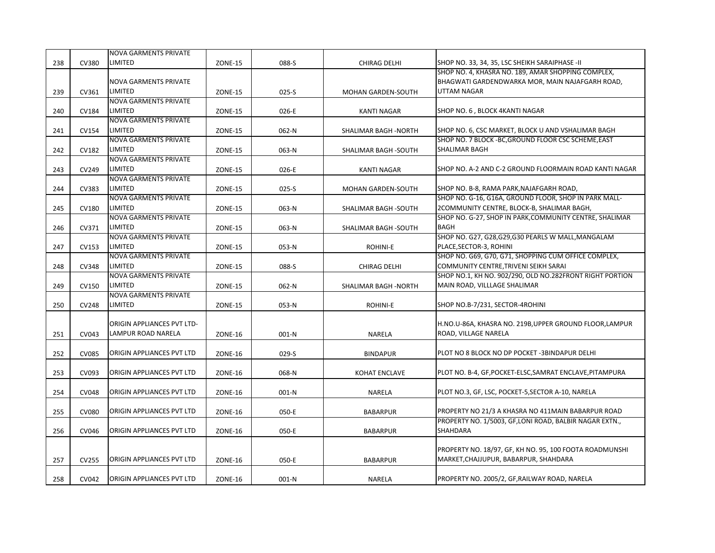|     |              | <b>NOVA GARMENTS PRIVATE</b>     |                |           |                       |                                                          |
|-----|--------------|----------------------------------|----------------|-----------|-----------------------|----------------------------------------------------------|
| 238 | <b>CV380</b> | LIMITED                          | <b>ZONE-15</b> | 088-S     | <b>CHIRAG DELHI</b>   | SHOP NO. 33, 34, 35, LSC SHEIKH SARAIPHASE -II           |
|     |              |                                  |                |           |                       | SHOP NO. 4, KHASRA NO. 189, AMAR SHOPPING COMPLEX,       |
|     |              | <b>NOVA GARMENTS PRIVATE</b>     |                |           |                       | BHAGWATI GARDENDWARKA MOR, MAIN NAJAFGARH ROAD,          |
| 239 | CV361        | LIMITED                          | <b>ZONE-15</b> | 025-S     | MOHAN GARDEN-SOUTH    | UTTAM NAGAR                                              |
|     |              | <b>NOVA GARMENTS PRIVATE</b>     |                |           |                       |                                                          |
| 240 | CV184        | LIMITED                          | <b>ZONE-15</b> | 026-E     | <b>KANTI NAGAR</b>    | SHOP NO. 6, BLOCK 4KANTI NAGAR                           |
|     |              | <b>NOVA GARMENTS PRIVATE</b>     |                |           |                       |                                                          |
| 241 | <b>CV154</b> | LIMITED                          | <b>ZONE-15</b> | 062-N     | SHALIMAR BAGH - NORTH | SHOP NO. 6, CSC MARKET, BLOCK U AND VSHALIMAR BAGH       |
|     |              | <b>NOVA GARMENTS PRIVATE</b>     |                |           |                       | SHOP NO. 7 BLOCK - BC, GROUND FLOOR CSC SCHEME, EAST     |
| 242 | <b>CV182</b> | LIMITED                          | <b>ZONE-15</b> | 063-N     | SHALIMAR BAGH -SOUTH  | SHALIMAR BAGH                                            |
|     |              | <b>NOVA GARMENTS PRIVATE</b>     |                |           |                       |                                                          |
| 243 | CV249        | LIMITED                          | <b>ZONE-15</b> | 026-E     | <b>KANTI NAGAR</b>    | SHOP NO. A-2 AND C-2 GROUND FLOORMAIN ROAD KANTI NAGAR   |
|     |              | <b>NOVA GARMENTS PRIVATE</b>     |                |           |                       |                                                          |
| 244 | CV383        | LIMITED                          | <b>ZONE-15</b> | $025 - S$ | MOHAN GARDEN-SOUTH    | SHOP NO. B-8, RAMA PARK, NAJAFGARH ROAD,                 |
|     |              | <b>NOVA GARMENTS PRIVATE</b>     |                |           |                       | SHOP NO. G-16, G16A, GROUND FLOOR, SHOP IN PARK MALL-    |
| 245 | <b>CV180</b> | LIMITED                          | <b>ZONE-15</b> | 063-N     | SHALIMAR BAGH -SOUTH  | 2COMMUNITY CENTRE, BLOCK-B, SHALIMAR BAGH,               |
|     |              | <b>NOVA GARMENTS PRIVATE</b>     |                |           |                       | SHOP NO. G-27, SHOP IN PARK, COMMUNITY CENTRE, SHALIMAR  |
| 246 | CV371        | LIMITED                          | <b>ZONE-15</b> | 063-N     | SHALIMAR BAGH -SOUTH  | <b>BAGH</b>                                              |
|     |              | <b>NOVA GARMENTS PRIVATE</b>     |                |           |                       | SHOP NO. G27, G28, G29, G30 PEARLS W MALL, MANGALAM      |
| 247 | CV153        | LIMITED                          | <b>ZONE-15</b> | 053-N     | ROHINI-E              | PLACE, SECTOR-3, ROHINI                                  |
|     |              | <b>NOVA GARMENTS PRIVATE</b>     |                |           |                       | SHOP NO. G69, G70, G71, SHOPPING CUM OFFICE COMPLEX,     |
| 248 | CV348        | LIMITED                          | <b>ZONE-15</b> | 088-S     | <b>CHIRAG DELHI</b>   | COMMUNITY CENTRE, TRIVENI SEIKH SARAI                    |
|     |              | <b>NOVA GARMENTS PRIVATE</b>     |                |           |                       | SHOP NO.1, KH NO. 902/290, OLD NO.282FRONT RIGHT PORTION |
| 249 | CV150        | LIMITED                          | <b>ZONE-15</b> | 062-N     | SHALIMAR BAGH - NORTH | MAIN ROAD, VILLLAGE SHALIMAR                             |
|     |              | <b>NOVA GARMENTS PRIVATE</b>     |                |           |                       |                                                          |
| 250 | <b>CV248</b> | LIMITED                          | <b>ZONE-15</b> | 053-N     | ROHINI-E              | SHOP NO.B-7/231, SECTOR-4ROHINI                          |
|     |              |                                  |                |           |                       |                                                          |
|     |              | ORIGIN APPLIANCES PVT LTD-       |                |           |                       | H.NO.U-86A, KHASRA NO. 219B, UPPER GROUND FLOOR, LAMPUR  |
| 251 | CV043        | <b>LAMPUR ROAD NARELA</b>        | <b>ZONE-16</b> | 001-N     | NARELA                | ROAD, VILLAGE NARELA                                     |
|     |              |                                  |                |           |                       |                                                          |
| 252 | <b>CV085</b> | ORIGIN APPLIANCES PVT LTD        | <b>ZONE-16</b> | 029-S     | <b>BINDAPUR</b>       | PLOT NO 8 BLOCK NO DP POCKET -3BINDAPUR DELHI            |
|     |              |                                  |                |           |                       |                                                          |
| 253 | CV093        | <b>ORIGIN APPLIANCES PVT LTD</b> | <b>ZONE-16</b> | 068-N     | <b>KOHAT ENCLAVE</b>  | PLOT NO. B-4, GF, POCKET-ELSC, SAMRAT ENCLAVE, PITAMPURA |
|     |              |                                  |                |           |                       |                                                          |
| 254 | <b>CV048</b> | <b>ORIGIN APPLIANCES PVT LTD</b> | ZONE-16        | 001-N     | NARELA                | PLOT NO.3, GF, LSC, POCKET-5, SECTOR A-10, NARELA        |
|     |              |                                  |                |           |                       |                                                          |
|     | <b>CV080</b> | ORIGIN APPLIANCES PVT LTD        | <b>ZONE-16</b> | 050-E     |                       | PROPERTY NO 21/3 A KHASRA NO 411MAIN BABARPUR ROAD       |
| 255 |              |                                  |                |           | <b>BABARPUR</b>       | PROPERTY NO. 1/5003, GF,LONI ROAD, BALBIR NAGAR EXTN.,   |
|     | CV046        | <b>ORIGIN APPLIANCES PVT LTD</b> |                |           |                       | <b>SHAHDARA</b>                                          |
| 256 |              |                                  | <b>ZONE-16</b> | 050-E     | <b>BABARPUR</b>       |                                                          |
|     |              |                                  |                |           |                       | PROPERTY NO. 18/97, GF, KH NO. 95, 100 FOOTA ROADMUNSHI  |
| 257 | <b>CV255</b> | ORIGIN APPLIANCES PVT LTD        | <b>ZONE-16</b> | 050-E     | <b>BABARPUR</b>       | MARKET, CHAJJUPUR, BABARPUR, SHAHDARA                    |
|     |              |                                  |                |           |                       |                                                          |
|     |              |                                  |                |           |                       |                                                          |
| 258 | CV042        | ORIGIN APPLIANCES PVT LTD        | <b>ZONE-16</b> | $001-N$   | NARELA                | PROPERTY NO. 2005/2, GF, RAILWAY ROAD, NARELA            |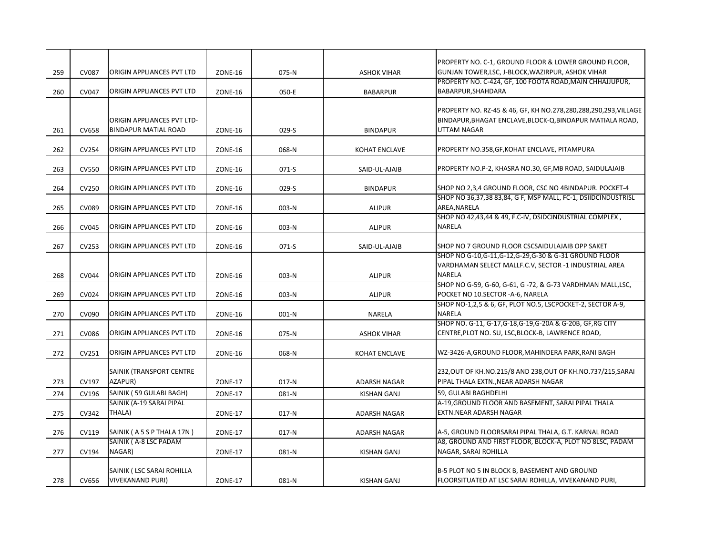|     |              |                                                                  |                |         |                      | PROPERTY NO. C-1, GROUND FLOOR & LOWER GROUND FLOOR,                                                                                               |
|-----|--------------|------------------------------------------------------------------|----------------|---------|----------------------|----------------------------------------------------------------------------------------------------------------------------------------------------|
| 259 | <b>CV087</b> | ORIGIN APPLIANCES PVT LTD                                        | <b>ZONE-16</b> | 075-N   | <b>ASHOK VIHAR</b>   | GUNJAN TOWER, LSC, J-BLOCK, WAZIRPUR, ASHOK VIHAR<br>PROPERTY NO. C-424, GF, 100 FOOTA ROAD, MAIN CHHAJJUPUR,                                      |
| 260 | <b>CV047</b> | ORIGIN APPLIANCES PVT LTD                                        | <b>ZONE-16</b> | 050-E   | <b>BABARPUR</b>      | BABARPUR, SHAHDARA                                                                                                                                 |
| 261 | <b>CV658</b> | <b>ORIGIN APPLIANCES PVT LTD-</b><br><b>BINDAPUR MATIAL ROAD</b> | <b>ZONE-16</b> | 029-S   | <b>BINDAPUR</b>      | PROPERTY NO. RZ-45 & 46, GF, KH NO.278,280,288,290,293, VILLAGE<br>BINDAPUR, BHAGAT ENCLAVE, BLOCK-Q, BINDAPUR MATIALA ROAD,<br><b>UTTAM NAGAR</b> |
| 262 | CV254        | ORIGIN APPLIANCES PVT LTD                                        | <b>ZONE-16</b> | 068-N   | <b>KOHAT ENCLAVE</b> | PROPERTY NO.358, GF, KOHAT ENCLAVE, PITAMPURA                                                                                                      |
| 263 | <b>CV550</b> | <b>ORIGIN APPLIANCES PVT LTD</b>                                 | ZONE-16        | 071-S   | SAID-UL-AJAIB        | PROPERTY NO.P-2, KHASRA NO.30, GF, MB ROAD, SAIDULAJAIB                                                                                            |
| 264 | CV250        | <b>ORIGIN APPLIANCES PVT LTD</b>                                 | <b>ZONE-16</b> | $029-S$ | <b>BINDAPUR</b>      | SHOP NO 2,3,4 GROUND FLOOR, CSC NO 4BINDAPUR. POCKET-4                                                                                             |
| 265 | <b>CV089</b> | <b>ORIGIN APPLIANCES PVT LTD</b>                                 | <b>ZONE-16</b> | 003-N   | <b>ALIPUR</b>        | SHOP NO 36,37,38 83,84, G F, MSP MALL, FC-1, DSIIDCINDUSTRISL<br>AREA, NARELA                                                                      |
| 266 | <b>CV045</b> | <b>ORIGIN APPLIANCES PVT LTD</b>                                 | <b>ZONE-16</b> | 003-N   | <b>ALIPUR</b>        | SHOP NO 42,43,44 & 49, F.C-IV, DSIDCINDUSTRIAL COMPLEX,<br><b>NARELA</b>                                                                           |
| 267 | CV253        | ORIGIN APPLIANCES PVT LTD                                        | ZONE-16        | 071-S   | SAID-UL-AJAIB        | SHOP NO 7 GROUND FLOOR CSCSAIDULAJAIB OPP SAKET                                                                                                    |
| 268 | <b>CV044</b> | ORIGIN APPLIANCES PVT LTD                                        | <b>ZONE-16</b> | 003-N   | <b>ALIPUR</b>        | SHOP NO G-10, G-11, G-12, G-29, G-30 & G-31 GROUND FLOOR<br>VARDHAMAN SELECT MALLF.C.V, SECTOR -1 INDUSTRIAL AREA<br><b>NARELA</b>                 |
| 269 | CV024        | ORIGIN APPLIANCES PVT LTD                                        | <b>ZONE-16</b> | 003-N   | <b>ALIPUR</b>        | SHOP NO G-59, G-60, G-61, G-72, & G-73 VARDHMAN MALL,LSC,<br>POCKET NO 10.SECTOR -A-6, NARELA                                                      |
| 270 | CV090        | ORIGIN APPLIANCES PVT LTD                                        | <b>ZONE-16</b> | 001-N   | <b>NARELA</b>        | SHOP NO-1,2,5 & 6, GF, PLOT NO.5, LSCPOCKET-2, SECTOR A-9,<br><b>NARELA</b>                                                                        |
| 271 | <b>CV086</b> | ORIGIN APPLIANCES PVT LTD                                        | <b>ZONE-16</b> | 075-N   | <b>ASHOK VIHAR</b>   | SHOP NO. G-11, G-17, G-18, G-19, G-20A & G-20B, GF, RG CITY<br>CENTRE, PLOT NO. SU, LSC, BLOCK-B, LAWRENCE ROAD,                                   |
| 272 | CV251        | ORIGIN APPLIANCES PVT LTD                                        | <b>ZONE-16</b> | 068-N   | <b>KOHAT ENCLAVE</b> | WZ-3426-A, GROUND FLOOR, MAHINDERA PARK, RANI BAGH                                                                                                 |
| 273 | CV197        | SAINIK (TRANSPORT CENTRE<br>AZAPUR)                              | <b>ZONE-17</b> | $017-N$ | ADARSH NAGAR         | 232, OUT OF KH. NO. 215/8 AND 238, OUT OF KH. NO. 737/215, SARAI<br>PIPAL THALA EXTN., NEAR ADARSH NAGAR                                           |
| 274 | CV196        | SAINIK (59 GULABI BAGH)                                          | <b>ZONE-17</b> | 081-N   | <b>KISHAN GANJ</b>   | 59, GULABI BAGHDELHI                                                                                                                               |
| 275 | CV342        | SAINIK (A-19 SARAI PIPAL<br>THALA)                               | <b>ZONE-17</b> | $017-N$ | <b>ADARSH NAGAR</b>  | A-19, GROUND FLOOR AND BASEMENT, SARAI PIPAL THALA<br>EXTN.NEAR ADARSH NAGAR                                                                       |
| 276 | CV119        | SAINIK (A 5 S P THALA 17N)                                       | <b>ZONE-17</b> | $017-N$ | <b>ADARSH NAGAR</b>  | A-5, GROUND FLOORSARAI PIPAL THALA, G.T. KARNAL ROAD                                                                                               |
| 277 | CV194        | SAINIK (A-8 LSC PADAM<br>NAGAR)                                  | ZONE-17        | 081-N   | KISHAN GANJ          | A8, GROUND AND FIRST FLOOR, BLOCK-A, PLOT NO 8LSC, PADAM<br>NAGAR, SARAI ROHILLA                                                                   |
| 278 | CV656        | SAINIK (LSC SARAI ROHILLA<br><b>VIVEKANAND PURI)</b>             | <b>ZONE-17</b> | 081-N   | KISHAN GANJ          | B-5 PLOT NO 5 IN BLOCK B, BASEMENT AND GROUND<br>FLOORSITUATED AT LSC SARAI ROHILLA, VIVEKANAND PURI,                                              |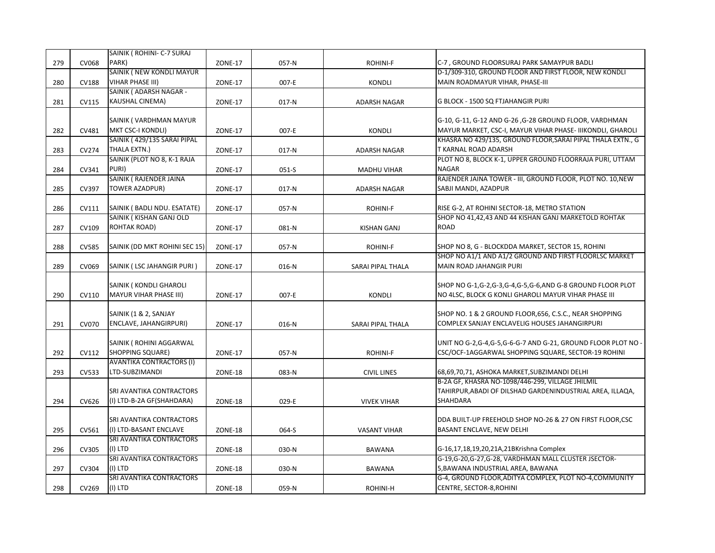|     |              | SAINIK ( ROHINI- C-7 SURAJ          |                |         |                     |                                                                                     |
|-----|--------------|-------------------------------------|----------------|---------|---------------------|-------------------------------------------------------------------------------------|
| 279 | CV068        | PARK)                               | <b>ZONE-17</b> | 057-N   | <b>ROHINI-F</b>     | C-7, GROUND FLOORSURAJ PARK SAMAYPUR BADLI                                          |
|     |              | SAINIK ( NEW KONDLI MAYUR           |                |         |                     | D-1/309-310, GROUND FLOOR AND FIRST FLOOR, NEW KONDLI                               |
| 280 | <b>CV188</b> | <b>VIHAR PHASE III)</b>             | ZONE-17        | 007-E   | <b>KONDLI</b>       | MAIN ROADMAYUR VIHAR, PHASE-III                                                     |
|     |              | SAINIK ( ADARSH NAGAR -             |                |         |                     |                                                                                     |
| 281 | CV115        | KAUSHAL CINEMA)                     | ZONE-17        | $017-N$ | ADARSH NAGAR        | G BLOCK - 1500 SQ FTJAHANGIR PURI                                                   |
|     |              |                                     |                |         |                     |                                                                                     |
|     |              | SAINIK (VARDHMAN MAYUR              |                |         |                     | G-10, G-11, G-12 AND G-26, G-28 GROUND FLOOR, VARDHMAN                              |
| 282 | CV481        | <b>MKT CSC-I KONDLI)</b>            | <b>ZONE-17</b> | 007-E   | <b>KONDLI</b>       | MAYUR MARKET, CSC-I, MAYUR VIHAR PHASE- IIIKONDLI, GHAROLI                          |
|     |              | SAINIK (429/135 SARAI PIPAL         |                |         |                     | KHASRA NO 429/135, GROUND FLOOR, SARAI PIPAL THALA EXTN., G                         |
| 283 | CV274        | THALA EXTN.)                        | <b>ZONE-17</b> | $017-N$ | ADARSH NAGAR        | T KARNAL ROAD ADARSH                                                                |
|     |              | SAINIK (PLOT NO 8, K-1 RAJA         |                |         |                     | PLOT NO 8, BLOCK K-1, UPPER GROUND FLOORRAJA PURI, UTTAM                            |
| 284 | CV341        | PURI)                               | <b>ZONE-17</b> | 051-S   | <b>MADHU VIHAR</b>  | <b>NAGAR</b>                                                                        |
|     |              | SAINIK (RAJENDER JAINA              |                |         |                     | RAJENDER JAINA TOWER - III, GROUND FLOOR, PLOT NO. 10, NEW                          |
| 285 | CV397        | <b>TOWER AZADPUR)</b>               | <b>ZONE-17</b> | $017-N$ | <b>ADARSH NAGAR</b> | SABJI MANDI, AZADPUR                                                                |
|     |              |                                     |                |         |                     |                                                                                     |
| 286 | CV111        | SAINIK ( BADLI NDU. ESATATE)        | <b>ZONE-17</b> | 057-N   | ROHINI-F            | RISE G-2, AT ROHINI SECTOR-18, METRO STATION                                        |
|     |              | SAINIK (KISHAN GANJ OLD             |                |         |                     | SHOP NO 41,42,43 AND 44 KISHAN GANJ MARKETOLD ROHTAK                                |
| 287 | CV109        | ROHTAK ROAD)                        | <b>ZONE-17</b> | 081-N   | <b>KISHAN GANJ</b>  | <b>ROAD</b>                                                                         |
|     |              |                                     |                |         |                     |                                                                                     |
| 288 | <b>CV585</b> | SAINIK (DD MKT ROHINI SEC 15)       | ZONE-17        | 057-N   | ROHINI-F            | SHOP NO 8, G - BLOCKDDA MARKET, SECTOR 15, ROHINI                                   |
|     |              |                                     |                |         |                     | SHOP NO A1/1 AND A1/2 GROUND AND FIRST FLOORLSC MARKET                              |
| 289 | CV069        | SAINIK (LSC JAHANGIR PURI)          | <b>ZONE-17</b> | 016-N   | SARAI PIPAL THALA   | <b>MAIN ROAD JAHANGIR PURI</b>                                                      |
|     |              |                                     |                |         |                     |                                                                                     |
|     |              | SAINIK (KONDLI GHAROLI              |                |         |                     | SHOP NO G-1,G-2,G-3,G-4,G-5,G-6,AND G-8 GROUND FLOOR PLOT                           |
| 290 |              | MAYUR VIHAR PHASE III)              |                |         | <b>KONDLI</b>       | NO 4LSC, BLOCK G KONLI GHAROLI MAYUR VIHAR PHASE III                                |
|     | CV110        |                                     | <b>ZONE-17</b> | 007-E   |                     |                                                                                     |
|     |              |                                     |                |         |                     |                                                                                     |
|     |              | SAINIK (1 & 2, SANJAY               |                |         |                     | SHOP NO. 1 & 2 GROUND FLOOR, 656, C.S.C., NEAR SHOPPING                             |
| 291 | CV070        | ENCLAVE, JAHANGIRPURI)              | <b>ZONE-17</b> | 016-N   | SARAI PIPAL THALA   | COMPLEX SANJAY ENCLAVELIG HOUSES JAHANGIRPURI                                       |
|     |              |                                     |                |         |                     |                                                                                     |
|     |              | SAINIK ( ROHINI AGGARWAL            |                |         |                     | UNIT NO G-2, G-4, G-5, G-6-G-7 AND G-21, GROUND FLOOR PLOT NO -                     |
| 292 | CV112        | <b>SHOPPING SQUARE)</b>             | <b>ZONE-17</b> | 057-N   | <b>ROHINI-F</b>     | CSC/OCF-1AGGARWAL SHOPPING SQUARE, SECTOR-19 ROHINI                                 |
|     |              | <b>AVANTIKA CONTRACTORS (I)</b>     |                |         |                     |                                                                                     |
| 293 | CV533        | LTD-SUBZIMANDI                      | <b>ZONE-18</b> | 083-N   | <b>CIVIL LINES</b>  | 68,69,70,71, ASHOKA MARKET, SUBZIMANDI DELHI                                        |
|     |              |                                     |                |         |                     | B-2A GF, KHASRA NO-1098/446-299, VILLAGE JHILMIL                                    |
|     |              | SRI AVANTIKA CONTRACTORS            |                |         |                     | TAHIRPUR,ABADI OF DILSHAD GARDENINDUSTRIAL AREA, ILLAQA,                            |
| 294 | CV626        | (I) LTD-B-2A GF(SHAHDARA)           | ZONE-18        | 029-E   | <b>VIVEK VIHAR</b>  | <b>SHAHDARA</b>                                                                     |
|     |              |                                     |                |         |                     |                                                                                     |
|     |              | SRI AVANTIKA CONTRACTORS            |                |         |                     | DDA BUILT-UP FREEHOLD SHOP NO-26 & 27 ON FIRST FLOOR, CSC                           |
| 295 | CV561        | (I) LTD-BASANT ENCLAVE              | ZONE-18        | 064-S   | <b>VASANT VIHAR</b> | BASANT ENCLAVE, NEW DELHI                                                           |
|     |              | SRI AVANTIKA CONTRACTORS            |                |         |                     |                                                                                     |
| 296 | CV305        | (I) LTD                             | ZONE-18        | 030-N   | <b>BAWANA</b>       | G-16,17,18,19,20,21A,21BKrishna Complex                                             |
|     |              | SRI AVANTIKA CONTRACTORS            |                |         |                     | G-19, G-20, G-27, G-28, VARDHMAN MALL CLUSTER JSECTOR-                              |
| 297 | CV304        | (I) LTD                             | ZONE-18        | 030-N   | <b>BAWANA</b>       | 5, BAWANA INDUSTRIAL AREA, BAWANA                                                   |
| 298 | CV269        | SRI AVANTIKA CONTRACTORS<br>(I) LTD | <b>ZONE-18</b> | 059-N   |                     | G-4, GROUND FLOOR, ADITYA COMPLEX, PLOT NO-4, COMMUNITY<br>CENTRE, SECTOR-8, ROHINI |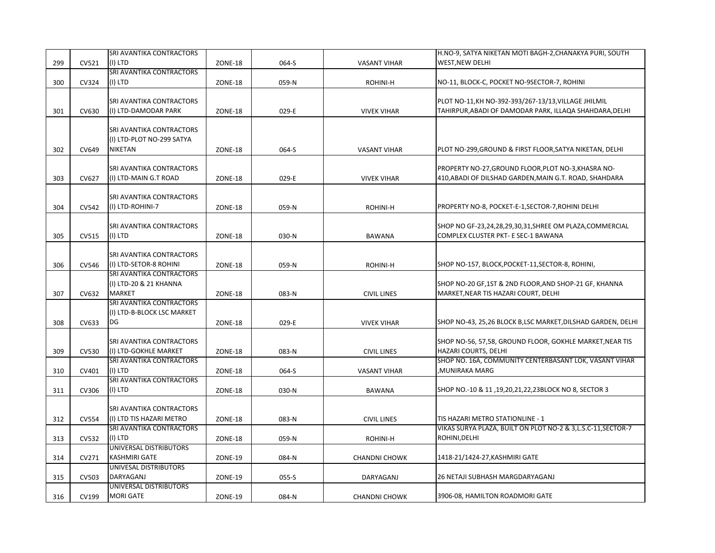|     |              | SRI AVANTIKA CONTRACTORS                                                |                |       |                      | H.NO-9, SATYA NIKETAN MOTI BAGH-2, CHANAKYA PURI, SOUTH                                                         |
|-----|--------------|-------------------------------------------------------------------------|----------------|-------|----------------------|-----------------------------------------------------------------------------------------------------------------|
| 299 | CV521        | (I) LTD                                                                 | <b>ZONE-18</b> | 064-S | <b>VASANT VIHAR</b>  | WEST, NEW DELHI                                                                                                 |
| 300 | CV324        | SRI AVANTIKA CONTRACTORS<br>(I) LTD                                     | ZONE-18        | 059-N | ROHINI-H             | NO-11, BLOCK-C, POCKET NO-9SECTOR-7, ROHINI                                                                     |
| 301 | CV630        | <b>SRI AVANTIKA CONTRACTORS</b><br>(I) LTD-DAMODAR PARK                 | <b>ZONE-18</b> | 029-E | <b>VIVEK VIHAR</b>   | PLOT NO-11, KH NO-392-393/267-13/13, VILLAGE JHILMIL<br>TAHIRPUR, ABADI OF DAMODAR PARK, ILLAQA SHAHDARA, DELHI |
| 302 | CV649        | SRI AVANTIKA CONTRACTORS<br>(I) LTD-PLOT NO-299 SATYA<br><b>NIKETAN</b> | ZONE-18        | 064-S | <b>VASANT VIHAR</b>  | PLOT NO-299, GROUND & FIRST FLOOR, SATYA NIKETAN, DELHI                                                         |
| 303 | CV627        | SRI AVANTIKA CONTRACTORS<br>(I) LTD-MAIN G.T ROAD                       | <b>ZONE-18</b> | 029-E | <b>VIVEK VIHAR</b>   | PROPERTY NO-27, GROUND FLOOR, PLOT NO-3, KHASRA NO-<br>410, ABADI OF DILSHAD GARDEN, MAIN G.T. ROAD, SHAHDARA   |
| 304 | CV542        | SRI AVANTIKA CONTRACTORS<br>(I) LTD-ROHINI-7                            | ZONE-18        | 059-N | ROHINI-H             | PROPERTY NO-8, POCKET-E-1, SECTOR-7, ROHINI DELHI                                                               |
| 305 | CV515        | SRI AVANTIKA CONTRACTORS<br>(I) LTD                                     | ZONE-18        | 030-N | <b>BAWANA</b>        | SHOP NO GF-23,24,28,29,30,31,SHREE OM PLAZA,COMMERCIAL<br>COMPLEX CLUSTER PKT- E SEC-1 BAWANA                   |
| 306 | CV546        | SRI AVANTIKA CONTRACTORS<br>(I) LTD-SETOR-8 ROHINI                      | <b>ZONE-18</b> | 059-N | <b>ROHINI-H</b>      | SHOP NO-157, BLOCK, POCKET-11, SECTOR-8, ROHINI,                                                                |
| 307 | CV632        | SRI AVANTIKA CONTRACTORS<br>(I) LTD-20 & 21 KHANNA<br><b>MARKET</b>     | <b>ZONE-18</b> | 083-N | <b>CIVIL LINES</b>   | SHOP NO-20 GF,1ST & 2ND FLOOR, AND SHOP-21 GF, KHANNA<br>MARKET, NEAR TIS HAZARI COURT, DELHI                   |
| 308 | CV633        | SRI AVANTIKA CONTRACTORS<br>(I) LTD-B-BLOCK LSC MARKET<br>DG            | ZONE-18        | 029-E | <b>VIVEK VIHAR</b>   | SHOP NO-43, 25,26 BLOCK B,LSC MARKET, DILSHAD GARDEN, DELHI                                                     |
| 309 | CV530        | SRI AVANTIKA CONTRACTORS<br>(I) LTD-GOKHLE MARKET                       | ZONE-18        | 083-N | <b>CIVIL LINES</b>   | SHOP NO-56, 57,58, GROUND FLOOR, GOKHLE MARKET, NEAR TIS<br>HAZARI COURTS, DELHI                                |
| 310 | CV401        | SRI AVANTIKA CONTRACTORS<br>(I) LTD                                     | ZONE-18        | 064-S | <b>VASANT VIHAR</b>  | SHOP NO. 16A, COMMUNITY CENTERBASANT LOK, VASANT VIHAR<br>,MUNIRAKA MARG                                        |
| 311 | CV306        | SRI AVANTIKA CONTRACTORS<br>(I) LTD                                     | <b>ZONE-18</b> | 030-N | <b>BAWANA</b>        | SHOP NO.-10 & 11,19,20,21,22,23BLOCK NO 8, SECTOR 3                                                             |
| 312 | <b>CV554</b> | SRI AVANTIKA CONTRACTORS<br>(I) LTD TIS HAZARI METRO                    | <b>ZONE-18</b> | 083-N | <b>CIVIL LINES</b>   | TIS HAZARI METRO STATIONLINE - 1                                                                                |
| 313 | CV532        | SRI AVANTIKA CONTRACTORS<br>(I) LTD                                     | ZONE-18        | 059-N | ROHINI-H             | VIKAS SURYA PLAZA, BUILT ON PLOT NO-2 & 3, L.S.C-11, SECTOR-7<br>ROHINI, DELHI                                  |
| 314 | CV271        | UNIVERSAL DISTRIBUTORS<br><b>KASHMIRI GATE</b>                          | <b>ZONE-19</b> | 084-N | <b>CHANDNI CHOWK</b> | 1418-21/1424-27, KASHMIRI GATE                                                                                  |
| 315 | CV503        | UNIVESAL DISTRIBUTORS<br>DARYAGANJ                                      | <b>ZONE-19</b> | 055-S | DARYAGANJ            | 26 NETAJI SUBHASH MARGDARYAGANJ                                                                                 |
| 316 | CV199        | UNIVERSAL DISTRIBUTORS<br><b>MORI GATE</b>                              | <b>ZONE-19</b> | 084-N | <b>CHANDNI CHOWK</b> | 3906-08, HAMILTON ROADMORI GATE                                                                                 |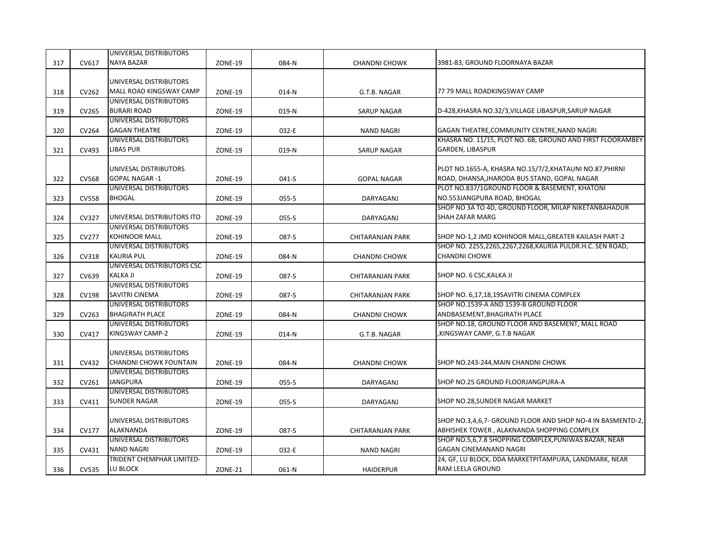|     |              | UNIVERSAL DISTRIBUTORS                          |                |           |                      |                                                            |
|-----|--------------|-------------------------------------------------|----------------|-----------|----------------------|------------------------------------------------------------|
| 317 | CV617        | <b>NAYA BAZAR</b>                               | <b>ZONE-19</b> | 084-N     | <b>CHANDNI CHOWK</b> | 3981-83, GROUND FLOORNAYA BAZAR                            |
|     |              |                                                 |                |           |                      |                                                            |
|     |              | UNIVERSAL DISTRIBUTORS                          |                |           |                      |                                                            |
| 318 | CV262        | MALL ROAD KINGSWAY CAMP                         | <b>ZONE-19</b> | 014-N     | G.T.B. NAGAR         | 77 79 MALL ROADKINGSWAY CAMP                               |
|     |              | UNIVERSAL DISTRIBUTORS                          |                |           |                      |                                                            |
| 319 | CV265        | <b>BURARI ROAD</b><br>UNIVERSAL DISTRIBUTORS    | <b>ZONE-19</b> | 019-N     | SARUP NAGAR          | D-428, KHASRA NO.32/3, VILLAGE LIBASPUR, SARUP NAGAR       |
| 320 | CV264        | <b>GAGAN THEATRE</b>                            | <b>ZONE-19</b> | 032-E     | <b>NAND NAGRI</b>    | GAGAN THEATRE, COMMUNITY CENTRE, NAND NAGRI                |
|     |              | UNIVERSAL DISTRIBUTORS                          |                |           |                      | KHASRA NO. 11/15, PLOT NO. 6B, GROUND AND FIRST FLOORAMBEY |
| 321 | CV493        | <b>LIBAS PUR</b>                                | <b>ZONE-19</b> | 019-N     | <b>SARUP NAGAR</b>   | <b>GARDEN, LIBASPUR</b>                                    |
|     |              |                                                 |                |           |                      |                                                            |
|     |              | UNIVESAL DISTRIBUTORS                           |                |           |                      | PLOT NO.1655-A, KHASRA NO.15/7/2, KHATAUNI NO.87, PHIRNI   |
| 322 | <b>CV568</b> | <b>GOPAL NAGAR-1</b>                            | <b>ZONE-19</b> | 041-S     | <b>GOPAL NAGAR</b>   | ROAD, DHANSA, JHARODA BUS STAND, GOPAL NAGAR               |
|     |              | UNIVERSAL DISTRIBUTORS                          |                |           |                      | PLOT NO.837/1GROUND FLOOR & BASEMENT, KHATONI              |
| 323 | <b>CV558</b> | <b>BHOGAL</b>                                   | <b>ZONE-19</b> | 055-S     | DARYAGANJ            | NO.553JANGPURA ROAD, BHOGAL                                |
|     |              |                                                 |                |           |                      | SHOP NO 3A TO 4D, GROUND FLOOR, MILAP NIKETANBAHADUR       |
| 324 | CV327        | UNIVERSAL DISTRIBUTORS ITO                      | <b>ZONE-19</b> | 055-S     | DARYAGANJ            | SHAH ZAFAR MARG                                            |
|     |              | UNIVERSAL DISTRIBUTORS                          |                |           |                      |                                                            |
| 325 | CV277        | <b>KOHINOOR MALL</b>                            | <b>ZONE-19</b> | 087-S     | CHITARANJAN PARK     | SHOP NO-1,2 JMD KOHINOOR MALL, GREATER KAILASH PART-2      |
|     |              | UNIVERSAL DISTRIBUTORS                          |                |           |                      | SHOP NO. 2255,2265,2267,2268,KAURIA PULDR.H.C. SEN ROAD,   |
| 326 | CV318        | <b>KAURIA PUL</b><br>UNIVERSAL DISTRIBUTORS CSC | <b>ZONE-19</b> | 084-N     | <b>CHANDNI CHOWK</b> | <b>CHANDNI CHOWK</b>                                       |
| 327 | CV639        | <b>KALKA JI</b>                                 |                |           |                      | SHOP NO. 6 CSC, KALKA JI                                   |
|     |              | UNIVERSAL DISTRIBUTORS                          | <b>ZONE-19</b> | 087-S     | CHITARANJAN PARK     |                                                            |
| 328 | <b>CV198</b> | <b>SAVITRI CINEMA</b>                           | <b>ZONE-19</b> | 087-S     | CHITARANJAN PARK     | SHOP NO. 6,17,18,19SAVITRI CINEMA COMPLEX                  |
|     |              | UNIVERSAL DISTRIBUTORS                          |                |           |                      | SHOP NO.1539-A AND 1539-B GROUND FLOOR                     |
| 329 | CV263        | <b>BHAGIRATH PLACE</b>                          | <b>ZONE-19</b> | 084-N     | <b>CHANDNI CHOWK</b> | ANDBASEMENT, BHAGIRATH PLACE                               |
|     |              | UNIVERSAL DISTRIBUTORS                          |                |           |                      | SHOP NO.18, GROUND FLOOR AND BASEMENT, MALL ROAD           |
| 330 | CV417        | <b>KINGSWAY CAMP-2</b>                          | <b>ZONE-19</b> | 014-N     | G.T.B. NAGAR         | KINGSWAY CAMP, G.T.B NAGAR                                 |
|     |              |                                                 |                |           |                      |                                                            |
|     |              | UNIVERSAL DISTRIBUTORS                          |                |           |                      |                                                            |
| 331 | CV432        | <b>CHANDNI CHOWK FOUNTAIN</b>                   | <b>ZONE-19</b> | 084-N     | <b>CHANDNI CHOWK</b> | SHOP NO.243-244, MAIN CHANDNI CHOWK                        |
|     |              | UNIVERSAL DISTRIBUTORS                          |                |           |                      |                                                            |
| 332 | CV261        | <b>JANGPURA</b>                                 | <b>ZONE-19</b> | $055 - S$ | DARYAGANJ            | SHOP NO.25 GROUND FLOORJANGPURA-A                          |
|     |              | UNIVERSAL DISTRIBUTORS                          |                |           |                      |                                                            |
| 333 | CV411        | <b>SUNDER NAGAR</b>                             | <b>ZONE-19</b> | 055-S     | DARYAGANJ            | SHOP NO.28, SUNDER NAGAR MARKET                            |
|     |              | UNIVERSAL DISTRIBUTORS                          |                |           |                      | SHOP NO.3,4,6,7- GROUND FLOOR AND SHOP NO-4 IN BASMENTD-2, |
| 334 | CV177        | <b>ALAKNANDA</b>                                | <b>ZONE-19</b> | 087-S     | CHITARANJAN PARK     | ABHISHEK TOWER, ALAKNANDA SHOPPING COMPLEX                 |
|     |              | UNIVERSAL DISTRIBUTORS                          |                |           |                      | SHOP NO.5,6,7.8 SHOPPING COMPLEX, PUNIWAS BAZAR, NEAR      |
| 335 | CV431        | <b>NAND NAGRI</b>                               | <b>ZONE-19</b> | 032-E     | <b>NAND NAGRI</b>    | <b>GAGAN CINEMANAND NAGRI</b>                              |
|     |              | TRIDENT CHEMPHAR LIMITED-                       |                |           |                      | 24, GF, LU BLOCK, DDA MARKETPITAMPURA, LANDMARK, NEAR      |
| 336 | CV535        | LU BLOCK                                        | ZONE-21        | 061-N     | <b>HAIDERPUR</b>     | RAM LEELA GROUND                                           |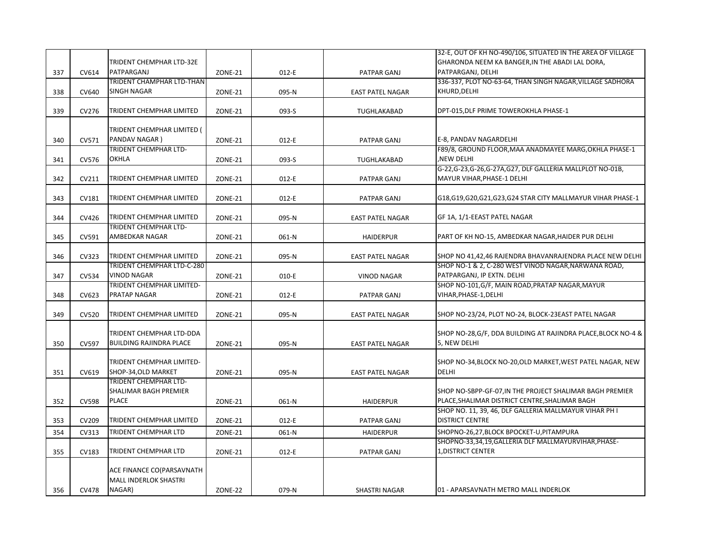|     |              |                                   |                |         |                         | 32-E, OUT OF KH NO-490/106, SITUATED IN THE AREA OF VILLAGE   |
|-----|--------------|-----------------------------------|----------------|---------|-------------------------|---------------------------------------------------------------|
|     |              | TRIDENT CHEMPHAR LTD-32E          |                |         |                         | GHARONDA NEEM KA BANGER, IN THE ABADI LAL DORA,               |
| 337 | CV614        | PATPARGANJ                        | ZONE-21        | $012-E$ | PATPAR GANJ             | PATPARGANJ, DELHI                                             |
|     |              | TRIDENT CHAMPHAR LTD-THAN         |                |         |                         | 336-337, PLOT NO-63-64, THAN SINGH NAGAR, VILLAGE SADHORA     |
| 338 | CV640        | <b>SINGH NAGAR</b>                | ZONE-21        | 095-N   | <b>EAST PATEL NAGAR</b> | KHURD, DELHI                                                  |
|     |              |                                   |                |         |                         |                                                               |
|     | CV276        | <b>TRIDENT CHEMPHAR LIMITED</b>   |                |         |                         | DPT-015, DLF PRIME TOWEROKHLA PHASE-1                         |
| 339 |              |                                   | <b>ZONE-21</b> | 093-S   | TUGHLAKABAD             |                                                               |
|     |              |                                   |                |         |                         |                                                               |
|     |              | TRIDENT CHEMPHAR LIMITED (        |                |         |                         |                                                               |
| 340 | CV571        | PANDAV NAGAR)                     | <b>ZONE-21</b> | 012-E   | PATPAR GANJ             | E-8, PANDAV NAGARDELHI                                        |
|     |              | TRIDENT CHEMPHAR LTD-             |                |         |                         | F89/8, GROUND FLOOR, MAA ANADMAYEE MARG, OKHLA PHASE-1        |
| 341 | CV576        | <b>OKHLA</b>                      | ZONE-21        | 093-S   | TUGHLAKABAD             | ,NEW DELHI                                                    |
|     |              |                                   |                |         |                         | G-22, G-23, G-26, G-27A, G27, DLF GALLERIA MALLPLOT NO-01B,   |
| 342 | CV211        | <b>TRIDENT CHEMPHAR LIMITED</b>   | <b>ZONE-21</b> | 012-E   | PATPAR GANJ             | MAYUR VIHAR, PHASE-1 DELHI                                    |
|     |              |                                   |                |         |                         |                                                               |
| 343 | CV181        | TRIDENT CHEMPHAR LIMITED          | <b>ZONE-21</b> | 012-E   | PATPAR GANJ             | G18,G19,G20,G21,G23,G24 STAR CITY MALLMAYUR VIHAR PHASE-1     |
|     |              |                                   |                |         |                         |                                                               |
| 344 | CV426        | <b>TRIDENT CHEMPHAR LIMITED</b>   | ZONE-21        | 095-N   |                         | GF 1A, 1/1-EEAST PATEL NAGAR                                  |
|     |              |                                   |                |         | <b>EAST PATEL NAGAR</b> |                                                               |
|     |              | TRIDENT CHEMPHAR LTD-             |                |         |                         |                                                               |
| 345 | CV591        | AMBEDKAR NAGAR                    | <b>ZONE-21</b> | 061-N   | <b>HAIDERPUR</b>        | PART OF KH NO-15, AMBEDKAR NAGAR, HAIDER PUR DELHI            |
|     |              |                                   |                |         |                         |                                                               |
| 346 | CV323        | <b>TRIDENT CHEMPHAR LIMITED</b>   | ZONE-21        | 095-N   | <b>EAST PATEL NAGAR</b> | SHOP NO 41,42,46 RAJENDRA BHAVANRAJENDRA PLACE NEW DELHI      |
|     |              | <b>TRIDENT CHEMPHAR LTD-C-280</b> |                |         |                         | SHOP NO-1 & 2, C-280 WEST VINOD NAGAR, NARWANA ROAD,          |
| 347 | CV534        | <b>VINOD NAGAR</b>                | ZONE-21        | 010-E   | <b>VINOD NAGAR</b>      | PATPARGANJ, IP EXTN. DELHI                                    |
|     |              | TRIDENT CHEMPHAR LIMITED-         |                |         |                         | SHOP NO-101, G/F, MAIN ROAD, PRATAP NAGAR, MAYUR              |
| 348 | CV623        | <b>PRATAP NAGAR</b>               | <b>ZONE-21</b> | 012-E   | PATPAR GANJ             | VIHAR, PHASE-1, DELHI                                         |
|     |              |                                   |                |         |                         |                                                               |
| 349 | <b>CV520</b> | TRIDENT CHEMPHAR LIMITED          | ZONE-21        | 095-N   | <b>EAST PATEL NAGAR</b> | SHOP NO-23/24, PLOT NO-24, BLOCK-23EAST PATEL NAGAR           |
|     |              |                                   |                |         |                         |                                                               |
|     |              | TRIDENT CHEMPHAR LTD-DDA          |                |         |                         | SHOP NO-28, G/F, DDA BUILDING AT RAJINDRA PLACE, BLOCK NO-4 & |
| 350 | CV597        | <b>BUILDING RAJINDRA PLACE</b>    | <b>ZONE-21</b> |         |                         | 5, NEW DELHI                                                  |
|     |              |                                   |                | 095-N   | <b>EAST PATEL NAGAR</b> |                                                               |
|     |              |                                   |                |         |                         |                                                               |
|     |              | TRIDENT CHEMPHAR LIMITED-         |                |         |                         | SHOP NO-34, BLOCK NO-20, OLD MARKET, WEST PATEL NAGAR, NEW    |
| 351 | CV619        | SHOP-34, OLD MARKET               | <b>ZONE-21</b> | 095-N   | <b>EAST PATEL NAGAR</b> | <b>DELHI</b>                                                  |
|     |              | TRIDENT CHEMPHAR LTD-             |                |         |                         |                                                               |
|     |              | <b>SHALIMAR BAGH PREMIER</b>      |                |         |                         | SHOP NO-SBPP-GF-07, IN THE PROJECT SHALIMAR BAGH PREMIER      |
| 352 | <b>CV598</b> | <b>PLACE</b>                      | <b>ZONE-21</b> | 061-N   | <b>HAIDERPUR</b>        | PLACE, SHALIMAR DISTRICT CENTRE, SHALIMAR BAGH                |
|     |              |                                   |                |         |                         | SHOP NO. 11, 39, 46, DLF GALLERIA MALLMAYUR VIHAR PH I        |
| 353 | CV209        | TRIDENT CHEMPHAR LIMITED          | ZONE-21        | $012-E$ | PATPAR GANJ             | <b>DISTRICT CENTRE</b>                                        |
| 354 | CV313        | TRIDENT CHEMPHAR LTD              | <b>ZONE-21</b> | 061-N   | <b>HAIDERPUR</b>        | SHOPNO-26,27, BLOCK BPOCKET-U, PITAMPURA                      |
|     |              |                                   |                |         |                         | SHOPNO-33,34,19,GALLERIA DLF MALLMAYURVIHAR, PHASE-           |
|     |              | <b>TRIDENT CHEMPHAR LTD</b>       |                |         |                         | <b>1, DISTRICT CENTER</b>                                     |
| 355 | CV183        |                                   | <b>ZONE-21</b> | $012-E$ | PATPAR GANJ             |                                                               |
|     |              |                                   |                |         |                         |                                                               |
|     |              | ACE FINANCE CO(PARSAVNATH         |                |         |                         |                                                               |
|     |              | <b>MALL INDERLOK SHASTRI</b>      |                |         |                         |                                                               |
| 356 | CV478        | NAGAR)                            | ZONE-22        | 079-N   | <b>SHASTRI NAGAR</b>    | 01 - APARSAVNATH METRO MALL INDERLOK                          |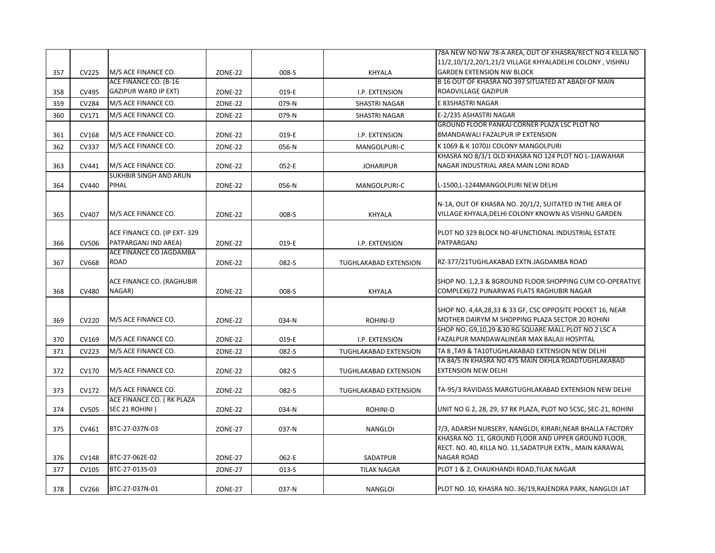|     |              |                                                     |                |           |                       | 78A NEW NO NW 78-A AREA, OUT OF KHASRA/RECT NO 4 KILLA NO<br>11/2,10/1/2,20/1,21/2 VILLAGE KHYALADELHI COLONY, VISHNU                |
|-----|--------------|-----------------------------------------------------|----------------|-----------|-----------------------|--------------------------------------------------------------------------------------------------------------------------------------|
| 357 | CV225        | M/S ACE FINANCE CO.                                 | ZONE-22        | 008-S     | <b>KHYALA</b>         | <b>GARDEN EXTENSION NW BLOCK</b>                                                                                                     |
|     |              | ACE FINANCE CO. (B-16                               |                |           |                       | B 16 OUT OF KHASRA NO 397 SITUATED AT ABADI OF MAIN                                                                                  |
| 358 | CV495        | GAZIPUR WARD IP EXT)                                | ZONE-22        | 019-E     | I.P. EXTENSION        | ROADVILLAGE GAZIPUR                                                                                                                  |
| 359 | <b>CV284</b> | M/S ACE FINANCE CO.                                 | <b>ZONE-22</b> | 079-N     | SHASTRI NAGAR         | E 83SHASTRI NAGAR                                                                                                                    |
| 360 | CV171        | M/S ACE FINANCE CO.                                 | <b>ZONE-22</b> | 079-N     | SHASTRI NAGAR         | E-2/235 ASHASTRI NAGAR                                                                                                               |
| 361 | <b>CV168</b> | M/S ACE FINANCE CO.                                 | <b>ZONE-22</b> | 019-E     | I.P. EXTENSION        | GROUND FLOOR PANKAJ CORNER PLAZA LSC PLOT NO<br>8MANDAWALI FAZALPUR IP EXTENSION                                                     |
| 362 | CV337        | M/S ACE FINANCE CO.                                 | <b>ZONE-22</b> | 056-N     | MANGOLPURI-C          | K 1069 & K 1070JJ COLONY MANGOLPURI                                                                                                  |
| 363 | CV441        | M/S ACE FINANCE CO.                                 | ZONE-22        | 052-E     | <b>JOHARIPUR</b>      | KHASRA NO 8/3/1 OLD KHASRA NO 124 PLOT NO L-1JAWAHAR<br>NAGAR INDUSTRIAL AREA MAIN LONI ROAD                                         |
| 364 | <b>CV440</b> | <b>SUKHBIR SINGH AND ARUN</b><br><b>PIHAL</b>       | <b>ZONE-22</b> | 056-N     | MANGOLPURI-C          | L-1500,L-1244MANGOLPURI NEW DELHI                                                                                                    |
| 365 | CV407        | M/S ACE FINANCE CO.                                 | ZONE-22        | 008-S     | <b>KHYALA</b>         | N-1A, OUT OF KHASRA NO. 20/1/2, SUITATED IN THE AREA OF<br>VILLAGE KHYALA, DELHI COLONY KNOWN AS VISHNU GARDEN                       |
| 366 | CV506        | ACE FINANCE CO. (IP EXT-329<br>PATPARGANJ IND AREA) | ZONE-22        | 019-E     | I.P. EXTENSION        | PLOT NO 329 BLOCK NO-4FUNCTIONAL INDUSTRIAL ESTATE<br>PATPARGANJ                                                                     |
| 367 | CV668        | ACE FINANCE CO JAGDAMBA<br><b>ROAD</b>              | <b>ZONE-22</b> | 082-S     | TUGHLAKABAD EXTENSION | RZ-377/21TUGHLAKABAD EXTN.JAGDAMBA ROAD                                                                                              |
| 368 | <b>CV480</b> | ACE FINANCE CO. (RAGHUBIR<br>NAGAR)                 | ZONE-22        | 008-S     | <b>KHYALA</b>         | SHOP NO. 1,2,3 & 8GROUND FLOOR SHOPPING CUM CO-OPERATIVE<br>COMPLEX672 PUNARWAS FLATS RAGHUBIR NAGAR                                 |
| 369 | <b>CV220</b> | M/S ACE FINANCE CO.                                 | ZONE-22        | 034-N     | <b>ROHINI-D</b>       | SHOP NO. 4,4A,28,33 & 33 GF, CSC OPPOSITE POCKET 16, NEAR<br>MOTHER DAIRYM M SHOPPING PLAZA SECTOR 20 ROHINI                         |
| 370 | CV169        | M/S ACE FINANCE CO.                                 | ZONE-22        | 019-E     | I.P. EXTENSION        | SHOP NO. G9,10,29 &30 RG SQUARE MALL PLOT NO 2 LSC A<br>FAZALPUR MANDAWALINEAR MAX BALAJI HOSPITAL                                   |
| 371 | CV223        | M/S ACE FINANCE CO.                                 | <b>ZONE-22</b> | 082-S     | TUGHLAKABAD EXTENSION | TA 8, TA9 & TA10TUGHLAKABAD EXTENSION NEW DELHI                                                                                      |
|     |              |                                                     |                |           |                       | TA 84/5 IN KHASRA NO 475 MAIN OKHLA ROADTUGHLAKABAD                                                                                  |
| 372 | CV170        | M/S ACE FINANCE CO.                                 | ZONE-22        | 082-S     | TUGHLAKABAD EXTENSION | <b>EXTENSION NEW DELHI</b>                                                                                                           |
| 373 | CV172        | M/S ACE FINANCE CO.                                 | <b>ZONE-22</b> | 082-S     | TUGHLAKABAD EXTENSION | TA-95/3 RAVIDASS MARGTUGHLAKABAD EXTENSION NEW DELHI                                                                                 |
| 374 | <b>CV505</b> | ACE FINANCE CO. (RK PLAZA<br>SEC 21 ROHINI)         | <b>ZONE-22</b> | 034-N     | ROHINI-D              | UNIT NO G 2, 28, 29, 37 RK PLAZA, PLOT NO 5CSC, SEC-21, ROHINI                                                                       |
| 375 | CV461        | BTC-27-037N-03                                      | <b>ZONE-27</b> | 037-N     | <b>NANGLOI</b>        | 7/3, ADARSH NURSERY, NANGLOI, KIRARI, NEAR BHALLA FACTORY                                                                            |
| 376 | CV148        | BTC-27-062E-02                                      | ZONE-27        | 062-E     | SADATPUR              | KHASRA NO. 11, GROUND FLOOR AND UPPER GROUND FLOOR,<br>RECT. NO. 40, KILLA NO. 11, SADATPUR EXTN., MAIN KARAWAL<br><b>NAGAR ROAD</b> |
| 377 | CV105        | BTC-27-013S-03                                      | <b>ZONE-27</b> | $013 - S$ | <b>TILAK NAGAR</b>    | PLOT 1 & 2, CHAUKHANDI ROAD, TILAK NAGAR                                                                                             |
| 378 | CV266        | BTC-27-037N-01                                      | ZONE-27        | 037-N     | NANGLOI               | PLOT NO. 10, KHASRA NO. 36/19, RAJENDRA PARK, NANGLOI JAT                                                                            |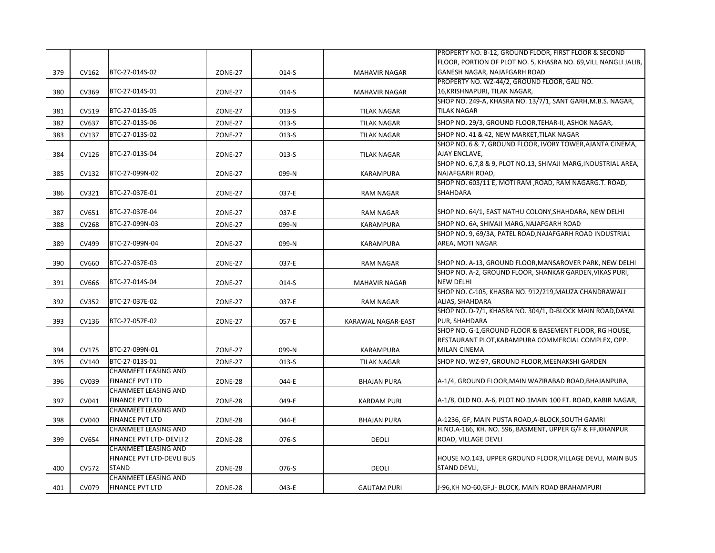|     |       |                             |                |         |                      | PROPERTY NO. B-12, GROUND FLOOR, FIRST FLOOR & SECOND           |
|-----|-------|-----------------------------|----------------|---------|----------------------|-----------------------------------------------------------------|
|     |       |                             |                |         |                      | FLOOR, PORTION OF PLOT NO. 5, KHASRA NO. 69, VILL NANGLI JALIB, |
| 379 | CV162 | BTC-27-014S-02              | ZONE-27        | 014-S   | <b>MAHAVIR NAGAR</b> | GANESH NAGAR, NAJAFGARH ROAD                                    |
|     |       |                             |                |         |                      | PROPERTY NO. WZ-44/2, GROUND FLOOR, GALI NO.                    |
| 380 | CV369 | BTC-27-014S-01              | <b>ZONE-27</b> | $014-S$ | <b>MAHAVIR NAGAR</b> | 16, KRISHNAPURI, TILAK NAGAR,                                   |
|     |       |                             |                |         |                      | SHOP NO. 249-A, KHASRA NO. 13/7/1, SANT GARH, M.B.S. NAGAR,     |
| 381 | CV519 | BTC-27-013S-05              | <b>ZONE-27</b> | $013-S$ | <b>TILAK NAGAR</b>   | <b>TILAK NAGAR</b>                                              |
|     | CV637 | BTC-27-013S-06              |                |         |                      | SHOP NO. 29/3, GROUND FLOOR, TEHAR-II, ASHOK NAGAR,             |
| 382 |       |                             | ZONE-27        | $013-S$ | <b>TILAK NAGAR</b>   |                                                                 |
| 383 | CV137 | BTC-27-013S-02              | ZONE-27        | 013-S   | <b>TILAK NAGAR</b>   | SHOP NO. 41 & 42, NEW MARKET, TILAK NAGAR                       |
|     |       |                             |                |         |                      | SHOP NO. 6 & 7, GROUND FLOOR, IVORY TOWER, AJANTA CINEMA,       |
| 384 | CV126 | BTC-27-013S-04              | <b>ZONE-27</b> | 013-S   | <b>TILAK NAGAR</b>   | AJAY ENCLAVE,                                                   |
|     |       |                             |                |         |                      | SHOP NO. 6,7,8 & 9, PLOT NO.13, SHIVAJI MARG, INDUSTRIAL AREA,  |
| 385 | CV132 | BTC-27-099N-02              | <b>ZONE-27</b> | 099-N   | KARAMPURA            | NAJAFGARH ROAD,                                                 |
|     |       |                             |                |         |                      | SHOP NO. 603/11 E, MOTI RAM , ROAD, RAM NAGARG.T. ROAD,         |
| 386 | CV321 | BTC-27-037E-01              | <b>ZONE-27</b> | 037-E   | <b>RAM NAGAR</b>     | SHAHDARA                                                        |
|     |       |                             |                |         |                      |                                                                 |
| 387 | CV651 | BTC-27-037E-04              | <b>ZONE-27</b> | 037-E   | <b>RAM NAGAR</b>     | SHOP NO. 64/1, EAST NATHU COLONY, SHAHDARA, NEW DELHI           |
| 388 | CV268 | BTC-27-099N-03              | <b>ZONE-27</b> | 099-N   | <b>KARAMPURA</b>     | SHOP NO. 6A, SHIVAJI MARG, NAJAFGARH ROAD                       |
|     |       |                             |                |         |                      | SHOP NO. 9, 69/3A, PATEL ROAD, NAJAFGARH ROAD INDUSTRIAL        |
| 389 | CV499 | BTC-27-099N-04              | ZONE-27        | 099-N   | <b>KARAMPURA</b>     | AREA, MOTI NAGAR                                                |
|     |       |                             |                |         |                      |                                                                 |
| 390 | CV660 | BTC-27-037E-03              | ZONE-27        | 037-E   | <b>RAM NAGAR</b>     | SHOP NO. A-13, GROUND FLOOR, MANSAROVER PARK, NEW DELHI         |
|     |       |                             |                |         |                      | SHOP NO. A-2, GROUND FLOOR, SHANKAR GARDEN, VIKAS PURI,         |
| 391 | CV666 | BTC-27-014S-04              | <b>ZONE-27</b> | 014-S   | <b>MAHAVIR NAGAR</b> | <b>NEW DELHI</b>                                                |
|     |       |                             |                |         |                      | SHOP NO. C-105, KHASRA NO. 912/219, MAUZA CHANDRAWALI           |
| 392 | CV352 | BTC-27-037E-02              | <b>ZONE-27</b> | 037-E   | <b>RAM NAGAR</b>     | ALIAS, SHAHDARA                                                 |
|     |       |                             |                |         |                      | SHOP NO. D-7/1, KHASRA NO. 304/1, D-BLOCK MAIN ROAD, DAYAL      |
|     |       | BTC-27-057E-02              |                |         |                      | PUR, SHAHDARA                                                   |
| 393 | CV136 |                             | ZONE-27        | 057-E   | KARAWAL NAGAR-EAST   | SHOP NO. G-1, GROUND FLOOR & BASEMENT FLOOR, RG HOUSE,          |
|     |       |                             |                |         |                      | RESTAURANT PLOT, KARAMPURA COMMERCIAL COMPLEX, OPP.             |
|     |       |                             |                |         |                      |                                                                 |
| 394 | CV175 | BTC-27-099N-01              | <b>ZONE-27</b> | 099-N   | <b>KARAMPURA</b>     | <b>MILAN CINEMA</b>                                             |
| 395 | CV140 | BTC-27-013S-01              | <b>ZONE-27</b> | 013-S   | <b>TILAK NAGAR</b>   | SHOP NO. WZ-97, GROUND FLOOR, MEENAKSHI GARDEN                  |
|     |       | <b>CHANMEET LEASING AND</b> |                |         |                      |                                                                 |
| 396 | CV039 | <b>FINANCE PVT LTD</b>      | ZONE-28        | 044-E   | <b>BHAJAN PURA</b>   | A-1/4, GROUND FLOOR, MAIN WAZIRABAD ROAD, BHAJANPURA,           |
|     |       | <b>CHANMEET LEASING AND</b> |                |         |                      |                                                                 |
| 397 | CV041 | <b>FINANCE PVT LTD</b>      | ZONE-28        | 049-E   | <b>KARDAM PURI</b>   | A-1/8, OLD NO. A-6, PLOT NO.1MAIN 100 FT. ROAD, KABIR NAGAR,    |
|     |       | <b>CHANMEET LEASING AND</b> |                |         |                      |                                                                 |
| 398 | CV040 | <b>FINANCE PVT LTD</b>      | ZONE-28        | 044-E   | <b>BHAJAN PURA</b>   | A-1236, GF, MAIN PUSTA ROAD, A-BLOCK, SOUTH GAMRI               |
|     |       | CHANMEET LEASING AND        |                |         |                      | H.NO.A-166, KH. NO. 596, BASMENT, UPPER G/F & FF, KHANPUR       |
| 399 | CV654 | FINANCE PVT LTD- DEVLI 2    | ZONE-28        | 076-S   | DEOLI                | ROAD, VILLAGE DEVLI                                             |
|     |       | CHANMEET LEASING AND        |                |         |                      |                                                                 |
|     |       | FINANCE PVT LTD-DEVLI BUS   |                |         |                      | HOUSE NO.143, UPPER GROUND FLOOR, VILLAGE DEVLI, MAIN BUS       |
| 400 | CV572 | <b>STAND</b>                | ZONE-28        | 076-S   | <b>DEOLI</b>         | STAND DEVLI,                                                    |
|     |       | <b>CHANMEET LEASING AND</b> |                |         |                      |                                                                 |
| 401 | CV079 | <b>FINANCE PVT LTD</b>      | ZONE-28        | 043-E   | <b>GAUTAM PURI</b>   | J-96, KH NO-60, GF, J- BLOCK, MAIN ROAD BRAHAMPURI              |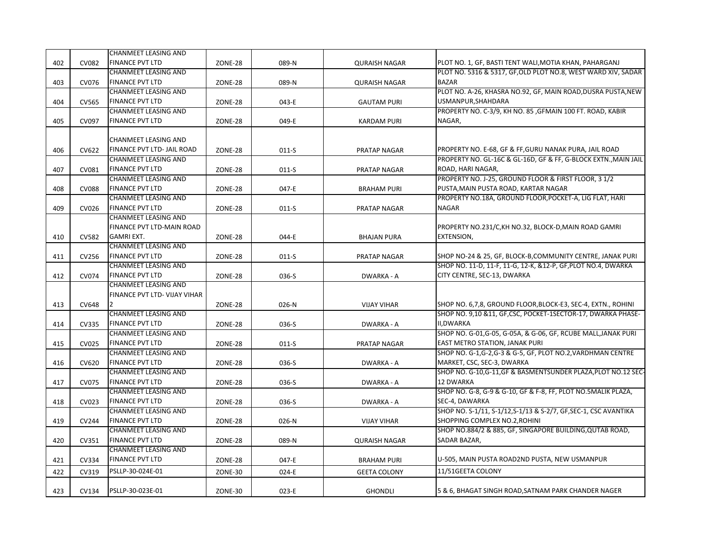|     |              | CHANMEET LEASING AND         |                |         |                      |                                                                  |
|-----|--------------|------------------------------|----------------|---------|----------------------|------------------------------------------------------------------|
| 402 | CV082        | <b>FINANCE PVT LTD</b>       | ZONE-28        | 089-N   | <b>QURAISH NAGAR</b> | PLOT NO. 1, GF, BASTI TENT WALI, MOTIA KHAN, PAHARGANJ           |
|     |              | <b>CHANMEET LEASING AND</b>  |                |         |                      | PLOT NO. 5316 & 5317, GF, OLD PLOT NO.8, WEST WARD XIV, SADAR    |
| 403 | CV076        | <b>FINANCE PVT LTD</b>       | ZONE-28        | 089-N   | <b>QURAISH NAGAR</b> | <b>BAZAR</b>                                                     |
|     |              | <b>CHANMEET LEASING AND</b>  |                |         |                      | PLOT NO. A-26, KHASRA NO.92, GF, MAIN ROAD, DUSRA PUSTA, NEW     |
| 404 | <b>CV565</b> | <b>FINANCE PVT LTD</b>       | ZONE-28        | 043-E   | <b>GAUTAM PURI</b>   | USMANPUR, SHAHDARA                                               |
|     |              | <b>CHANMEET LEASING AND</b>  |                |         |                      | PROPERTY NO. C-3/9, KH NO. 85, GFMAIN 100 FT. ROAD, KABIR        |
| 405 | CV097        | <b>FINANCE PVT LTD</b>       | ZONE-28        | 049-E   | <b>KARDAM PURI</b>   | NAGAR,                                                           |
|     |              |                              |                |         |                      |                                                                  |
|     |              | <b>CHANMEET LEASING AND</b>  |                |         |                      |                                                                  |
| 406 | CV622        | FINANCE PVT LTD- JAIL ROAD   | ZONE-28        | $011-S$ | <b>PRATAP NAGAR</b>  | PROPERTY NO. E-68, GF & FF, GURU NANAK PURA, JAIL ROAD           |
|     |              | <b>CHANMEET LEASING AND</b>  |                |         |                      | PROPERTY NO. GL-16C & GL-16D, GF & FF, G-BLOCK EXTN., MAIN JAIL  |
| 407 | CV081        | <b>FINANCE PVT LTD</b>       | <b>ZONE-28</b> | $011-S$ | <b>PRATAP NAGAR</b>  | ROAD, HARI NAGAR,                                                |
|     |              | <b>CHANMEET LEASING AND</b>  |                |         |                      | PROPERTY NO. J-25, GROUND FLOOR & FIRST FLOOR, 3 1/2             |
| 408 | <b>CV088</b> | <b>FINANCE PVT LTD</b>       | ZONE-28        | 047-E   | <b>BRAHAM PURI</b>   | PUSTA, MAIN PUSTA ROAD, KARTAR NAGAR                             |
|     |              | <b>CHANMEET LEASING AND</b>  |                |         |                      | PROPERTY NO.18A, GROUND FLOOR, POCKET-A, LIG FLAT, HARI          |
| 409 | CV026        | <b>FINANCE PVT LTD</b>       | ZONE-28        | $011-S$ | <b>PRATAP NAGAR</b>  | <b>NAGAR</b>                                                     |
|     |              | <b>CHANMEET LEASING AND</b>  |                |         |                      |                                                                  |
|     |              | FINANCE PVT LTD-MAIN ROAD    |                |         |                      | PROPERTY NO.231/C, KH NO.32, BLOCK-D, MAIN ROAD GAMRI            |
| 410 | <b>CV582</b> | <b>GAMRI EXT.</b>            | ZONE-28        | 044-E   | <b>BHAJAN PURA</b>   | EXTENSION,                                                       |
|     |              | <b>CHANMEET LEASING AND</b>  |                |         |                      |                                                                  |
| 411 | CV256        | <b>FINANCE PVT LTD</b>       | ZONE-28        | $011-S$ | <b>PRATAP NAGAR</b>  | SHOP NO-24 & 25, GF, BLOCK-B, COMMUNITY CENTRE, JANAK PURI       |
|     |              | <b>CHANMEET LEASING AND</b>  |                |         |                      | SHOP NO. 11-D, 11-F, 11-G, 12-K, &12-P, GF, PLOT NO.4, DWARKA    |
| 412 | CV074        | <b>FINANCE PVT LTD</b>       | ZONE-28        | 036-S   | DWARKA - A           | CITY CENTRE, SEC-13, DWARKA                                      |
|     |              | <b>CHANMEET LEASING AND</b>  |                |         |                      |                                                                  |
|     |              | FINANCE PVT LTD- VIJAY VIHAR |                |         |                      |                                                                  |
| 413 | CV648        |                              | ZONE-28        | 026-N   | <b>VIJAY VIHAR</b>   | SHOP NO. 6,7,8, GROUND FLOOR, BLOCK-E3, SEC-4, EXTN., ROHINI     |
|     |              | <b>CHANMEET LEASING AND</b>  |                |         |                      | SHOP NO. 9,10 &11, GF,CSC, POCKET-1SECTOR-17, DWARKA PHASE-      |
| 414 | CV335        | <b>FINANCE PVT LTD</b>       | ZONE-28        | 036-S   | DWARKA - A           | II,DWARKA                                                        |
|     |              | <b>CHANMEET LEASING AND</b>  |                |         |                      | SHOP NO. G-01, G-05, G-05A, & G-06, GF, RCUBE MALL, JANAK PURI   |
| 415 | <b>CV025</b> | <b>FINANCE PVT LTD</b>       | ZONE-28        | $011-S$ | <b>PRATAP NAGAR</b>  | EAST METRO STATION, JANAK PURI                                   |
|     |              | <b>CHANMEET LEASING AND</b>  |                |         |                      | SHOP NO. G-1, G-2, G-3 & G-5, GF, PLOT NO. 2, VARDHMAN CENTRE    |
| 416 | CV620        | <b>FINANCE PVT LTD</b>       | ZONE-28        | 036-S   | DWARKA - A           | MARKET, CSC, SEC-3, DWARKA                                       |
|     |              | <b>CHANMEET LEASING AND</b>  |                |         |                      | SHOP NO. G-10,G-11,GF & BASMENTSUNDER PLAZA, PLOT NO.12 SEC-     |
| 417 | CV075        | <b>FINANCE PVT LTD</b>       | ZONE-28        | 036-S   | DWARKA - A           | 12 DWARKA                                                        |
|     |              | <b>CHANMEET LEASING AND</b>  |                |         |                      | SHOP NO. G-8, G-9 & G-10, GF & F-8, FF, PLOT NO.5MALIK PLAZA,    |
| 418 | CV023        | <b>FINANCE PVT LTD</b>       | ZONE-28        | 036-S   | DWARKA - A           | SEC-4, DAWARKA                                                   |
|     |              | <b>CHANMEET LEASING AND</b>  |                |         |                      | SHOP NO. S-1/11, S-1/12, S-1/13 & S-2/7, GF, SEC-1, CSC AVANTIKA |
| 419 | CV244        | <b>FINANCE PVT LTD</b>       | ZONE-28        | 026-N   | <b>VIJAY VIHAR</b>   | SHOPPING COMPLEX NO.2, ROHINI                                    |
|     |              | <b>CHANMEET LEASING AND</b>  |                |         |                      | SHOP NO.884/2 & 885, GF, SINGAPORE BUILDING, QUTAB ROAD,         |
| 420 | CV351        | <b>FINANCE PVT LTD</b>       | ZONE-28        | 089-N   | <b>QURAISH NAGAR</b> | SADAR BAZAR,                                                     |
|     |              | <b>CHANMEET LEASING AND</b>  |                |         |                      |                                                                  |
| 421 | CV334        | <b>FINANCE PVT LTD</b>       | ZONE-28        | 047-E   | <b>BRAHAM PURI</b>   | U-505, MAIN PUSTA ROAD2ND PUSTA, NEW USMANPUR                    |
| 422 | CV319        | PSLLP-30-024E-01             | ZONE-30        | 024-E   | <b>GEETA COLONY</b>  | 11/51GEETA COLONY                                                |
|     |              |                              |                |         |                      |                                                                  |
| 423 | CV134        | PSLLP-30-023E-01             | ZONE-30        | 023-E   | <b>GHONDLI</b>       | 5 & 6, BHAGAT SINGH ROAD, SATNAM PARK CHANDER NAGER              |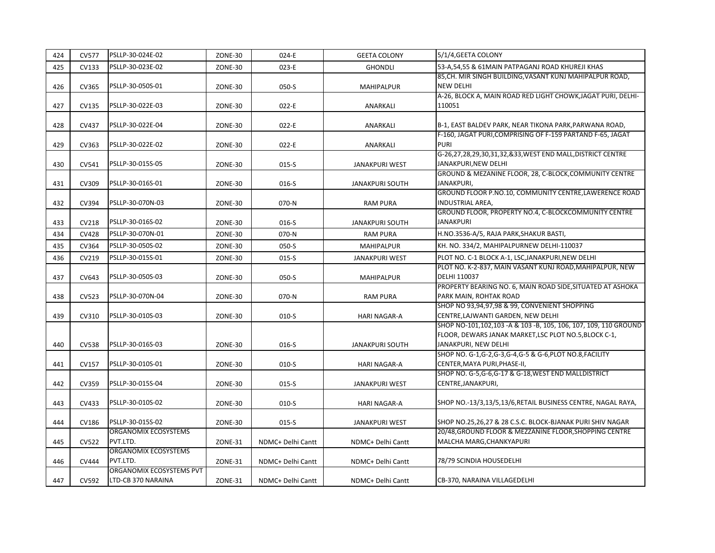| 424 | <b>CV577</b> | PSLLP-30-024E-02                               | ZONE-30 | 024-E             | <b>GEETA COLONY</b>    | 5/1/4, GEETA COLONY                                                                                                                                |
|-----|--------------|------------------------------------------------|---------|-------------------|------------------------|----------------------------------------------------------------------------------------------------------------------------------------------------|
| 425 | CV133        | PSLLP-30-023E-02                               | ZONE-30 | 023-E             | <b>GHONDLI</b>         | 53-A,54,55 & 61MAIN PATPAGANJ ROAD KHUREJI KHAS                                                                                                    |
| 426 | CV365        | PSLLP-30-050S-01                               | ZONE-30 | 050-S             | MAHIPALPUR             | 85, CH. MIR SINGH BUILDING, VASANT KUNJ MAHIPALPUR ROAD,<br><b>NEW DELHI</b>                                                                       |
| 427 | CV135        | PSLLP-30-022E-03                               | ZONE-30 | 022-E             | ANARKALI               | A-26, BLOCK A, MAIN ROAD RED LIGHT CHOWK, JAGAT PURI, DELHI-<br>110051                                                                             |
| 428 | CV437        | PSLLP-30-022E-04                               | ZONE-30 | 022-E             | ANARKALI               | B-1, EAST BALDEV PARK, NEAR TIKONA PARK, PARWANA ROAD,                                                                                             |
| 429 | CV363        | PSLLP-30-022E-02                               | ZONE-30 | 022-E             | ANARKALI               | F-160, JAGAT PURI, COMPRISING OF F-159 PARTAND F-65, JAGAT<br><b>PURI</b>                                                                          |
| 430 | CV541        | PSLLP-30-015S-05                               | ZONE-30 | 015-S             | JANAKPURI WEST         | G-26,27,28,29,30,31,32,&33, WEST END MALL, DISTRICT CENTRE<br>JANAKPURI, NEW DELHI                                                                 |
| 431 | CV309        | PSLLP-30-016S-01                               | ZONE-30 | 016-S             | <b>JANAKPURI SOUTH</b> | GROUND & MEZANINE FLOOR, 28, C-BLOCK, COMMUNITY CENTRE<br>JANAKPURI,                                                                               |
| 432 | CV394        | PSLLP-30-070N-03                               | ZONE-30 | 070-N             | <b>RAM PURA</b>        | GROUND FLOOR P.NO.10, COMMUNITY CENTRE, LAWERENCE ROAD<br>INDUSTRIAL AREA,                                                                         |
| 433 | CV218        | PSLLP-30-016S-02                               | ZONE-30 | 016-S             | <b>JANAKPURI SOUTH</b> | GROUND FLOOR, PROPERTY NO.4, C-BLOCKCOMMUNITY CENTRE<br><b>JANAKPURI</b>                                                                           |
| 434 | <b>CV428</b> | PSLLP-30-070N-01                               | ZONE-30 | 070-N             | <b>RAM PURA</b>        | H.NO.3536-A/5, RAJA PARK, SHAKUR BASTI,                                                                                                            |
| 435 | CV364        | PSLLP-30-050S-02                               | ZONE-30 | 050-S             | MAHIPALPUR             | KH. NO. 334/2, MAHIPALPURNEW DELHI-110037                                                                                                          |
| 436 | CV219        | PSLLP-30-015S-01                               | ZONE-30 | $015 - S$         | <b>JANAKPURI WEST</b>  | PLOT NO. C-1 BLOCK A-1, LSC, JANAKPURI, NEW DELHI                                                                                                  |
| 437 | CV643        | PSLLP-30-050S-03                               | ZONE-30 | 050-S             | <b>MAHIPALPUR</b>      | PLOT NO. K-2-837, MAIN VASANT KUNJ ROAD, MAHIPALPUR, NEW<br>DELHI 110037                                                                           |
| 438 | <b>CV523</b> | PSLLP-30-070N-04                               | ZONE-30 | 070-N             | <b>RAM PURA</b>        | PROPERTY BEARING NO. 6, MAIN ROAD SIDE, SITUATED AT ASHOKA<br>PARK MAIN, ROHTAK ROAD                                                               |
| 439 | CV310        | PSLLP-30-010S-03                               | ZONE-30 | 010-S             | <b>HARI NAGAR-A</b>    | SHOP NO 93,94,97,98 & 99, CONVENIENT SHOPPING<br>CENTRE, LAJWANTI GARDEN, NEW DELHI                                                                |
| 440 | <b>CV538</b> | PSLLP-30-016S-03                               | ZONE-30 | 016-S             | <b>JANAKPURI SOUTH</b> | SHOP NO-101,102,103 - A & 103 - B, 105, 106, 107, 109, 110 GROUND<br>FLOOR, DEWARS JANAK MARKET, LSC PLOT NO.5, BLOCK C-1,<br>JANAKPURI, NEW DELHI |
| 441 | CV157        | PSLLP-30-010S-01                               | ZONE-30 | $010 - S$         | <b>HARI NAGAR-A</b>    | SHOP NO. G-1, G-2, G-3, G-4, G-5 & G-6, PLOT NO.8, FACILITY<br>CENTER, MAYA PURI, PHASE-II,                                                        |
| 442 | CV359        | PSLLP-30-015S-04                               | ZONE-30 | $015 - S$         | JANAKPURI WEST         | SHOP NO. G-5, G-6, G-17 & G-18, WEST END MALLDISTRICT<br>CENTRE, JANAKPURI,                                                                        |
| 443 | CV433        | PSLLP-30-010S-02                               | ZONE-30 | 010-S             | <b>HARI NAGAR-A</b>    | SHOP NO.-13/3,13/5,13/6, RETAIL BUSINESS CENTRE, NAGAL RAYA,                                                                                       |
| 444 | CV186        | PSLLP-30-015S-02                               | ZONE-30 | $015-S$           | <b>JANAKPURI WEST</b>  | SHOP NO.25,26,27 & 28 C.S.C. BLOCK-BJANAK PURI SHIV NAGAR                                                                                          |
| 445 | <b>CV522</b> | ORGANOMIX ECOSYSTEMS<br>PVT.LTD.               | ZONE-31 | NDMC+ Delhi Cantt | NDMC+ Delhi Cantt      | 20/48, GROUND FLOOR & MEZZANINE FLOOR, SHOPPING CENTRE<br>MALCHA MARG, CHANKYAPURI                                                                 |
| 446 | <b>CV444</b> | ORGANOMIX ECOSYSTEMS<br>PVT.LTD.               | ZONE-31 | NDMC+ Delhi Cantt | NDMC+ Delhi Cantt      | 78/79 SCINDIA HOUSEDELHI                                                                                                                           |
| 447 | CV592        | ORGANOMIX ECOSYSTEMS PVT<br>LTD-CB 370 NARAINA | ZONE-31 | NDMC+ Delhi Cantt | NDMC+ Delhi Cantt      | CB-370, NARAINA VILLAGEDELHI                                                                                                                       |